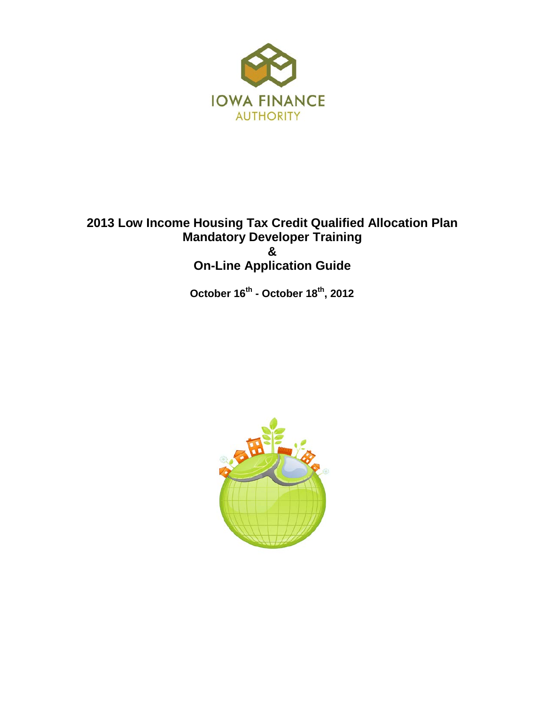

### **2013 Low Income Housing Tax Credit Qualified Allocation Plan Mandatory Developer Training & On-Line Application Guide**

 **October 16th - October 18th, 2012**

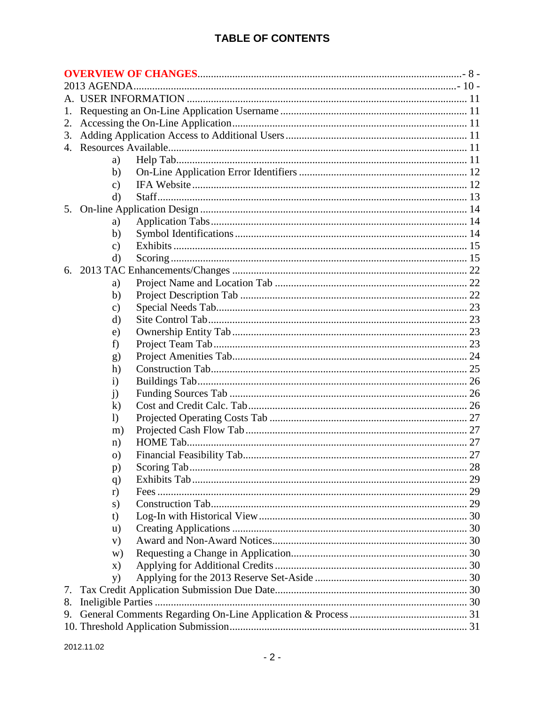### **TABLE OF CONTENTS**

| 1. |                  |  |  |
|----|------------------|--|--|
| 2. |                  |  |  |
| 3. |                  |  |  |
|    |                  |  |  |
|    | a)               |  |  |
|    | b)               |  |  |
|    | $\mathbf{c})$    |  |  |
|    | d)               |  |  |
| 5. |                  |  |  |
|    | a)               |  |  |
|    | b)               |  |  |
|    | $\mathbf{c})$    |  |  |
|    | d)               |  |  |
|    |                  |  |  |
|    | a)               |  |  |
|    | b)               |  |  |
|    | $\mathbf{c})$    |  |  |
|    | d)               |  |  |
|    | e)               |  |  |
|    | f)               |  |  |
|    | g)               |  |  |
|    | h)               |  |  |
|    | $\mathbf{i}$     |  |  |
|    | $\mathbf{j}$     |  |  |
|    | $\bf k)$         |  |  |
|    | $\mathbf{I}$     |  |  |
|    | m)               |  |  |
|    | n)               |  |  |
|    | $\overline{O}$ ) |  |  |
|    | p)               |  |  |
|    | q)               |  |  |
|    | r)               |  |  |
|    | s)               |  |  |
|    | t)               |  |  |
|    | $\mathbf{u}$     |  |  |
|    | V)               |  |  |
|    | w)               |  |  |
|    | X)               |  |  |
|    | <b>y</b> )       |  |  |
| 7. |                  |  |  |
| 8. |                  |  |  |
| 9. |                  |  |  |
|    |                  |  |  |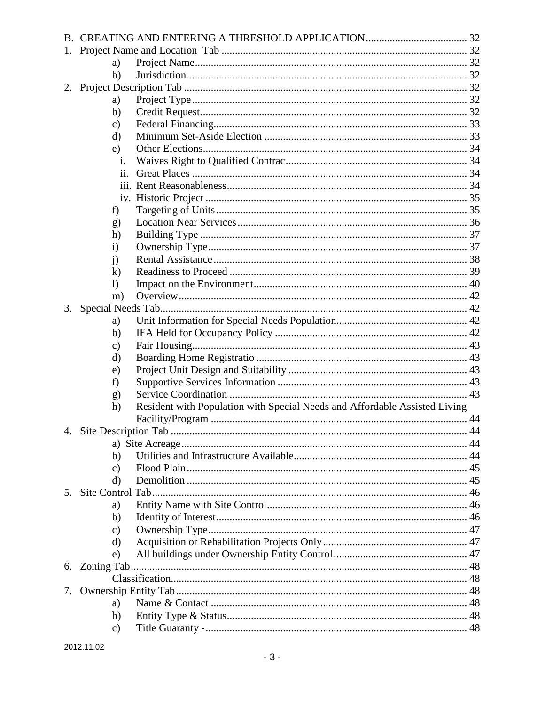| 1. |               |                                                                            |  |
|----|---------------|----------------------------------------------------------------------------|--|
|    | a)            |                                                                            |  |
|    | b)            |                                                                            |  |
| 2. |               |                                                                            |  |
|    | a)            |                                                                            |  |
|    | b)            |                                                                            |  |
|    | $\mathbf{c})$ |                                                                            |  |
|    | d)            |                                                                            |  |
|    | e)            |                                                                            |  |
|    | İ.            |                                                                            |  |
|    | 11.           |                                                                            |  |
|    |               |                                                                            |  |
|    |               |                                                                            |  |
|    | f)            |                                                                            |  |
|    | g)            |                                                                            |  |
|    | h)            |                                                                            |  |
|    | $\mathbf{i}$  |                                                                            |  |
|    | $\mathbf{i}$  |                                                                            |  |
|    | $\bf k$       |                                                                            |  |
|    | $\mathbf{I}$  |                                                                            |  |
|    | m)            |                                                                            |  |
|    |               |                                                                            |  |
|    | a)            |                                                                            |  |
|    | b)            |                                                                            |  |
|    | $\mathbf{c})$ |                                                                            |  |
|    | d)            |                                                                            |  |
|    | e)            |                                                                            |  |
|    | f)            |                                                                            |  |
|    | g)            |                                                                            |  |
|    | h)            | Resident with Population with Special Needs and Affordable Assisted Living |  |
|    |               |                                                                            |  |
|    |               |                                                                            |  |
|    |               |                                                                            |  |
|    | b)            |                                                                            |  |
|    | $\mathbf{c})$ |                                                                            |  |
|    | d)            |                                                                            |  |
| 5. |               |                                                                            |  |
|    | a)            |                                                                            |  |
|    | b)            |                                                                            |  |
|    | $\mathbf{c})$ |                                                                            |  |
|    | d)            |                                                                            |  |
|    | e)            |                                                                            |  |
|    |               |                                                                            |  |
|    |               |                                                                            |  |
|    |               |                                                                            |  |
|    | a)            |                                                                            |  |
|    | b)            |                                                                            |  |
|    | $\mathbf{c})$ |                                                                            |  |
|    |               |                                                                            |  |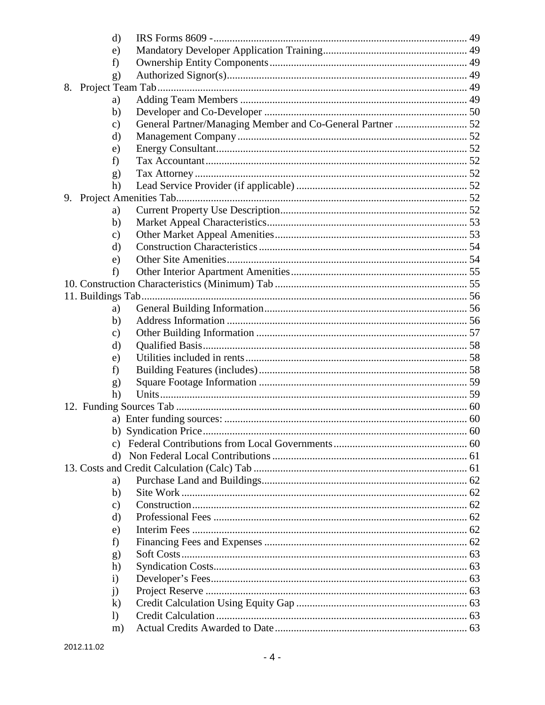| d)            |  |
|---------------|--|
| e)            |  |
| f)            |  |
| g)            |  |
| 8.            |  |
| a)            |  |
| $\mathbf{b}$  |  |
| $\mathbf{c})$ |  |
| d)            |  |
| e)            |  |
| f)            |  |
| g)            |  |
| h)            |  |
| 9.            |  |
| a)            |  |
| b)            |  |
| $\mathbf{c})$ |  |
| d)            |  |
| e)            |  |
| f)            |  |
|               |  |
|               |  |
| a)            |  |
| b)            |  |
| $\mathbf{c})$ |  |
| d)<br>e)      |  |
| f)            |  |
| g)            |  |
| h)            |  |
|               |  |
|               |  |
|               |  |
|               |  |
| d)            |  |
|               |  |
| a)            |  |
| b)            |  |
| c)            |  |
| d)            |  |
| e)            |  |
| f)            |  |
| g)            |  |
| h)            |  |
| $\rm i)$      |  |
| j)            |  |
| $\bf k)$      |  |
| $\mathbf{I}$  |  |
| m)            |  |
|               |  |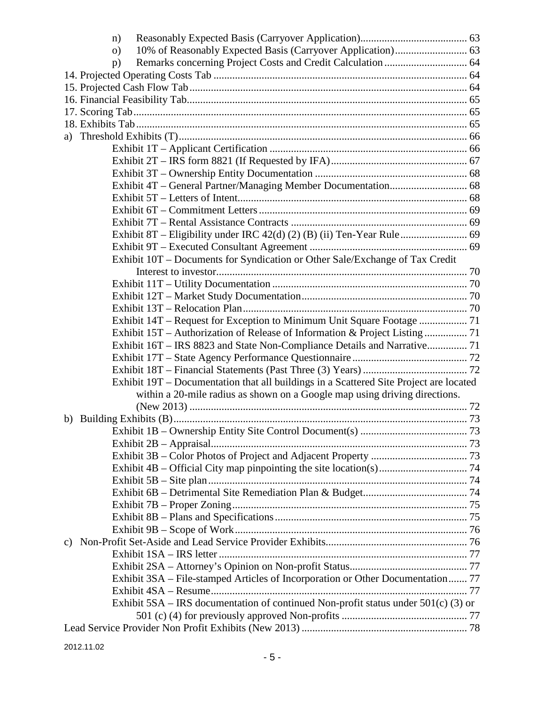| n)                                                                                     |  |
|----------------------------------------------------------------------------------------|--|
| $\Omega$                                                                               |  |
| p)                                                                                     |  |
|                                                                                        |  |
|                                                                                        |  |
|                                                                                        |  |
|                                                                                        |  |
|                                                                                        |  |
|                                                                                        |  |
|                                                                                        |  |
|                                                                                        |  |
|                                                                                        |  |
|                                                                                        |  |
|                                                                                        |  |
|                                                                                        |  |
|                                                                                        |  |
|                                                                                        |  |
|                                                                                        |  |
| Exhibit 10T - Documents for Syndication or Other Sale/Exchange of Tax Credit           |  |
|                                                                                        |  |
|                                                                                        |  |
|                                                                                        |  |
| Exhibit 14T – Request for Exception to Minimum Unit Square Footage  71                 |  |
| Exhibit 15T – Authorization of Release of Information & Project Listing  71            |  |
| Exhibit 16T – IRS 8823 and State Non-Compliance Details and Narrative 71               |  |
|                                                                                        |  |
|                                                                                        |  |
| Exhibit 19T – Documentation that all buildings in a Scattered Site Project are located |  |
| within a 20-mile radius as shown on a Google map using driving directions.             |  |
|                                                                                        |  |
|                                                                                        |  |
|                                                                                        |  |
|                                                                                        |  |
|                                                                                        |  |
|                                                                                        |  |
|                                                                                        |  |
|                                                                                        |  |
|                                                                                        |  |
|                                                                                        |  |
|                                                                                        |  |
|                                                                                        |  |
|                                                                                        |  |
|                                                                                        |  |
| Exhibit 3SA - File-stamped Articles of Incorporation or Other Documentation 77         |  |
|                                                                                        |  |
| Exhibit $5SA - IRS$ documentation of continued Non-profit status under $501(c)$ (3) or |  |
|                                                                                        |  |
|                                                                                        |  |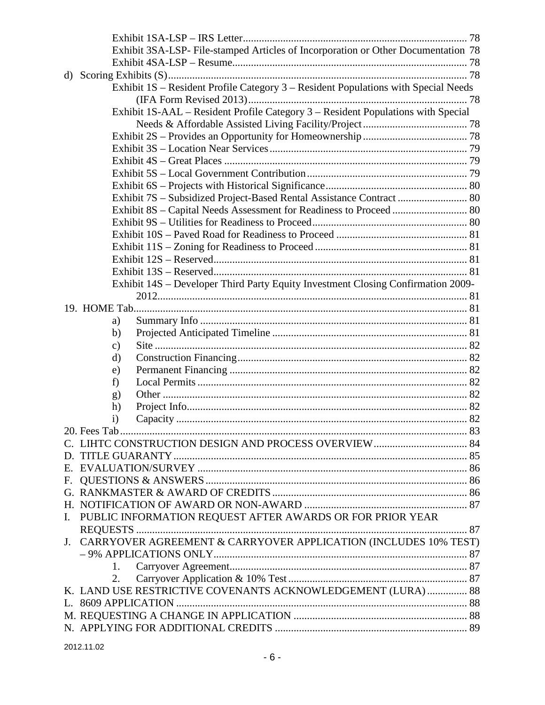|    | Exhibit 3SA-LSP- File-stamped Articles of Incorporation or Other Documentation 78  |  |
|----|------------------------------------------------------------------------------------|--|
|    |                                                                                    |  |
|    |                                                                                    |  |
|    | Exhibit 1S – Resident Profile Category 3 – Resident Populations with Special Needs |  |
|    |                                                                                    |  |
|    | Exhibit 1S-AAL - Resident Profile Category 3 - Resident Populations with Special   |  |
|    |                                                                                    |  |
|    |                                                                                    |  |
|    |                                                                                    |  |
|    |                                                                                    |  |
|    |                                                                                    |  |
|    |                                                                                    |  |
|    | Exhibit 7S - Subsidized Project-Based Rental Assistance Contract  80               |  |
|    | Exhibit 8S - Capital Needs Assessment for Readiness to Proceed  80                 |  |
|    |                                                                                    |  |
|    |                                                                                    |  |
|    |                                                                                    |  |
|    |                                                                                    |  |
|    |                                                                                    |  |
|    | Exhibit 14S - Developer Third Party Equity Investment Closing Confirmation 2009-   |  |
|    |                                                                                    |  |
|    |                                                                                    |  |
|    | a)                                                                                 |  |
|    | b)                                                                                 |  |
|    | $\mathbf{c})$                                                                      |  |
|    | d)                                                                                 |  |
|    | e)                                                                                 |  |
|    | f)                                                                                 |  |
|    | g)                                                                                 |  |
|    | h)                                                                                 |  |
|    | $\rm i)$                                                                           |  |
|    | 20. Fees Tab                                                                       |  |
|    |                                                                                    |  |
|    |                                                                                    |  |
|    |                                                                                    |  |
|    |                                                                                    |  |
|    |                                                                                    |  |
|    |                                                                                    |  |
| I. | PUBLIC INFORMATION REQUEST AFTER AWARDS OR FOR PRIOR YEAR                          |  |
|    |                                                                                    |  |
|    | J. CARRYOVER AGREEMENT & CARRYOVER APPLICATION (INCLUDES 10% TEST)                 |  |
|    |                                                                                    |  |
|    | 1.                                                                                 |  |
|    | 2.                                                                                 |  |
|    | K. LAND USE RESTRICTIVE COVENANTS ACKNOWLEDGEMENT (LURA)  88                       |  |
|    |                                                                                    |  |
|    |                                                                                    |  |
|    |                                                                                    |  |
|    |                                                                                    |  |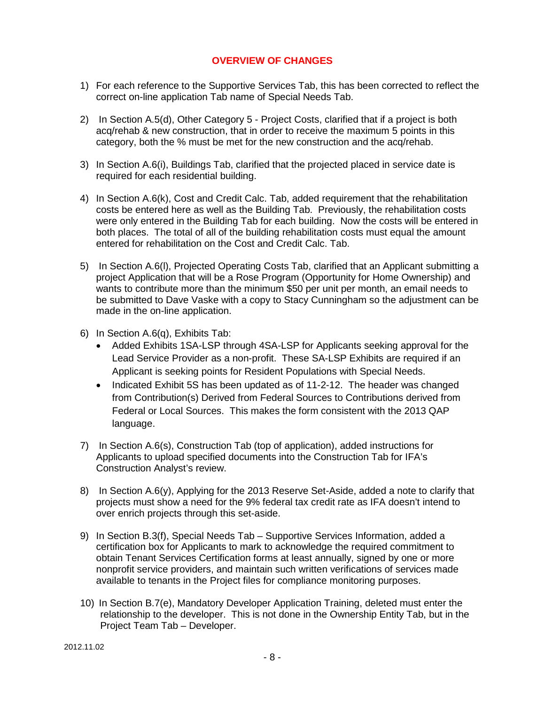#### **OVERVIEW OF CHANGES**

- <span id="page-7-0"></span>1) For each reference to the Supportive Services Tab, this has been corrected to reflect the correct on-line application Tab name of Special Needs Tab.
- 2) In Section A.5(d), Other Category 5 Project Costs, clarified that if a project is both acq/rehab & new construction, that in order to receive the maximum 5 points in this category, both the % must be met for the new construction and the acq/rehab.
- 3) In Section A.6(i), Buildings Tab, clarified that the projected placed in service date is required for each residential building.
- 4) In Section A.6(k), Cost and Credit Calc. Tab, added requirement that the rehabilitation costs be entered here as well as the Building Tab. Previously, the rehabilitation costs were only entered in the Building Tab for each building. Now the costs will be entered in both places. The total of all of the building rehabilitation costs must equal the amount entered for rehabilitation on the Cost and Credit Calc. Tab.
- 5) In Section A.6(l), Projected Operating Costs Tab, clarified that an Applicant submitting a project Application that will be a Rose Program (Opportunity for Home Ownership) and wants to contribute more than the minimum \$50 per unit per month, an email needs to be submitted to Dave Vaske with a copy to Stacy Cunningham so the adjustment can be made in the on-line application.
- 6) In Section A.6(q), Exhibits Tab:
	- Added Exhibits 1SA-LSP through 4SA-LSP for Applicants seeking approval for the Lead Service Provider as a non-profit. These SA-LSP Exhibits are required if an Applicant is seeking points for Resident Populations with Special Needs.
	- Indicated Exhibit 5S has been updated as of 11-2-12. The header was changed from Contribution(s) Derived from Federal Sources to Contributions derived from Federal or Local Sources. This makes the form consistent with the 2013 QAP language.
- 7) In Section A.6(s), Construction Tab (top of application), added instructions for Applicants to upload specified documents into the Construction Tab for IFA's Construction Analyst's review.
- 8) In Section A.6(y), Applying for the 2013 Reserve Set-Aside, added a note to clarify that projects must show a need for the 9% federal tax credit rate as IFA doesn't intend to over enrich projects through this set-aside.
- 9) In Section B.3(f), Special Needs Tab Supportive Services Information, added a certification box for Applicants to mark to acknowledge the required commitment to obtain Tenant Services Certification forms at least annually, signed by one or more nonprofit service providers, and maintain such written verifications of services made available to tenants in the Project files for compliance monitoring purposes.
- 10) In Section B.7(e), Mandatory Developer Application Training, deleted must enter the relationship to the developer. This is not done in the Ownership Entity Tab, but in the Project Team Tab – Developer.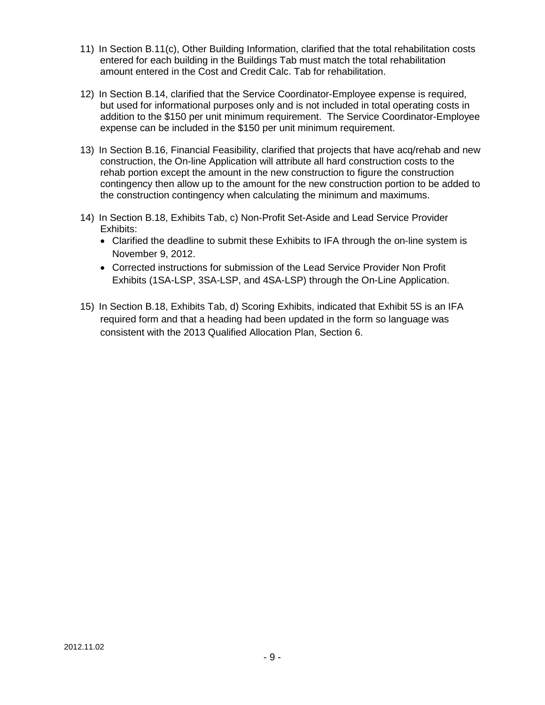- 11) In Section B.11(c), Other Building Information, clarified that the total rehabilitation costs entered for each building in the Buildings Tab must match the total rehabilitation amount entered in the Cost and Credit Calc. Tab for rehabilitation.
- 12) In Section B.14, clarified that the Service Coordinator-Employee expense is required, but used for informational purposes only and is not included in total operating costs in addition to the \$150 per unit minimum requirement. The Service Coordinator-Employee expense can be included in the \$150 per unit minimum requirement.
- 13) In Section B.16, Financial Feasibility, clarified that projects that have acq/rehab and new construction, the On-line Application will attribute all hard construction costs to the rehab portion except the amount in the new construction to figure the construction contingency then allow up to the amount for the new construction portion to be added to the construction contingency when calculating the minimum and maximums.
- 14) In Section B.18, Exhibits Tab, c) Non-Profit Set-Aside and Lead Service Provider Exhibits:
	- Clarified the deadline to submit these Exhibits to IFA through the on-line system is November 9, 2012.
	- Corrected instructions for submission of the Lead Service Provider Non Profit Exhibits (1SA-LSP, 3SA-LSP, and 4SA-LSP) through the On-Line Application.
- 15) In Section B.18, Exhibits Tab, d) Scoring Exhibits, indicated that Exhibit 5S is an IFA required form and that a heading had been updated in the form so language was consistent with the 2013 Qualified Allocation Plan, Section 6.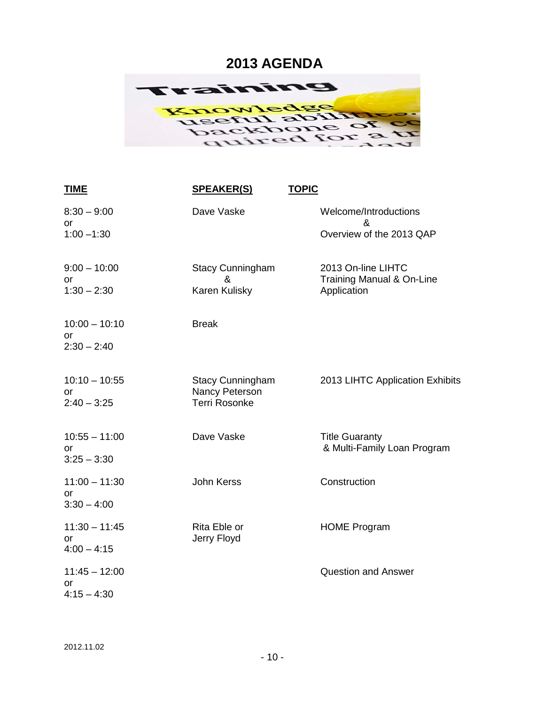### <span id="page-9-0"></span>**2013 AGENDA**



| <b>TIME</b>           | <u>SPEAKER(S)</u>                         | <b>TOPIC</b>                                         |
|-----------------------|-------------------------------------------|------------------------------------------------------|
| $8:30 - 9:00$<br>or   | Dave Vaske                                | Welcome/Introductions<br>&                           |
| $1:00 - 1:30$         |                                           | Overview of the 2013 QAP                             |
| $9:00 - 10:00$        | <b>Stacy Cunningham</b><br>&              | 2013 On-line LIHTC<br>Training Manual & On-Line      |
| or<br>$1:30 - 2:30$   | Karen Kulisky                             | Application                                          |
| $10:00 - 10:10$<br>or | <b>Break</b>                              |                                                      |
| $2:30 - 2:40$         |                                           |                                                      |
| $10:10 - 10:55$<br>or | <b>Stacy Cunningham</b><br>Nancy Peterson | 2013 LIHTC Application Exhibits                      |
| $2:40 - 3:25$         | <b>Terri Rosonke</b>                      |                                                      |
| $10:55 - 11:00$<br>or | Dave Vaske                                | <b>Title Guaranty</b><br>& Multi-Family Loan Program |
| $3:25 - 3:30$         |                                           |                                                      |
| $11:00 - 11:30$<br>or | <b>John Kerss</b>                         | Construction                                         |
| $3:30 - 4:00$         |                                           |                                                      |
| $11:30 - 11:45$<br>or | Rita Eble or<br>Jerry Floyd               | <b>HOME Program</b>                                  |
| $4:00 - 4:15$         |                                           |                                                      |
| $11:45 - 12:00$<br>or |                                           | <b>Question and Answer</b>                           |
| $4:15 - 4:30$         |                                           |                                                      |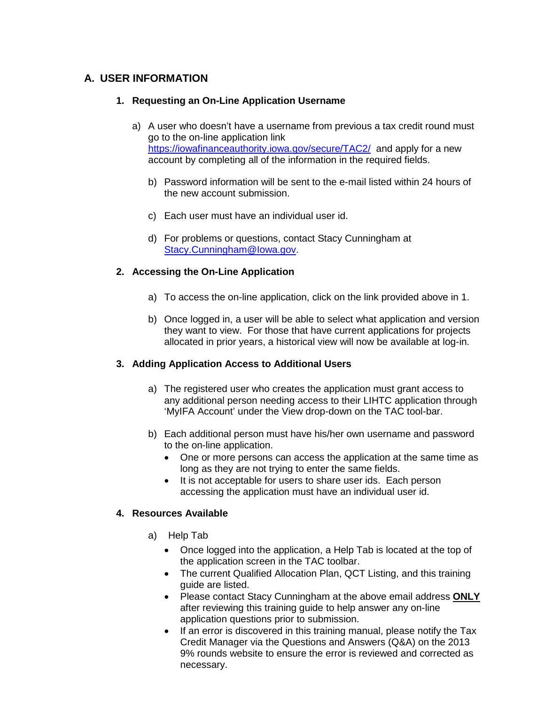#### <span id="page-10-1"></span><span id="page-10-0"></span>**A. USER INFORMATION**

#### **1. Requesting an On-Line Application Username**

- a) A user who doesn't have a username from previous a tax credit round must go to the on-line application link <https://iowafinanceauthority.iowa.gov/secure/TAC2/> and apply for a new account by completing all of the information in the required fields.
	- b) Password information will be sent to the e-mail listed within 24 hours of the new account submission.
	- c) Each user must have an individual user id.
	- d) For problems or questions, contact Stacy Cunningham at [Stacy.Cunningham@Iowa.gov.](mailto:Karen.Winchester@Iowa.gov)

#### <span id="page-10-2"></span>**2. Accessing the On-Line Application**

- a) To access the on-line application, click on the link provided above in 1.
- b) Once logged in, a user will be able to select what application and version they want to view. For those that have current applications for projects allocated in prior years, a historical view will now be available at log-in.

#### <span id="page-10-3"></span>**3. Adding Application Access to Additional Users**

- a) The registered user who creates the application must grant access to any additional person needing access to their LIHTC application through 'MyIFA Account' under the View drop-down on the TAC tool-bar.
- b) Each additional person must have his/her own username and password to the on-line application.
	- One or more persons can access the application at the same time as long as they are not trying to enter the same fields.
	- It is not acceptable for users to share user ids. Each person accessing the application must have an individual user id.

#### <span id="page-10-5"></span><span id="page-10-4"></span>**4. Resources Available**

- a) Help Tab
	- Once logged into the application, a Help Tab is located at the top of the application screen in the TAC toolbar.
	- The current Qualified Allocation Plan, QCT Listing, and this training guide are listed.
	- Please contact Stacy Cunningham at the above email address **ONLY** after reviewing this training guide to help answer any on-line application questions prior to submission.
	- If an error is discovered in this training manual, please notify the Tax Credit Manager via the Questions and Answers (Q&A) on the 2013 9% rounds website to ensure the error is reviewed and corrected as necessary.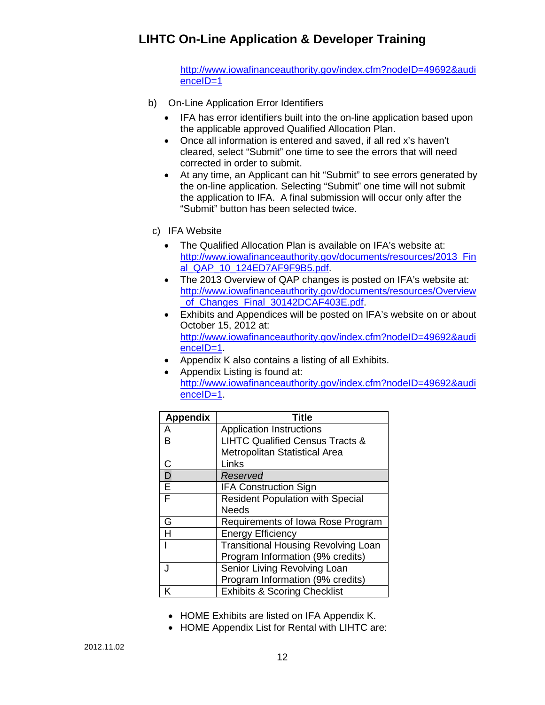[http://www.iowafinanceauthority.gov/index.cfm?nodeID=49692&audi](http://www.iowafinanceauthority.gov/index.cfm?nodeID=49692&audienceID=1) [enceID=1](http://www.iowafinanceauthority.gov/index.cfm?nodeID=49692&audienceID=1)

- <span id="page-11-0"></span>b) On-Line Application Error Identifiers
	- IFA has error identifiers built into the on-line application based upon the applicable approved Qualified Allocation Plan.
	- Once all information is entered and saved, if all red x's haven't cleared, select "Submit" one time to see the errors that will need corrected in order to submit.
	- At any time, an Applicant can hit "Submit" to see errors generated by the on-line application. Selecting "Submit" one time will not submit the application to IFA. A final submission will occur only after the "Submit" button has been selected twice.
- <span id="page-11-1"></span>c) IFA Website
	- The Qualified Allocation Plan is available on IFA's website at: http://www.iowafinanceauthority.gov/documents/resources/2013 Fin [al\\_QAP\\_10\\_124ED7AF9F9B5.pdf.](http://www.iowafinanceauthority.gov/documents/resources/2013_Final_QAP_10_124ED7AF9F9B5.pdf)
	- The 2013 Overview of QAP changes is posted on IFA's website at: [http://www.iowafinanceauthority.gov/documents/resources/Overview](http://www.iowafinanceauthority.gov/documents/resources/Overview_of_Changes_Final_30142DCAF403E.pdf) of Changes Final 30142DCAF403E.pdf.
	- Exhibits and Appendices will be posted on IFA's website on or about October 15, 2012 at: [http://www.iowafinanceauthority.gov/index.cfm?nodeID=49692&audi](http://www.iowafinanceauthority.gov/index.cfm?nodeID=49692&audienceID=1) [enceID=1.](http://www.iowafinanceauthority.gov/index.cfm?nodeID=49692&audienceID=1)
	- Appendix K also contains a listing of all Exhibits.
	- Appendix Listing is found at: [http://www.iowafinanceauthority.gov/index.cfm?nodeID=49692&audi](http://www.iowafinanceauthority.gov/index.cfm?nodeID=49692&audienceID=1) [enceID=1.](http://www.iowafinanceauthority.gov/index.cfm?nodeID=49692&audienceID=1)

| <b>Appendix</b> | <b>Title</b>                               |  |
|-----------------|--------------------------------------------|--|
| A               | <b>Application Instructions</b>            |  |
| в               | <b>LIHTC Qualified Census Tracts &amp;</b> |  |
|                 | <b>Metropolitan Statistical Area</b>       |  |
| $\mathsf{C}$    | Links                                      |  |
| D               | Reserved                                   |  |
| E               | <b>IFA Construction Sign</b>               |  |
| F               | <b>Resident Population with Special</b>    |  |
|                 | <b>Needs</b>                               |  |
| G               | Requirements of Iowa Rose Program          |  |
| H               | <b>Energy Efficiency</b>                   |  |
|                 | <b>Transitional Housing Revolving Loan</b> |  |
|                 | Program Information (9% credits)           |  |
|                 | Senior Living Revolving Loan               |  |
|                 | Program Information (9% credits)           |  |
| ĸ               | <b>Exhibits &amp; Scoring Checklist</b>    |  |

- HOME Exhibits are listed on IFA Appendix K.
- HOME Appendix List for Rental with LIHTC are: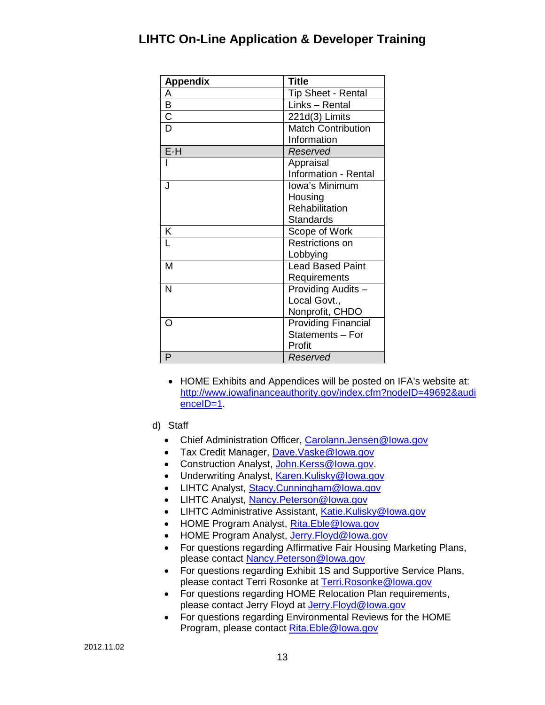| <b>Appendix</b>       | <b>Title</b>                |
|-----------------------|-----------------------------|
| A                     | <b>Tip Sheet - Rental</b>   |
| B                     | Links - Rental              |
| $\overline{\text{C}}$ | $221d(3)$ Limits            |
| D                     | <b>Match Contribution</b>   |
|                       | Information                 |
| $E-H$                 | Reserved                    |
|                       | Appraisal                   |
|                       | <b>Information - Rental</b> |
| . J                   | Iowa's Minimum              |
|                       | Housing                     |
|                       | Rehabilitation              |
|                       | <b>Standards</b>            |
| K                     | Scope of Work               |
| L                     | Restrictions on             |
|                       | Lobbying                    |
| M                     | <b>Lead Based Paint</b>     |
|                       | Requirements                |
| N                     | Providing Audits -          |
|                       | Local Govt.,                |
|                       | Nonprofit, CHDO             |
| ∩                     | <b>Providing Financial</b>  |
|                       | Statements - For            |
|                       | Profit                      |
| P                     | Reserved                    |

- HOME Exhibits and Appendices will be posted on IFA's website at: [http://www.iowafinanceauthority.gov/index.cfm?nodeID=49692&audi](http://www.iowafinanceauthority.gov/index.cfm?nodeID=49692&audienceID=1) [enceID=1.](http://www.iowafinanceauthority.gov/index.cfm?nodeID=49692&audienceID=1)
- <span id="page-12-0"></span>d) Staff
	- Chief Administration Officer, [Carolann.Jensen@Iowa.gov](mailto:Carolann.Jensen@Iowa.gov)
	- Tax Credit Manager, [Dave.Vaske@Iowa.gov](mailto:Dave.Vaske@Iowa.gov)
	- Construction Analyst, [John.Kerss@Iowa.gov.](mailto:John.Kerss@Iowa.gov)
	- Underwriting Analyst, [Karen.Kulisky@Iowa.gov](mailto:Karen.Kulisky@Iowa.gov)
	- LIHTC Analyst, [Stacy.Cunningham@Iowa.gov](mailto:Stacy.Cunningham@Iowa.gov)
	- LIHTC Analyst, [Nancy.Peterson@Iowa.gov](mailto:Nancy.Peterson@Iowa.gov)
	- LIHTC Administrative Assistant, [Katie.Kulisky@Iowa.gov](mailto:Katie.Kulisky@Iowa.gov)
	- HOME Program Analyst, [Rita.Eble@Iowa.gov](mailto:Rita.Eble@Iowa.gov)
	- HOME Program Analyst, [Jerry.Floyd@Iowa.gov](mailto:Jerry.Floyd@Iowa.gov)
	- For questions regarding Affirmative Fair Housing Marketing Plans, please contact [Nancy.Peterson@Iowa.gov](mailto:Nancy.Peterson@Iowa.gov)
	- For questions regarding Exhibit 1S and Supportive Service Plans, please contact Terri Rosonke at Terri.Rosonke@lowa.gov
	- For questions regarding HOME Relocation Plan requirements, please contact Jerry Floyd at [Jerry.Floyd@Iowa.gov](mailto:Jerry.Floyd@Iowa.gov)
	- For questions regarding Environmental Reviews for the HOME Program, please contact [Rita.Eble@Iowa.gov](mailto:Rita.Eble@Iowa.gov)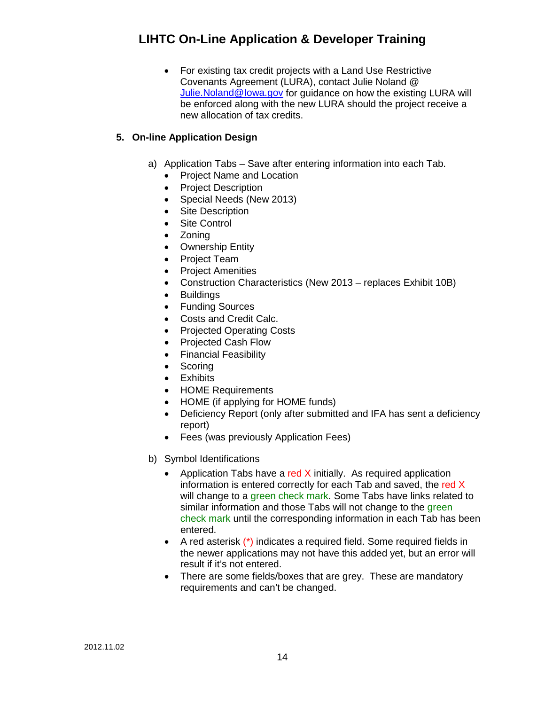• For existing tax credit projects with a Land Use Restrictive Covenants Agreement (LURA), contact Julie Noland @ [Julie.Noland@Iowa.gov](mailto:Julie.Noland@Iowa.gov) for guidance on how the existing LURA will be enforced along with the new LURA should the project receive a new allocation of tax credits.

#### <span id="page-13-1"></span><span id="page-13-0"></span>**5. On-line Application Design**

- a) Application Tabs Save after entering information into each Tab.
	- Project Name and Location
	- Project Description
	- Special Needs (New 2013)
	- Site Description
	- Site Control
	- Zoning
	- Ownership Entity
	- Project Team
	- Project Amenities
	- Construction Characteristics (New 2013 replaces Exhibit 10B)
	- Buildings
	- Funding Sources
	- Costs and Credit Calc.
	- Projected Operating Costs
	- Projected Cash Flow
	- Financial Feasibility
	- Scoring
	- Exhibits
	- HOME Requirements
	- HOME (if applying for HOME funds)
	- Deficiency Report (only after submitted and IFA has sent a deficiency report)
	- Fees (was previously Application Fees)
- <span id="page-13-2"></span>b) Symbol Identifications
	- Application Tabs have a red  $X$  initially. As required application information is entered correctly for each Tab and saved, the red X will change to a green check mark. Some Tabs have links related to similar information and those Tabs will not change to the green check mark until the corresponding information in each Tab has been entered.
	- A red asterisk (\*) indicates a required field. Some required fields in the newer applications may not have this added yet, but an error will result if it's not entered.
	- There are some fields/boxes that are grey. These are mandatory requirements and can't be changed.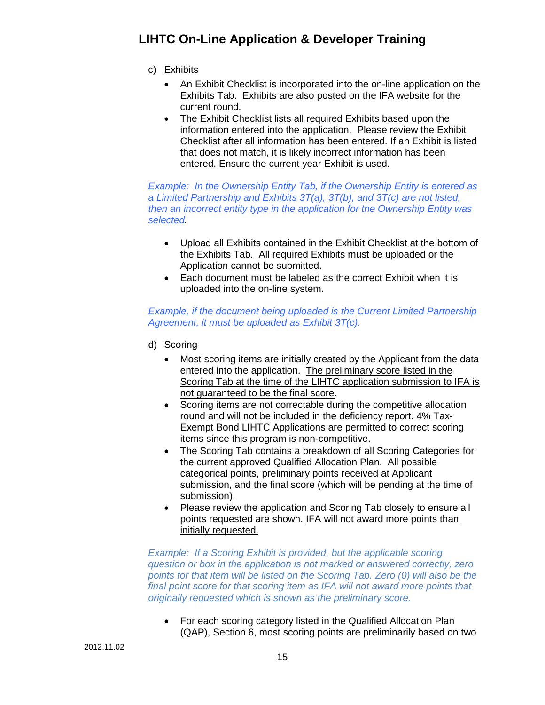- <span id="page-14-0"></span>c) Exhibits
	- An Exhibit Checklist is incorporated into the on-line application on the Exhibits Tab. Exhibits are also posted on the IFA website for the current round.
	- The Exhibit Checklist lists all required Exhibits based upon the information entered into the application. Please review the Exhibit Checklist after all information has been entered. If an Exhibit is listed that does not match, it is likely incorrect information has been entered. Ensure the current year Exhibit is used.

*Example: In the Ownership Entity Tab, if the Ownership Entity is entered as a Limited Partnership and Exhibits 3T(a), 3T(b), and 3T(c) are not listed, then an incorrect entity type in the application for the Ownership Entity was selected.*

- Upload all Exhibits contained in the Exhibit Checklist at the bottom of the Exhibits Tab. All required Exhibits must be uploaded or the Application cannot be submitted.
- Each document must be labeled as the correct Exhibit when it is uploaded into the on-line system.

#### *Example, if the document being uploaded is the Current Limited Partnership Agreement, it must be uploaded as Exhibit 3T(c).*

- <span id="page-14-1"></span>d) Scoring
	- Most scoring items are initially created by the Applicant from the data entered into the application. The preliminary score listed in the Scoring Tab at the time of the LIHTC application submission to IFA is not guaranteed to be the final score.
	- Scoring items are not correctable during the competitive allocation round and will not be included in the deficiency report. 4% Tax-Exempt Bond LIHTC Applications are permitted to correct scoring items since this program is non-competitive.
	- The Scoring Tab contains a breakdown of all Scoring Categories for the current approved Qualified Allocation Plan. All possible categorical points, preliminary points received at Applicant submission, and the final score (which will be pending at the time of submission).
	- Please review the application and Scoring Tab closely to ensure all points requested are shown. IFA will not award more points than initially requested.

**Example: If a Scoring Exhibit is provided, but the applicable scoring** *question or box in the application is not marked or answered correctly, zero points for that item will be listed on the Scoring Tab. Zero (0) will also be the final point score for that scoring item as IFA will not award more points that originally requested which is shown as the preliminary score.*

• For each scoring category listed in the Qualified Allocation Plan (QAP), Section 6, most scoring points are preliminarily based on two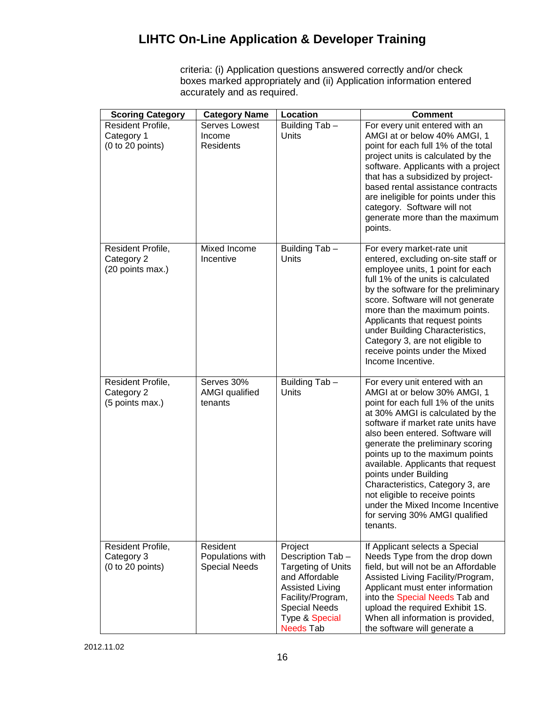criteria: (i) Application questions answered correctly and/or check boxes marked appropriately and (ii) Application information entered accurately and as required.

| <b>Scoring Category</b>                             | <b>Category Name</b>                                 | Location                                                                                                                                                                                | <b>Comment</b>                                                                                                                                                                                                                                                                                                                                                                                                                                                                                                    |
|-----------------------------------------------------|------------------------------------------------------|-----------------------------------------------------------------------------------------------------------------------------------------------------------------------------------------|-------------------------------------------------------------------------------------------------------------------------------------------------------------------------------------------------------------------------------------------------------------------------------------------------------------------------------------------------------------------------------------------------------------------------------------------------------------------------------------------------------------------|
| Resident Profile,<br>Category 1<br>(0 to 20 points) | Serves Lowest<br>Income<br>Residents                 | Building Tab -<br>Units                                                                                                                                                                 | For every unit entered with an<br>AMGI at or below 40% AMGI, 1<br>point for each full 1% of the total<br>project units is calculated by the<br>software. Applicants with a project<br>that has a subsidized by project-<br>based rental assistance contracts<br>are ineligible for points under this<br>category. Software will not<br>generate more than the maximum<br>points.                                                                                                                                  |
| Resident Profile,<br>Category 2<br>(20 points max.) | Mixed Income<br>Incentive                            | Building Tab -<br><b>Units</b>                                                                                                                                                          | For every market-rate unit<br>entered, excluding on-site staff or<br>employee units, 1 point for each<br>full 1% of the units is calculated<br>by the software for the preliminary<br>score. Software will not generate<br>more than the maximum points.<br>Applicants that request points<br>under Building Characteristics,<br>Category 3, are not eligible to<br>receive points under the Mixed<br>Income Incentive.                                                                                           |
| Resident Profile,<br>Category 2<br>(5 points max.)  | Serves 30%<br><b>AMGI</b> qualified<br>tenants       | Building Tab -<br>Units                                                                                                                                                                 | For every unit entered with an<br>AMGI at or below 30% AMGI, 1<br>point for each full 1% of the units<br>at 30% AMGI is calculated by the<br>software if market rate units have<br>also been entered. Software will<br>generate the preliminary scoring<br>points up to the maximum points<br>available. Applicants that request<br>points under Building<br>Characteristics, Category 3, are<br>not eligible to receive points<br>under the Mixed Income Incentive<br>for serving 30% AMGI qualified<br>tenants. |
| Resident Profile,<br>Category 3<br>(0 to 20 points) | Resident<br>Populations with<br><b>Special Needs</b> | Project<br>Description Tab-<br><b>Targeting of Units</b><br>and Affordable<br><b>Assisted Living</b><br>Facility/Program,<br><b>Special Needs</b><br>Type & Special<br><b>Needs Tab</b> | If Applicant selects a Special<br>Needs Type from the drop down<br>field, but will not be an Affordable<br>Assisted Living Facility/Program,<br>Applicant must enter information<br>into the Special Needs Tab and<br>upload the required Exhibit 1S.<br>When all information is provided,<br>the software will generate a                                                                                                                                                                                        |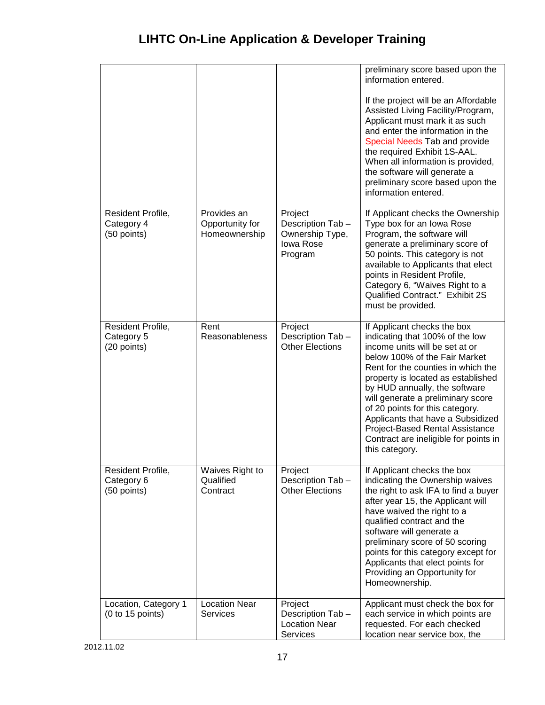|                                                |                                                 |                                                                               | preliminary score based upon the<br>information entered.                                                                                                                                                                                                                                                                                                                                                                                                  |
|------------------------------------------------|-------------------------------------------------|-------------------------------------------------------------------------------|-----------------------------------------------------------------------------------------------------------------------------------------------------------------------------------------------------------------------------------------------------------------------------------------------------------------------------------------------------------------------------------------------------------------------------------------------------------|
|                                                |                                                 |                                                                               | If the project will be an Affordable<br>Assisted Living Facility/Program,<br>Applicant must mark it as such<br>and enter the information in the<br>Special Needs Tab and provide<br>the required Exhibit 1S-AAL.<br>When all information is provided,<br>the software will generate a<br>preliminary score based upon the<br>information entered.                                                                                                         |
| Resident Profile,<br>Category 4<br>(50 points) | Provides an<br>Opportunity for<br>Homeownership | Project<br>Description Tab-<br>Ownership Type,<br><b>lowa Rose</b><br>Program | If Applicant checks the Ownership<br>Type box for an lowa Rose<br>Program, the software will<br>generate a preliminary score of<br>50 points. This category is not<br>available to Applicants that elect<br>points in Resident Profile,<br>Category 6, "Waives Right to a<br><b>Qualified Contract." Exhibit 2S</b><br>must be provided.                                                                                                                  |
| Resident Profile,<br>Category 5<br>(20 points) | Rent<br>Reasonableness                          | Project<br>Description Tab-<br><b>Other Elections</b>                         | If Applicant checks the box<br>indicating that 100% of the low<br>income units will be set at or<br>below 100% of the Fair Market<br>Rent for the counties in which the<br>property is located as established<br>by HUD annually, the software<br>will generate a preliminary score<br>of 20 points for this category.<br>Applicants that have a Subsidized<br>Project-Based Rental Assistance<br>Contract are ineligible for points in<br>this category. |
| Resident Profile,<br>Category 6<br>(50 points) | Waives Right to<br>Qualified<br>Contract        | Project<br>Description Tab-<br><b>Other Elections</b>                         | If Applicant checks the box<br>indicating the Ownership waives<br>the right to ask IFA to find a buyer<br>after year 15, the Applicant will<br>have waived the right to a<br>qualified contract and the<br>software will generate a<br>preliminary score of 50 scoring<br>points for this category except for<br>Applicants that elect points for<br>Providing an Opportunity for<br>Homeownership.                                                       |
| Location, Category 1<br>(0 to 15 points)       | <b>Location Near</b><br><b>Services</b>         | Project<br>Description Tab-<br><b>Location Near</b><br>Services               | Applicant must check the box for<br>each service in which points are<br>requested. For each checked<br>location near service box, the                                                                                                                                                                                                                                                                                                                     |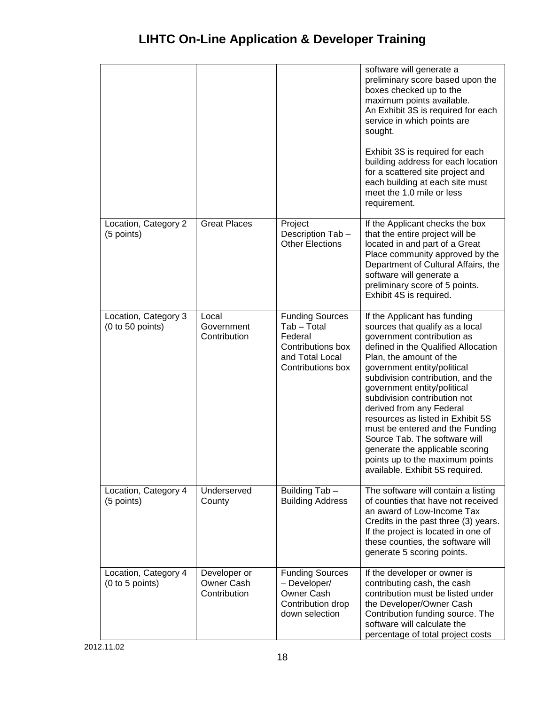|                                          |                                            |                                                                                                               | software will generate a<br>preliminary score based upon the<br>boxes checked up to the<br>maximum points available.<br>An Exhibit 3S is required for each<br>service in which points are<br>sought.<br>Exhibit 3S is required for each<br>building address for each location<br>for a scattered site project and                                                                                                                                                                                                                                |
|------------------------------------------|--------------------------------------------|---------------------------------------------------------------------------------------------------------------|--------------------------------------------------------------------------------------------------------------------------------------------------------------------------------------------------------------------------------------------------------------------------------------------------------------------------------------------------------------------------------------------------------------------------------------------------------------------------------------------------------------------------------------------------|
|                                          |                                            |                                                                                                               | each building at each site must<br>meet the 1.0 mile or less<br>requirement.                                                                                                                                                                                                                                                                                                                                                                                                                                                                     |
| Location, Category 2<br>(5 points)       | <b>Great Places</b>                        | Project<br>Description Tab-<br><b>Other Elections</b>                                                         | If the Applicant checks the box<br>that the entire project will be<br>located in and part of a Great<br>Place community approved by the<br>Department of Cultural Affairs, the<br>software will generate a<br>preliminary score of 5 points.<br>Exhibit 4S is required.                                                                                                                                                                                                                                                                          |
| Location, Category 3<br>(0 to 50 points) | Local<br>Government<br>Contribution        | <b>Funding Sources</b><br>Tab - Total<br>Federal<br>Contributions box<br>and Total Local<br>Contributions box | If the Applicant has funding<br>sources that qualify as a local<br>government contribution as<br>defined in the Qualified Allocation<br>Plan, the amount of the<br>government entity/political<br>subdivision contribution, and the<br>government entity/political<br>subdivision contribution not<br>derived from any Federal<br>resources as listed in Exhibit 5S<br>must be entered and the Funding<br>Source Tab. The software will<br>generate the applicable scoring<br>points up to the maximum points<br>available. Exhibit 5S required. |
| Location, Category 4<br>(5 points)       | Underserved<br>County                      | Building Tab -<br><b>Building Address</b>                                                                     | The software will contain a listing<br>of counties that have not received<br>an award of Low-Income Tax<br>Credits in the past three (3) years.<br>If the project is located in one of<br>these counties, the software will<br>generate 5 scoring points.                                                                                                                                                                                                                                                                                        |
| Location, Category 4<br>(0 to 5 points)  | Developer or<br>Owner Cash<br>Contribution | <b>Funding Sources</b><br>- Developer/<br>Owner Cash<br>Contribution drop<br>down selection                   | If the developer or owner is<br>contributing cash, the cash<br>contribution must be listed under<br>the Developer/Owner Cash<br>Contribution funding source. The<br>software will calculate the<br>percentage of total project costs                                                                                                                                                                                                                                                                                                             |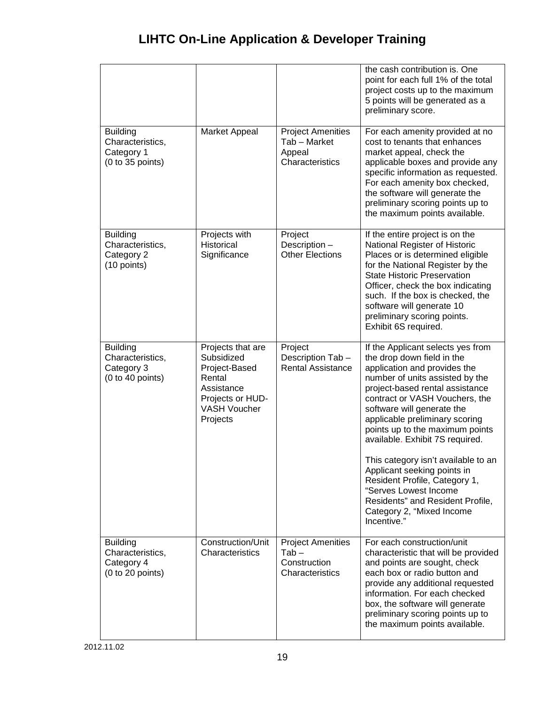|                                                                       |                                                                                                                                 |                                                                        | the cash contribution is. One<br>point for each full 1% of the total<br>project costs up to the maximum<br>5 points will be generated as a<br>preliminary score.                                                                                                                                                                                                                                                                                                                                                                                              |
|-----------------------------------------------------------------------|---------------------------------------------------------------------------------------------------------------------------------|------------------------------------------------------------------------|---------------------------------------------------------------------------------------------------------------------------------------------------------------------------------------------------------------------------------------------------------------------------------------------------------------------------------------------------------------------------------------------------------------------------------------------------------------------------------------------------------------------------------------------------------------|
| <b>Building</b><br>Characteristics,<br>Category 1<br>(0 to 35 points) | <b>Market Appeal</b>                                                                                                            | <b>Project Amenities</b><br>Tab - Market<br>Appeal<br>Characteristics  | For each amenity provided at no<br>cost to tenants that enhances<br>market appeal, check the<br>applicable boxes and provide any<br>specific information as requested.<br>For each amenity box checked,<br>the software will generate the<br>preliminary scoring points up to<br>the maximum points available.                                                                                                                                                                                                                                                |
| <b>Building</b><br>Characteristics,<br>Category 2<br>(10 points)      | Projects with<br>Historical<br>Significance                                                                                     | Project<br>Description -<br><b>Other Elections</b>                     | If the entire project is on the<br>National Register of Historic<br>Places or is determined eligible<br>for the National Register by the<br><b>State Historic Preservation</b><br>Officer, check the box indicating<br>such. If the box is checked, the<br>software will generate 10<br>preliminary scoring points.<br>Exhibit 6S required.                                                                                                                                                                                                                   |
| <b>Building</b><br>Characteristics,<br>Category 3<br>(0 to 40 points) | Projects that are<br>Subsidized<br>Project-Based<br>Rental<br>Assistance<br>Projects or HUD-<br><b>VASH Voucher</b><br>Projects | Project<br>Description Tab-<br><b>Rental Assistance</b>                | If the Applicant selects yes from<br>the drop down field in the<br>application and provides the<br>number of units assisted by the<br>project-based rental assistance<br>contract or VASH Vouchers, the<br>software will generate the<br>applicable preliminary scoring<br>points up to the maximum points<br>available. Exhibit 7S required.<br>This category isn't available to an<br>Applicant seeking points in<br>Resident Profile, Category 1,<br>"Serves Lowest Income<br>Residents" and Resident Profile,<br>Category 2, "Mixed Income<br>Incentive." |
| <b>Building</b><br>Characteristics,<br>Category 4<br>(0 to 20 points) | Construction/Unit<br>Characteristics                                                                                            | <b>Project Amenities</b><br>$Tab -$<br>Construction<br>Characteristics | For each construction/unit<br>characteristic that will be provided<br>and points are sought, check<br>each box or radio button and<br>provide any additional requested<br>information. For each checked<br>box, the software will generate<br>preliminary scoring points up to<br>the maximum points available.                                                                                                                                                                                                                                               |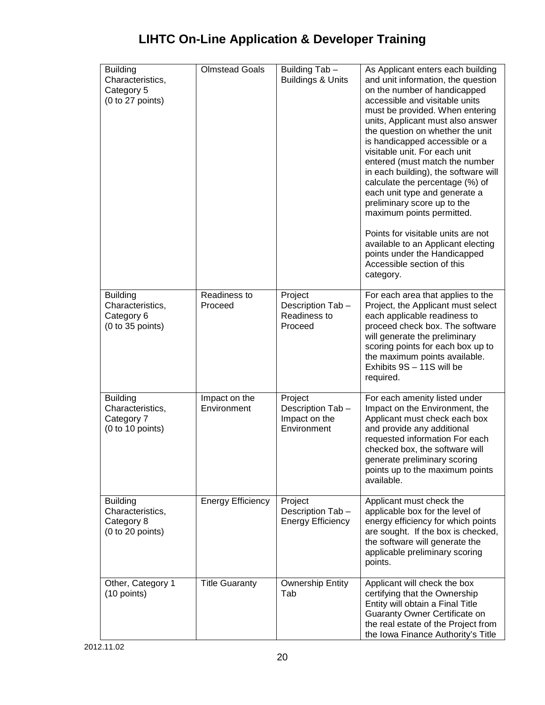| <b>Building</b><br>Characteristics,<br>Category 5<br>(0 to 27 points) | <b>Olmstead Goals</b>        | Building Tab -<br><b>Buildings &amp; Units</b>              | As Applicant enters each building<br>and unit information, the question<br>on the number of handicapped<br>accessible and visitable units<br>must be provided. When entering<br>units, Applicant must also answer<br>the question on whether the unit<br>is handicapped accessible or a<br>visitable unit. For each unit<br>entered (must match the number<br>in each building), the software will<br>calculate the percentage (%) of<br>each unit type and generate a<br>preliminary score up to the<br>maximum points permitted.<br>Points for visitable units are not<br>available to an Applicant electing<br>points under the Handicapped<br>Accessible section of this<br>category. |
|-----------------------------------------------------------------------|------------------------------|-------------------------------------------------------------|-------------------------------------------------------------------------------------------------------------------------------------------------------------------------------------------------------------------------------------------------------------------------------------------------------------------------------------------------------------------------------------------------------------------------------------------------------------------------------------------------------------------------------------------------------------------------------------------------------------------------------------------------------------------------------------------|
| <b>Building</b><br>Characteristics,<br>Category 6<br>(0 to 35 points) | Readiness to<br>Proceed      | Project<br>Description Tab-<br>Readiness to<br>Proceed      | For each area that applies to the<br>Project, the Applicant must select<br>each applicable readiness to<br>proceed check box. The software<br>will generate the preliminary<br>scoring points for each box up to<br>the maximum points available.<br>Exhibits 9S - 11S will be<br>required.                                                                                                                                                                                                                                                                                                                                                                                               |
| <b>Building</b><br>Characteristics,<br>Category 7<br>(0 to 10 points) | Impact on the<br>Environment | Project<br>Description Tab-<br>Impact on the<br>Environment | For each amenity listed under<br>Impact on the Environment, the<br>Applicant must check each box<br>and provide any additional<br>requested information For each<br>checked box, the software will<br>generate preliminary scoring<br>points up to the maximum points<br>available.                                                                                                                                                                                                                                                                                                                                                                                                       |
| <b>Building</b><br>Characteristics,<br>Category 8<br>(0 to 20 points) | <b>Energy Efficiency</b>     | Project<br>Description Tab-<br><b>Energy Efficiency</b>     | Applicant must check the<br>applicable box for the level of<br>energy efficiency for which points<br>are sought. If the box is checked,<br>the software will generate the<br>applicable preliminary scoring<br>points.                                                                                                                                                                                                                                                                                                                                                                                                                                                                    |
| Other, Category 1<br>(10 points)                                      | <b>Title Guaranty</b>        | <b>Ownership Entity</b><br>Tab                              | Applicant will check the box<br>certifying that the Ownership<br>Entity will obtain a Final Title<br>Guaranty Owner Certificate on<br>the real estate of the Project from<br>the Iowa Finance Authority's Title                                                                                                                                                                                                                                                                                                                                                                                                                                                                           |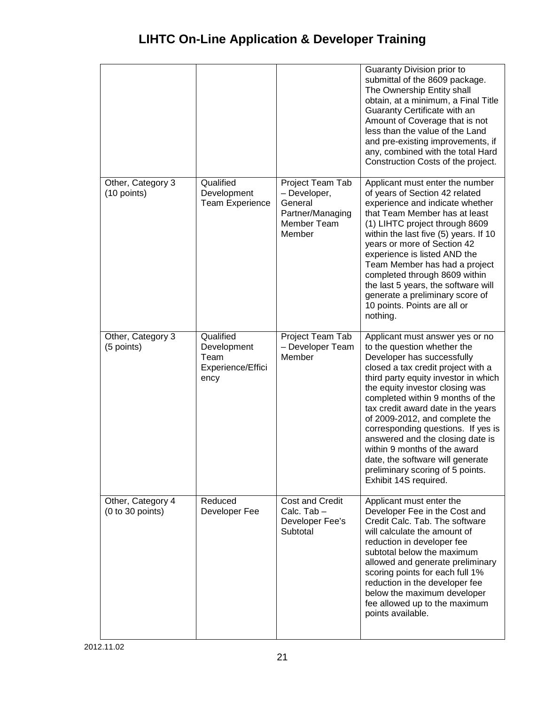|                                       |                                                               |                                                                                          | Guaranty Division prior to<br>submittal of the 8609 package.<br>The Ownership Entity shall<br>obtain, at a minimum, a Final Title<br>Guaranty Certificate with an<br>Amount of Coverage that is not<br>less than the value of the Land<br>and pre-existing improvements, if<br>any, combined with the total Hard<br>Construction Costs of the project.                                                                                                                                                                               |
|---------------------------------------|---------------------------------------------------------------|------------------------------------------------------------------------------------------|--------------------------------------------------------------------------------------------------------------------------------------------------------------------------------------------------------------------------------------------------------------------------------------------------------------------------------------------------------------------------------------------------------------------------------------------------------------------------------------------------------------------------------------|
| Other, Category 3<br>(10 points)      | Qualified<br>Development<br>Team Experience                   | Project Team Tab<br>- Developer,<br>General<br>Partner/Managing<br>Member Team<br>Member | Applicant must enter the number<br>of years of Section 42 related<br>experience and indicate whether<br>that Team Member has at least<br>(1) LIHTC project through 8609<br>within the last five (5) years. If 10<br>years or more of Section 42<br>experience is listed AND the<br>Team Member has had a project<br>completed through 8609 within<br>the last 5 years, the software will<br>generate a preliminary score of<br>10 points. Points are all or<br>nothing.                                                              |
| Other, Category 3<br>(5 points)       | Qualified<br>Development<br>Team<br>Experience/Effici<br>ency | Project Team Tab<br>- Developer Team<br>Member                                           | Applicant must answer yes or no<br>to the question whether the<br>Developer has successfully<br>closed a tax credit project with a<br>third party equity investor in which<br>the equity investor closing was<br>completed within 9 months of the<br>tax credit award date in the years<br>of 2009-2012, and complete the<br>corresponding questions. If yes is<br>answered and the closing date is<br>within 9 months of the award<br>date, the software will generate<br>preliminary scoring of 5 points.<br>Exhibit 14S required. |
| Other, Category 4<br>(0 to 30 points) | Reduced<br>Developer Fee                                      | <b>Cost and Credit</b><br>Calc. Tab-<br>Developer Fee's<br>Subtotal                      | Applicant must enter the<br>Developer Fee in the Cost and<br>Credit Calc. Tab. The software<br>will calculate the amount of<br>reduction in developer fee<br>subtotal below the maximum<br>allowed and generate preliminary<br>scoring points for each full 1%<br>reduction in the developer fee<br>below the maximum developer<br>fee allowed up to the maximum<br>points available.                                                                                                                                                |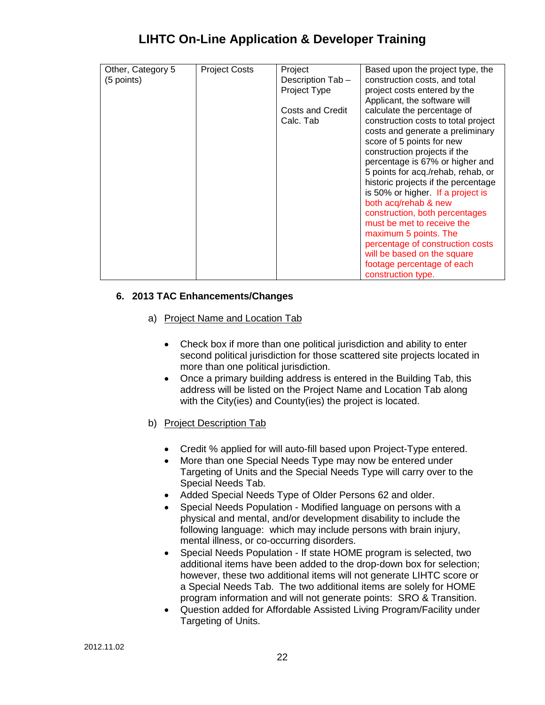| Other, Category 5 | <b>Project Costs</b> | Project                          | Based upon the project type, the                                |
|-------------------|----------------------|----------------------------------|-----------------------------------------------------------------|
| (5 points)        |                      | Description Tab-<br>Project Type | construction costs, and total<br>project costs entered by the   |
|                   |                      |                                  | Applicant, the software will                                    |
|                   |                      | <b>Costs and Credit</b>          | calculate the percentage of                                     |
|                   |                      | Calc. Tab                        | construction costs to total project                             |
|                   |                      |                                  | costs and generate a preliminary                                |
|                   |                      |                                  | score of 5 points for new                                       |
|                   |                      |                                  | construction projects if the<br>percentage is 67% or higher and |
|                   |                      |                                  | 5 points for acq./rehab, rehab, or                              |
|                   |                      |                                  | historic projects if the percentage                             |
|                   |                      |                                  | is 50% or higher. If a project is                               |
|                   |                      |                                  | both acq/rehab & new                                            |
|                   |                      |                                  | construction, both percentages                                  |
|                   |                      |                                  | must be met to receive the<br>maximum 5 points. The             |
|                   |                      |                                  | percentage of construction costs                                |
|                   |                      |                                  | will be based on the square                                     |
|                   |                      |                                  | footage percentage of each                                      |
|                   |                      |                                  | construction type.                                              |

#### <span id="page-21-1"></span><span id="page-21-0"></span>**6. 2013 TAC Enhancements/Changes**

#### a) Project Name and Location Tab

- Check box if more than one political jurisdiction and ability to enter second political jurisdiction for those scattered site projects located in more than one political jurisdiction.
- Once a primary building address is entered in the Building Tab, this address will be listed on the Project Name and Location Tab along with the City(ies) and County(ies) the project is located.
- <span id="page-21-2"></span>b) Project Description Tab
	- Credit % applied for will auto-fill based upon Project-Type entered.
	- More than one Special Needs Type may now be entered under Targeting of Units and the Special Needs Type will carry over to the Special Needs Tab.
	- Added Special Needs Type of Older Persons 62 and older.
	- Special Needs Population Modified language on persons with a physical and mental, and/or development disability to include the following language: which may include persons with brain injury, mental illness, or co-occurring disorders.
	- Special Needs Population If state HOME program is selected, two additional items have been added to the drop-down box for selection; however, these two additional items will not generate LIHTC score or a Special Needs Tab. The two additional items are solely for HOME program information and will not generate points: SRO & Transition.
	- Question added for Affordable Assisted Living Program/Facility under Targeting of Units.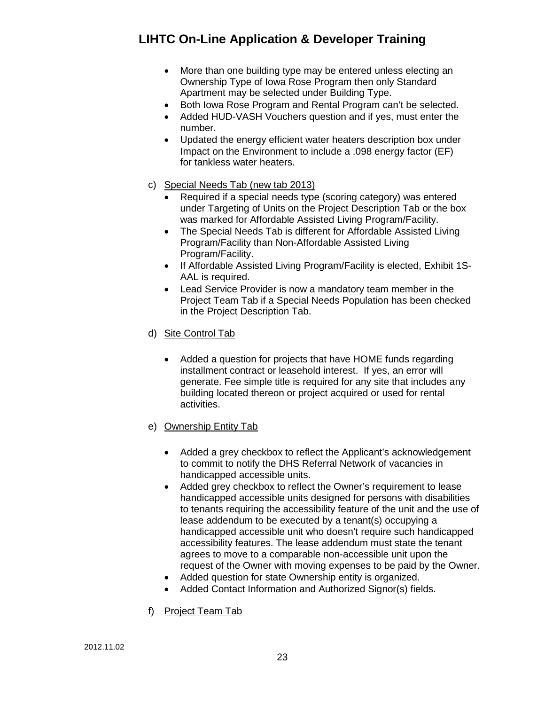- More than one building type may be entered unless electing an Ownership Type of Iowa Rose Program then only Standard Apartment may be selected under Building Type.
- Both Iowa Rose Program and Rental Program can't be selected.
- Added HUD-VASH Vouchers question and if yes, must enter the number.
- Updated the energy efficient water heaters description box under Impact on the Environment to include a .098 energy factor (EF) for tankless water heaters.
- <span id="page-22-0"></span>c) Special Needs Tab (new tab 2013)
	- Required if a special needs type (scoring category) was entered under Targeting of Units on the Project Description Tab or the box was marked for Affordable Assisted Living Program/Facility.
	- The Special Needs Tab is different for Affordable Assisted Living Program/Facility than Non-Affordable Assisted Living Program/Facility.
	- If Affordable Assisted Living Program/Facility is elected, Exhibit 1S-AAL is required.
	- Lead Service Provider is now a mandatory team member in the Project Team Tab if a Special Needs Population has been checked in the Project Description Tab.
- <span id="page-22-1"></span>d) Site Control Tab
	- Added a question for projects that have HOME funds regarding installment contract or leasehold interest. If yes, an error will generate. Fee simple title is required for any site that includes any building located thereon or project acquired or used for rental activities.
- <span id="page-22-2"></span>e) Ownership Entity Tab
	- Added a grey checkbox to reflect the Applicant's acknowledgement to commit to notify the DHS Referral Network of vacancies in handicapped accessible units.
	- Added grey checkbox to reflect the Owner's requirement to lease handicapped accessible units designed for persons with disabilities to tenants requiring the accessibility feature of the unit and the use of lease addendum to be executed by a tenant(s) occupying a handicapped accessible unit who doesn't require such handicapped accessibility features. The lease addendum must state the tenant agrees to move to a comparable non-accessible unit upon the request of the Owner with moving expenses to be paid by the Owner.
	- Added question for state Ownership entity is organized.
	- Added Contact Information and Authorized Signor(s) fields.
- <span id="page-22-3"></span>f) Project Team Tab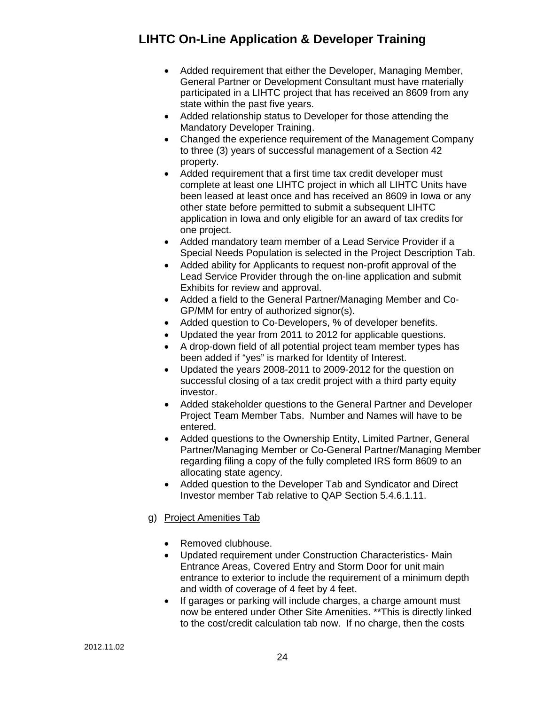- Added requirement that either the Developer, Managing Member, General Partner or Development Consultant must have materially participated in a LIHTC project that has received an 8609 from any state within the past five years.
- Added relationship status to Developer for those attending the Mandatory Developer Training.
- Changed the experience requirement of the Management Company to three (3) years of successful management of a Section 42 property.
- Added requirement that a first time tax credit developer must complete at least one LIHTC project in which all LIHTC Units have been leased at least once and has received an 8609 in Iowa or any other state before permitted to submit a subsequent LIHTC application in Iowa and only eligible for an award of tax credits for one project.
- Added mandatory team member of a Lead Service Provider if a Special Needs Population is selected in the Project Description Tab.
- Added ability for Applicants to request non-profit approval of the Lead Service Provider through the on-line application and submit Exhibits for review and approval.
- Added a field to the General Partner/Managing Member and Co-GP/MM for entry of authorized signor(s).
- Added question to Co-Developers, % of developer benefits.
- Updated the year from 2011 to 2012 for applicable questions.
- A drop-down field of all potential project team member types has been added if "yes" is marked for Identity of Interest.
- Updated the years 2008-2011 to 2009-2012 for the question on successful closing of a tax credit project with a third party equity investor.
- Added stakeholder questions to the General Partner and Developer Project Team Member Tabs. Number and Names will have to be entered.
- Added questions to the Ownership Entity, Limited Partner, General Partner/Managing Member or Co-General Partner/Managing Member regarding filing a copy of the fully completed IRS form 8609 to an allocating state agency.
- Added question to the Developer Tab and Syndicator and Direct Investor member Tab relative to QAP Section 5.4.6.1.11.

#### <span id="page-23-0"></span>g) Project Amenities Tab

- Removed clubhouse.
- Updated requirement under Construction Characteristics- Main Entrance Areas, Covered Entry and Storm Door for unit main entrance to exterior to include the requirement of a minimum depth and width of coverage of 4 feet by 4 feet.
- If garages or parking will include charges, a charge amount must now be entered under Other Site Amenities. \*\*This is directly linked to the cost/credit calculation tab now. If no charge, then the costs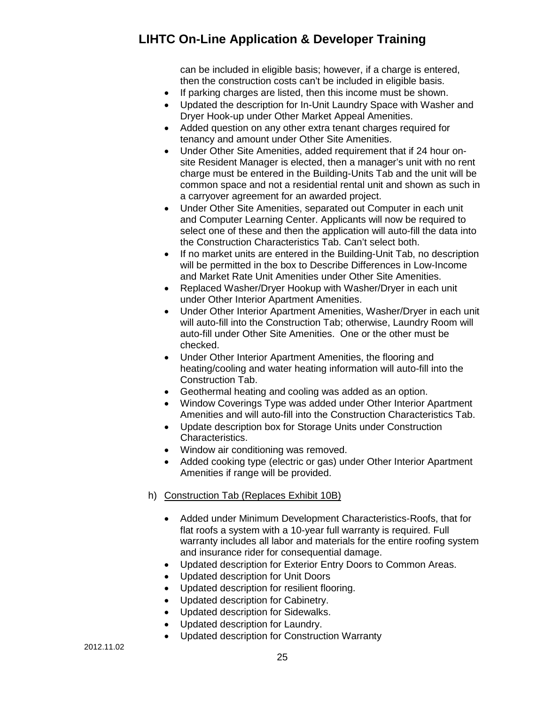can be included in eligible basis; however, if a charge is entered, then the construction costs can't be included in eligible basis.

- If parking charges are listed, then this income must be shown.
- Updated the description for In-Unit Laundry Space with Washer and Dryer Hook-up under Other Market Appeal Amenities.
- Added question on any other extra tenant charges required for tenancy and amount under Other Site Amenities.
- Under Other Site Amenities, added requirement that if 24 hour onsite Resident Manager is elected, then a manager's unit with no rent charge must be entered in the Building-Units Tab and the unit will be common space and not a residential rental unit and shown as such in a carryover agreement for an awarded project.
- Under Other Site Amenities, separated out Computer in each unit and Computer Learning Center. Applicants will now be required to select one of these and then the application will auto-fill the data into the Construction Characteristics Tab. Can't select both.
- If no market units are entered in the Building-Unit Tab, no description will be permitted in the box to Describe Differences in Low-Income and Market Rate Unit Amenities under Other Site Amenities.
- Replaced Washer/Dryer Hookup with Washer/Dryer in each unit under Other Interior Apartment Amenities.
- Under Other Interior Apartment Amenities, Washer/Dryer in each unit will auto-fill into the Construction Tab; otherwise, Laundry Room will auto-fill under Other Site Amenities. One or the other must be checked.
- Under Other Interior Apartment Amenities, the flooring and heating/cooling and water heating information will auto-fill into the Construction Tab.
- Geothermal heating and cooling was added as an option.
- Window Coverings Type was added under Other Interior Apartment Amenities and will auto-fill into the Construction Characteristics Tab.
- Update description box for Storage Units under Construction Characteristics.
- Window air conditioning was removed.
- Added cooking type (electric or gas) under Other Interior Apartment Amenities if range will be provided.

#### <span id="page-24-0"></span>h) Construction Tab (Replaces Exhibit 10B)

- Added under Minimum Development Characteristics-Roofs, that for flat roofs a system with a 10-year full warranty is required. Full warranty includes all labor and materials for the entire roofing system and insurance rider for consequential damage.
- Updated description for Exterior Entry Doors to Common Areas.
- Updated description for Unit Doors
- Updated description for resilient flooring.
- Updated description for Cabinetry.
- Updated description for Sidewalks.
- Updated description for Laundry.
- Updated description for Construction Warranty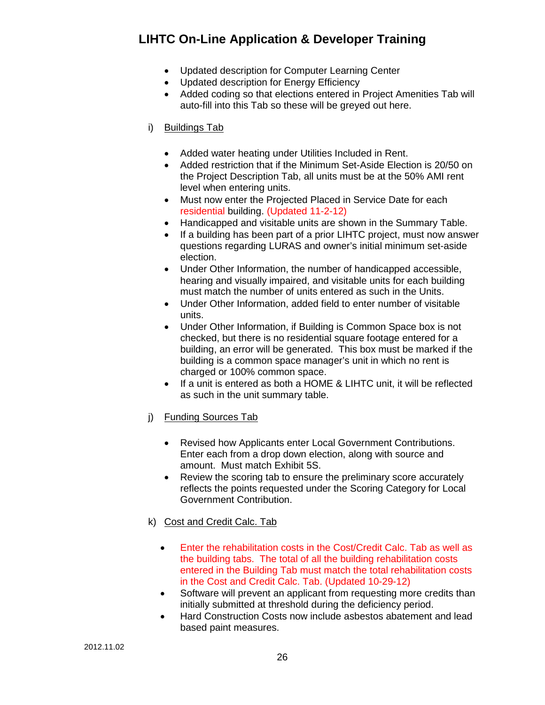- Updated description for Computer Learning Center
- Updated description for Energy Efficiency
- Added coding so that elections entered in Project Amenities Tab will auto-fill into this Tab so these will be greyed out here.

#### <span id="page-25-0"></span>i) Buildings Tab

- Added water heating under Utilities Included in Rent.
- Added restriction that if the Minimum Set-Aside Election is 20/50 on the Project Description Tab, all units must be at the 50% AMI rent level when entering units.
- Must now enter the Projected Placed in Service Date for each residential building. (Updated 11-2-12)
- Handicapped and visitable units are shown in the Summary Table.
- If a building has been part of a prior LIHTC project, must now answer questions regarding LURAS and owner's initial minimum set-aside election.
- Under Other Information, the number of handicapped accessible, hearing and visually impaired, and visitable units for each building must match the number of units entered as such in the Units.
- Under Other Information, added field to enter number of visitable units.
- Under Other Information, if Building is Common Space box is not checked, but there is no residential square footage entered for a building, an error will be generated. This box must be marked if the building is a common space manager's unit in which no rent is charged or 100% common space.
- If a unit is entered as both a HOME & LIHTC unit, it will be reflected as such in the unit summary table.
- <span id="page-25-1"></span>j) Funding Sources Tab
	- Revised how Applicants enter Local Government Contributions. Enter each from a drop down election, along with source and amount. Must match Exhibit 5S.
	- Review the scoring tab to ensure the preliminary score accurately reflects the points requested under the Scoring Category for Local Government Contribution.
- <span id="page-25-2"></span>k) Cost and Credit Calc. Tab
	- Enter the rehabilitation costs in the Cost/Credit Calc. Tab as well as the building tabs. The total of all the building rehabilitation costs entered in the Building Tab must match the total rehabilitation costs in the Cost and Credit Calc. Tab. (Updated 10-29-12)
	- Software will prevent an applicant from requesting more credits than initially submitted at threshold during the deficiency period.
	- Hard Construction Costs now include asbestos abatement and lead based paint measures.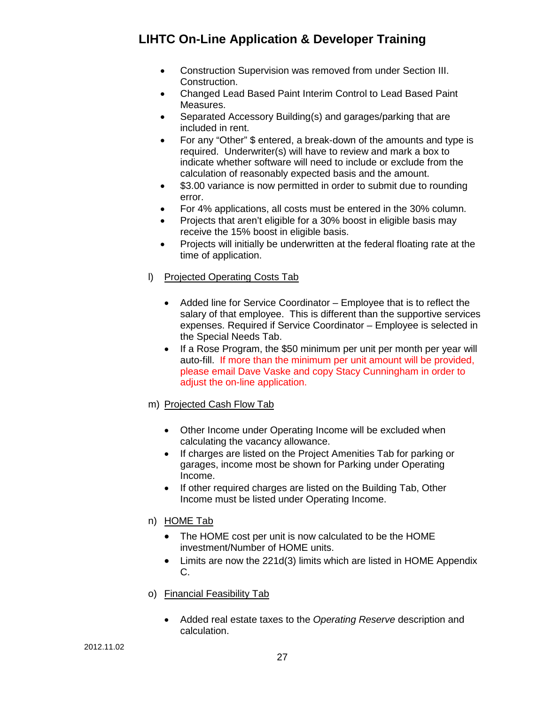- Construction Supervision was removed from under Section III. Construction.
- Changed Lead Based Paint Interim Control to Lead Based Paint Measures.
- Separated Accessory Building(s) and garages/parking that are included in rent.
- For any "Other" \$ entered, a break-down of the amounts and type is required. Underwriter(s) will have to review and mark a box to indicate whether software will need to include or exclude from the calculation of reasonably expected basis and the amount.
- \$3.00 variance is now permitted in order to submit due to rounding error.
- For 4% applications, all costs must be entered in the 30% column.
- Projects that aren't eligible for a 30% boost in eligible basis may receive the 15% boost in eligible basis.
- Projects will initially be underwritten at the federal floating rate at the time of application.
- <span id="page-26-0"></span>l) Projected Operating Costs Tab
	- Added line for Service Coordinator Employee that is to reflect the salary of that employee. This is different than the supportive services expenses. Required if Service Coordinator – Employee is selected in the Special Needs Tab.
	- If a Rose Program, the \$50 minimum per unit per month per year will auto-fill. If more than the minimum per unit amount will be provided, please email Dave Vaske and copy Stacy Cunningham in order to adjust the on-line application.
- <span id="page-26-1"></span>m) Projected Cash Flow Tab
	- Other Income under Operating Income will be excluded when calculating the vacancy allowance.
	- If charges are listed on the Project Amenities Tab for parking or garages, income most be shown for Parking under Operating Income.
	- If other required charges are listed on the Building Tab, Other Income must be listed under Operating Income.
- <span id="page-26-2"></span>n) HOME Tab
	- The HOME cost per unit is now calculated to be the HOME investment/Number of HOME units.
	- Limits are now the 221d(3) limits which are listed in HOME Appendix C.
- <span id="page-26-3"></span>o) Financial Feasibility Tab
	- Added real estate taxes to the *Operating Reserve* description and calculation.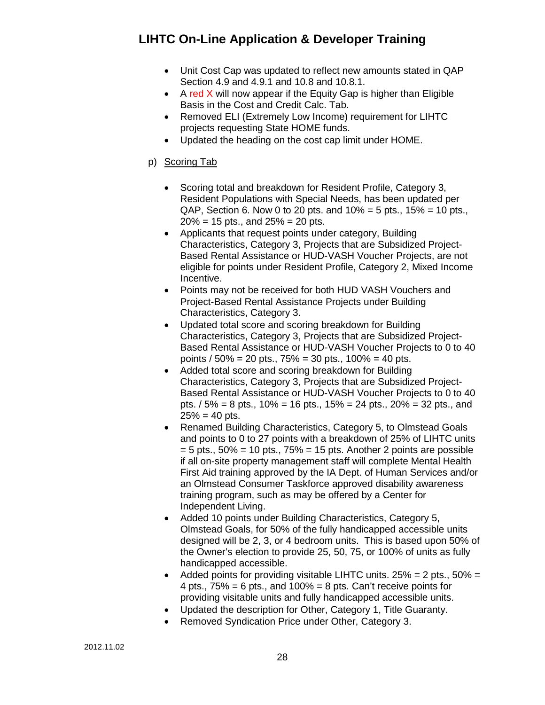- Unit Cost Cap was updated to reflect new amounts stated in QAP Section 4.9 and 4.9.1 and 10.8 and 10.8.1.
- A red X will now appear if the Equity Gap is higher than Eligible Basis in the Cost and Credit Calc. Tab.
- Removed ELI (Extremely Low Income) requirement for LIHTC projects requesting State HOME funds.
- Updated the heading on the cost cap limit under HOME.

#### <span id="page-27-0"></span>p) Scoring Tab

- Scoring total and breakdown for Resident Profile, Category 3, Resident Populations with Special Needs, has been updated per QAP, Section 6. Now 0 to 20 pts. and  $10\% = 5$  pts.,  $15\% = 10$  pts.,  $20\% = 15$  pts., and  $25\% = 20$  pts.
- Applicants that request points under category, Building Characteristics, Category 3, Projects that are Subsidized Project-Based Rental Assistance or HUD-VASH Voucher Projects, are not eligible for points under Resident Profile, Category 2, Mixed Income Incentive.
- Points may not be received for both HUD VASH Vouchers and Project-Based Rental Assistance Projects under Building Characteristics, Category 3.
- Updated total score and scoring breakdown for Building Characteristics, Category 3, Projects that are Subsidized Project-Based Rental Assistance or HUD-VASH Voucher Projects to 0 to 40 points / 50% = 20 pts., 75% = 30 pts., 100% = 40 pts.
- Added total score and scoring breakdown for Building Characteristics, Category 3, Projects that are Subsidized Project-Based Rental Assistance or HUD-VASH Voucher Projects to 0 to 40 pts. / 5% = 8 pts., 10% = 16 pts., 15% = 24 pts., 20% = 32 pts., and  $25% = 40$  pts.
- Renamed Building Characteristics, Category 5, to Olmstead Goals and points to 0 to 27 points with a breakdown of 25% of LIHTC units  $= 5$  pts.,  $50\% = 10$  pts.,  $75\% = 15$  pts. Another 2 points are possible if all on-site property management staff will complete Mental Health First Aid training approved by the IA Dept. of Human Services and/or an Olmstead Consumer Taskforce approved disability awareness training program, such as may be offered by a Center for Independent Living.
- Added 10 points under Building Characteristics, Category 5, Olmstead Goals, for 50% of the fully handicapped accessible units designed will be 2, 3, or 4 bedroom units. This is based upon 50% of the Owner's election to provide 25, 50, 75, or 100% of units as fully handicapped accessible.
- Added points for providing visitable LIHTC units.  $25% = 2$  pts.,  $50% =$ 4 pts.,  $75\% = 6$  pts., and  $100\% = 8$  pts. Can't receive points for providing visitable units and fully handicapped accessible units.
- Updated the description for Other, Category 1, Title Guaranty.
- Removed Syndication Price under Other, Category 3.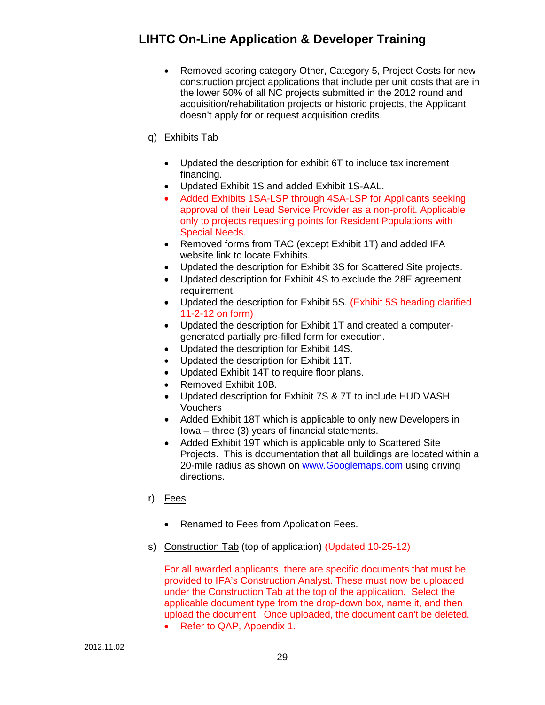• Removed scoring category Other, Category 5, Project Costs for new construction project applications that include per unit costs that are in the lower 50% of all NC projects submitted in the 2012 round and acquisition/rehabilitation projects or historic projects, the Applicant doesn't apply for or request acquisition credits.

#### <span id="page-28-0"></span>q) Exhibits Tab

- Updated the description for exhibit 6T to include tax increment financing.
- Updated Exhibit 1S and added Exhibit 1S-AAL.
- Added Exhibits 1SA-LSP through 4SA-LSP for Applicants seeking approval of their Lead Service Provider as a non-profit. Applicable only to projects requesting points for Resident Populations with Special Needs.
- Removed forms from TAC (except Exhibit 1T) and added IFA website link to locate Exhibits.
- Updated the description for Exhibit 3S for Scattered Site projects.
- Updated description for Exhibit 4S to exclude the 28E agreement requirement.
- Updated the description for Exhibit 5S. (Exhibit 5S heading clarified 11-2-12 on form)
- Updated the description for Exhibit 1T and created a computergenerated partially pre-filled form for execution.
- Updated the description for Exhibit 14S.
- Updated the description for Exhibit 11T.
- Updated Exhibit 14T to require floor plans.
- Removed Exhibit 10B.
- Updated description for Exhibit 7S & 7T to include HUD VASH Vouchers
- Added Exhibit 18T which is applicable to only new Developers in Iowa – three (3) years of financial statements.
- Added Exhibit 19T which is applicable only to Scattered Site Projects. This is documentation that all buildings are located within a 20-mile radius as shown on [www.Googlemaps.com](http://www.googlemaps.com/) using driving directions.
- <span id="page-28-1"></span>r) Fees
	- Renamed to Fees from Application Fees.
- <span id="page-28-2"></span>s) Construction Tab (top of application) (Updated 10-25-12)

For all awarded applicants, there are specific documents that must be provided to IFA's Construction Analyst. These must now be uploaded under the Construction Tab at the top of the application. Select the applicable document type from the drop-down box, name it, and then upload the document. Once uploaded, the document can't be deleted.

• Refer to QAP, Appendix 1.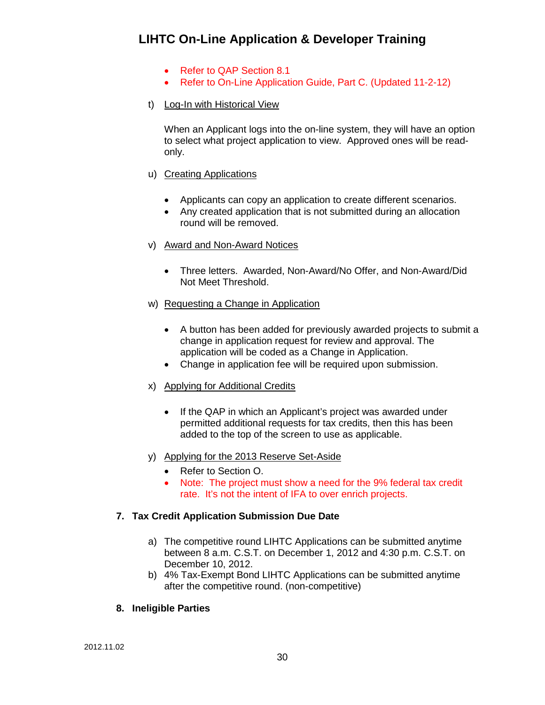- Refer to QAP Section 8.1
- Refer to On-Line Application Guide, Part C. (Updated 11-2-12)
- <span id="page-29-0"></span>t) Log-In with Historical View

When an Applicant logs into the on-line system, they will have an option to select what project application to view. Approved ones will be readonly.

- <span id="page-29-1"></span>u) Creating Applications
	- Applicants can copy an application to create different scenarios.
	- Any created application that is not submitted during an allocation round will be removed.
- <span id="page-29-2"></span>v) Award and Non-Award Notices
	- Three letters. Awarded, Non-Award/No Offer, and Non-Award/Did Not Meet Threshold.
- <span id="page-29-3"></span>w) Requesting a Change in Application
	- A button has been added for previously awarded projects to submit a change in application request for review and approval. The application will be coded as a Change in Application.
	- Change in application fee will be required upon submission.
- <span id="page-29-4"></span>x) Applying for Additional Credits
	- If the QAP in which an Applicant's project was awarded under permitted additional requests for tax credits, then this has been added to the top of the screen to use as applicable.
- <span id="page-29-5"></span>y) Applying for the 2013 Reserve Set-Aside
	- Refer to Section O.
	- Note: The project must show a need for the 9% federal tax credit rate. It's not the intent of IFA to over enrich projects.

#### <span id="page-29-6"></span>**7. Tax Credit Application Submission Due Date**

- a) The competitive round LIHTC Applications can be submitted anytime between 8 a.m. C.S.T. on December 1, 2012 and 4:30 p.m. C.S.T. on December 10, 2012.
- b) 4% Tax-Exempt Bond LIHTC Applications can be submitted anytime after the competitive round. (non-competitive)

#### <span id="page-29-7"></span>**8. Ineligible Parties**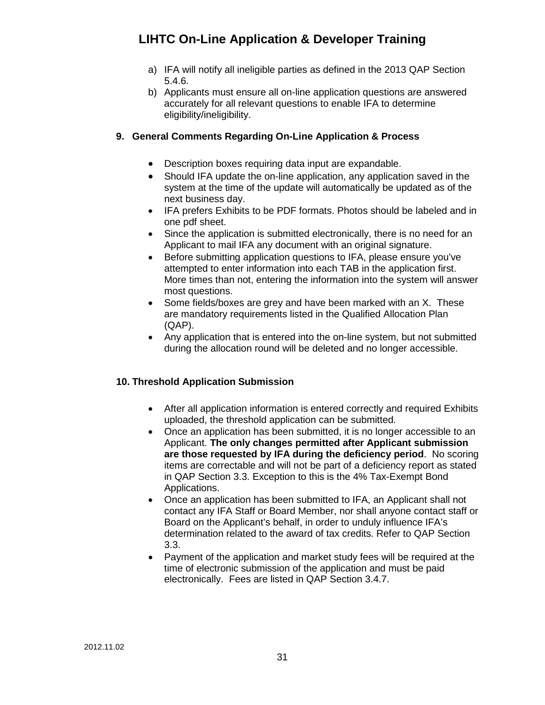- a) IFA will notify all ineligible parties as defined in the 2013 QAP Section 5.4.6.
- b) Applicants must ensure all on-line application questions are answered accurately for all relevant questions to enable IFA to determine eligibility/ineligibility.

#### <span id="page-30-0"></span>**9. General Comments Regarding On-Line Application & Process**

- Description boxes requiring data input are expandable.
- Should IFA update the on-line application, any application saved in the system at the time of the update will automatically be updated as of the next business day.
- IFA prefers Exhibits to be PDF formats. Photos should be labeled and in one pdf sheet.
- Since the application is submitted electronically, there is no need for an Applicant to mail IFA any document with an original signature.
- Before submitting application questions to IFA, please ensure you've attempted to enter information into each TAB in the application first. More times than not, entering the information into the system will answer most questions.
- Some fields/boxes are grey and have been marked with an X. These are mandatory requirements listed in the Qualified Allocation Plan (QAP).
- Any application that is entered into the on-line system, but not submitted during the allocation round will be deleted and no longer accessible.

#### <span id="page-30-1"></span>**10. Threshold Application Submission**

- After all application information is entered correctly and required Exhibits uploaded, the threshold application can be submitted.
- Once an application has been submitted, it is no longer accessible to an Applicant. **The only changes permitted after Applicant submission are those requested by IFA during the deficiency period**. No scoring items are correctable and will not be part of a deficiency report as stated in QAP Section 3.3. Exception to this is the 4% Tax-Exempt Bond Applications.
- Once an application has been submitted to IFA, an Applicant shall not contact any IFA Staff or Board Member, nor shall anyone contact staff or Board on the Applicant's behalf, in order to unduly influence IFA's determination related to the award of tax credits. Refer to QAP Section 3.3.
- Payment of the application and market study fees will be required at the time of electronic submission of the application and must be paid electronically. Fees are listed in QAP Section 3.4.7.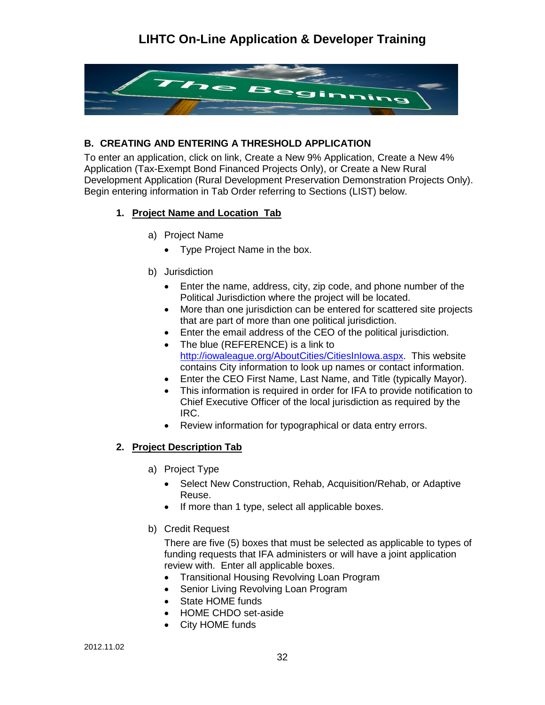

#### <span id="page-31-0"></span>**B. CREATING AND ENTERING A THRESHOLD APPLICATION**

To enter an application, click on link, Create a New 9% Application, Create a New 4% Application (Tax-Exempt Bond Financed Projects Only), or Create a New Rural Development Application (Rural Development Preservation Demonstration Projects Only). Begin entering information in Tab Order referring to Sections (LIST) below.

#### <span id="page-31-3"></span><span id="page-31-2"></span><span id="page-31-1"></span>**1. Project Name and Location Tab**

- a) Project Name
	- Type Project Name in the box.
- b) Jurisdiction
	- Enter the name, address, city, zip code, and phone number of the Political Jurisdiction where the project will be located.
	- More than one jurisdiction can be entered for scattered site projects that are part of more than one political jurisdiction.
	- Enter the email address of the CEO of the political jurisdiction.
	- The blue (REFERENCE) is a link to [http://iowaleague.org/AboutCities/CitiesInIowa.aspx.](http://iowaleague.org/AboutCities/CitiesInIowa.aspx) This website contains City information to look up names or contact information.
	- Enter the CEO First Name, Last Name, and Title (typically Mayor).
	- This information is required in order for IFA to provide notification to Chief Executive Officer of the local jurisdiction as required by the IRC.
	- Review information for typographical or data entry errors.

#### <span id="page-31-5"></span><span id="page-31-4"></span>**2. Project Description Tab**

- a) Project Type
	- Select New Construction, Rehab, Acquisition/Rehab, or Adaptive Reuse.
	- If more than 1 type, select all applicable boxes.
- <span id="page-31-6"></span>b) Credit Request

There are five (5) boxes that must be selected as applicable to types of funding requests that IFA administers or will have a joint application review with. Enter all applicable boxes.

- Transitional Housing Revolving Loan Program
- Senior Living Revolving Loan Program
- State HOME funds
- HOME CHDO set-aside
- City HOME funds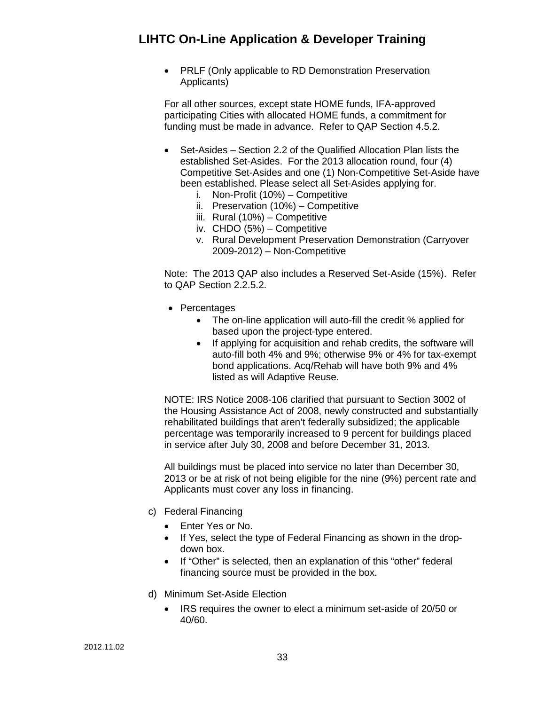• PRLF (Only applicable to RD Demonstration Preservation Applicants)

For all other sources, except state HOME funds, IFA-approved participating Cities with allocated HOME funds, a commitment for funding must be made in advance. Refer to QAP Section 4.5.2.

- Set-Asides Section 2.2 of the Qualified Allocation Plan lists the established Set-Asides. For the 2013 allocation round, four (4) Competitive Set-Asides and one (1) Non-Competitive Set-Aside have been established. Please select all Set-Asides applying for.
	- i. Non-Profit (10%) Competitive
	- ii. Preservation (10%) Competitive
	- iii. Rural (10%) Competitive
	- iv. CHDO (5%) Competitive
	- v. Rural Development Preservation Demonstration (Carryover 2009-2012) – Non-Competitive

Note: The 2013 QAP also includes a Reserved Set-Aside (15%). Refer to QAP Section 2.2.5.2.

- Percentages
	- The on-line application will auto-fill the credit % applied for based upon the project-type entered.
	- If applying for acquisition and rehab credits, the software will auto-fill both 4% and 9%; otherwise 9% or 4% for tax-exempt bond applications. Acq/Rehab will have both 9% and 4% listed as will Adaptive Reuse.

NOTE: IRS Notice 2008-106 clarified that pursuant to Section 3002 of the Housing Assistance Act of 2008, newly constructed and substantially rehabilitated buildings that aren't federally subsidized; the applicable percentage was temporarily increased to 9 percent for buildings placed in service after July 30, 2008 and before December 31, 2013.

All buildings must be placed into service no later than December 30, 2013 or be at risk of not being eligible for the nine (9%) percent rate and Applicants must cover any loss in financing.

- <span id="page-32-0"></span>c) Federal Financing
	- Enter Yes or No.
	- If Yes, select the type of Federal Financing as shown in the dropdown box.
	- If "Other" is selected, then an explanation of this "other" federal financing source must be provided in the box.
- <span id="page-32-1"></span>d) Minimum Set-Aside Election
	- IRS requires the owner to elect a minimum set-aside of 20/50 or 40/60.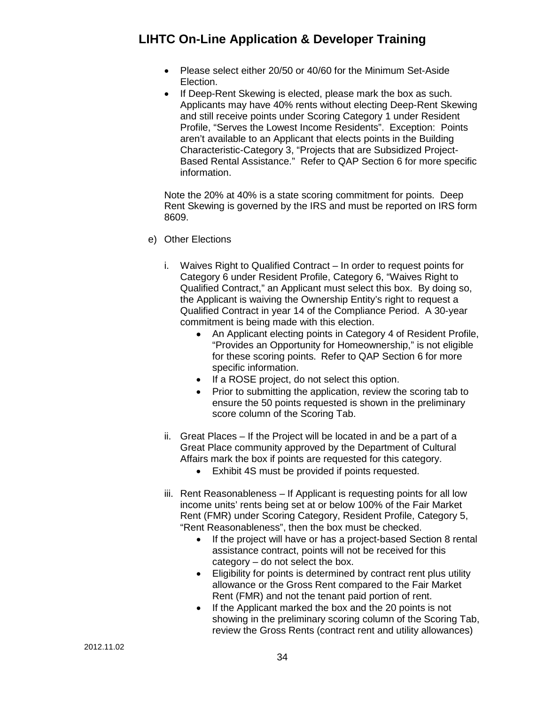- Please select either 20/50 or 40/60 for the Minimum Set-Aside Election.
- If Deep-Rent Skewing is elected, please mark the box as such. Applicants may have 40% rents without electing Deep-Rent Skewing and still receive points under Scoring Category 1 under Resident Profile, "Serves the Lowest Income Residents". Exception: Points aren't available to an Applicant that elects points in the Building Characteristic-Category 3, "Projects that are Subsidized Project-Based Rental Assistance." Refer to QAP Section 6 for more specific information.

Note the 20% at 40% is a state scoring commitment for points. Deep Rent Skewing is governed by the IRS and must be reported on IRS form 8609.

- <span id="page-33-2"></span><span id="page-33-1"></span><span id="page-33-0"></span>e) Other Elections
	- i. Waives Right to Qualified Contract In order to request points for Category 6 under Resident Profile, Category 6, "Waives Right to Qualified Contract," an Applicant must select this box. By doing so, the Applicant is waiving the Ownership Entity's right to request a Qualified Contract in year 14 of the Compliance Period. A 30-year commitment is being made with this election.
		- An Applicant electing points in Category 4 of Resident Profile, "Provides an Opportunity for Homeownership," is not eligible for these scoring points. Refer to QAP Section 6 for more specific information.
		- If a ROSE project, do not select this option.
		- Prior to submitting the application, review the scoring tab to ensure the 50 points requested is shown in the preliminary score column of the Scoring Tab.
	- ii. Great Places If the Project will be located in and be a part of a Great Place community approved by the Department of Cultural Affairs mark the box if points are requested for this category.
		- Exhibit 4S must be provided if points requested.
	- iii. Rent Reasonableness If Applicant is requesting points for all low income units' rents being set at or below 100% of the Fair Market Rent (FMR) under Scoring Category, Resident Profile, Category 5, "Rent Reasonableness", then the box must be checked.
		- If the project will have or has a project-based Section 8 rental assistance contract, points will not be received for this category – do not select the box.
		- Eligibility for points is determined by contract rent plus utility allowance or the Gross Rent compared to the Fair Market Rent (FMR) and not the tenant paid portion of rent.
		- If the Applicant marked the box and the 20 points is not showing in the preliminary scoring column of the Scoring Tab, review the Gross Rents (contract rent and utility allowances)

<span id="page-33-3"></span>2012.11.02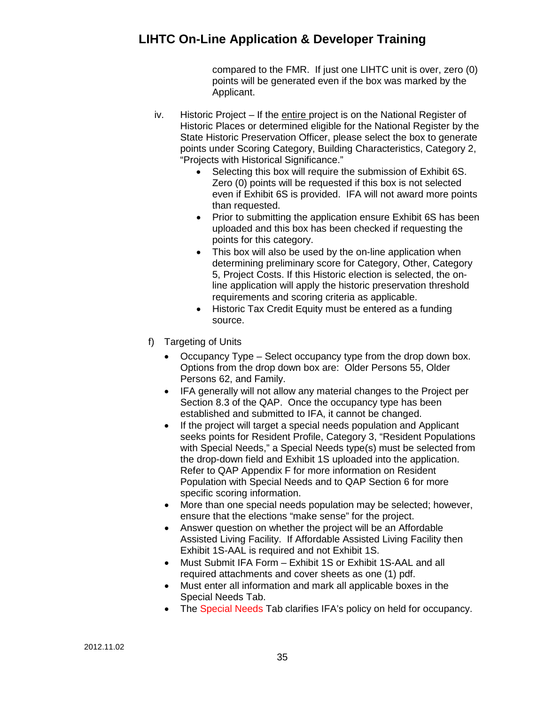compared to the FMR. If just one LIHTC unit is over, zero (0) points will be generated even if the box was marked by the Applicant.

- <span id="page-34-0"></span>iv. Historic Project – If the entire project is on the National Register of Historic Places or determined eligible for the National Register by the State Historic Preservation Officer, please select the box to generate points under Scoring Category, Building Characteristics, Category 2, "Projects with Historical Significance."
	- Selecting this box will require the submission of Exhibit 6S. Zero (0) points will be requested if this box is not selected even if Exhibit 6S is provided. IFA will not award more points than requested.
	- Prior to submitting the application ensure Exhibit 6S has been uploaded and this box has been checked if requesting the points for this category.
	- This box will also be used by the on-line application when determining preliminary score for Category, Other, Category 5, Project Costs. If this Historic election is selected, the online application will apply the historic preservation threshold requirements and scoring criteria as applicable.
	- Historic Tax Credit Equity must be entered as a funding source.
- <span id="page-34-1"></span>f) Targeting of Units
	- Occupancy Type Select occupancy type from the drop down box. Options from the drop down box are: Older Persons 55, Older Persons 62, and Family.
	- IFA generally will not allow any material changes to the Project per Section 8.3 of the QAP. Once the occupancy type has been established and submitted to IFA, it cannot be changed.
	- If the project will target a special needs population and Applicant seeks points for Resident Profile, Category 3, "Resident Populations with Special Needs," a Special Needs type(s) must be selected from the drop-down field and Exhibit 1S uploaded into the application. Refer to QAP Appendix F for more information on Resident Population with Special Needs and to QAP Section 6 for more specific scoring information.
	- More than one special needs population may be selected; however, ensure that the elections "make sense" for the project.
	- Answer question on whether the project will be an Affordable Assisted Living Facility. If Affordable Assisted Living Facility then Exhibit 1S-AAL is required and not Exhibit 1S.
	- Must Submit IFA Form Exhibit 1S or Exhibit 1S-AAL and all required attachments and cover sheets as one (1) pdf.
	- Must enter all information and mark all applicable boxes in the Special Needs Tab.
	- The Special Needs Tab clarifies IFA's policy on held for occupancy.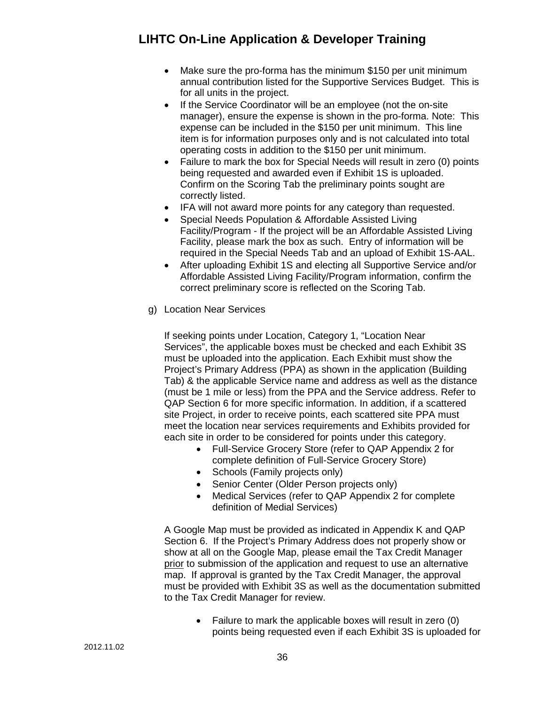- Make sure the pro-forma has the minimum \$150 per unit minimum annual contribution listed for the Supportive Services Budget. This is for all units in the project.
- If the Service Coordinator will be an employee (not the on-site manager), ensure the expense is shown in the pro-forma. Note: This expense can be included in the \$150 per unit minimum. This line item is for information purposes only and is not calculated into total operating costs in addition to the \$150 per unit minimum.
- Failure to mark the box for Special Needs will result in zero (0) points being requested and awarded even if Exhibit 1S is uploaded. Confirm on the Scoring Tab the preliminary points sought are correctly listed.
- IFA will not award more points for any category than requested.
- Special Needs Population & Affordable Assisted Living Facility/Program - If the project will be an Affordable Assisted Living Facility, please mark the box as such. Entry of information will be required in the Special Needs Tab and an upload of Exhibit 1S-AAL.
- After uploading Exhibit 1S and electing all Supportive Service and/or Affordable Assisted Living Facility/Program information, confirm the correct preliminary score is reflected on the Scoring Tab.
- <span id="page-35-0"></span>g) Location Near Services

If seeking points under Location, Category 1, "Location Near Services", the applicable boxes must be checked and each Exhibit 3S must be uploaded into the application. Each Exhibit must show the Project's Primary Address (PPA) as shown in the application (Building Tab) & the applicable Service name and address as well as the distance (must be 1 mile or less) from the PPA and the Service address. Refer to QAP Section 6 for more specific information. In addition, if a scattered site Project, in order to receive points, each scattered site PPA must meet the location near services requirements and Exhibits provided for each site in order to be considered for points under this category.

- Full-Service Grocery Store (refer to QAP Appendix 2 for complete definition of Full-Service Grocery Store)
- Schools (Family projects only)
- Senior Center (Older Person projects only)
- Medical Services (refer to QAP Appendix 2 for complete definition of Medial Services)

A Google Map must be provided as indicated in Appendix K and QAP Section 6. If the Project's Primary Address does not properly show or show at all on the Google Map, please email the Tax Credit Manager prior to submission of the application and request to use an alternative map. If approval is granted by the Tax Credit Manager, the approval must be provided with Exhibit 3S as well as the documentation submitted to the Tax Credit Manager for review.

> • Failure to mark the applicable boxes will result in zero (0) points being requested even if each Exhibit 3S is uploaded for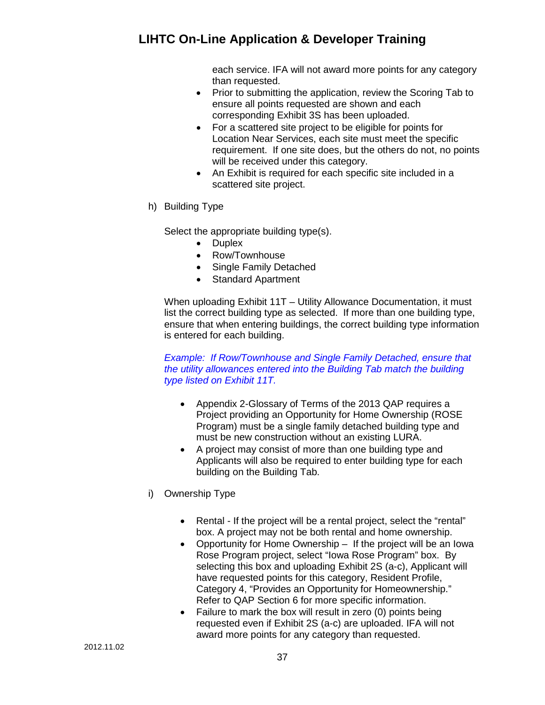each service. IFA will not award more points for any category than requested.

- Prior to submitting the application, review the Scoring Tab to ensure all points requested are shown and each corresponding Exhibit 3S has been uploaded.
- For a scattered site project to be eligible for points for Location Near Services, each site must meet the specific requirement. If one site does, but the others do not, no points will be received under this category.
- An Exhibit is required for each specific site included in a scattered site project.
- h) Building Type

Select the appropriate building type(s).

- Duplex
- Row/Townhouse
- Single Family Detached
- Standard Apartment

When uploading Exhibit 11T – Utility Allowance Documentation, it must list the correct building type as selected. If more than one building type, ensure that when entering buildings, the correct building type information is entered for each building.

#### *Example: If Row/Townhouse and Single Family Detached, ensure that the utility allowances entered into the Building Tab match the building type listed on Exhibit 11T.*

- Appendix 2-Glossary of Terms of the 2013 QAP requires a Project providing an Opportunity for Home Ownership (ROSE Program) must be a single family detached building type and must be new construction without an existing LURA.
- A project may consist of more than one building type and Applicants will also be required to enter building type for each building on the Building Tab.
- i) Ownership Type
	- Rental If the project will be a rental project, select the "rental" box. A project may not be both rental and home ownership.
	- Opportunity for Home Ownership If the project will be an Iowa Rose Program project, select "Iowa Rose Program" box. By selecting this box and uploading Exhibit 2S (a-c), Applicant will have requested points for this category, Resident Profile, Category 4, "Provides an Opportunity for Homeownership." Refer to QAP Section 6 for more specific information.
	- Failure to mark the box will result in zero (0) points being requested even if Exhibit 2S (a-c) are uploaded. IFA will not award more points for any category than requested.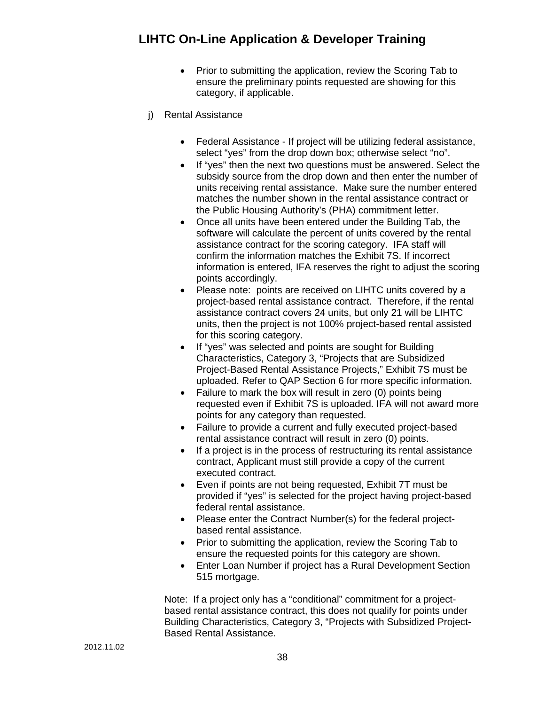- Prior to submitting the application, review the Scoring Tab to ensure the preliminary points requested are showing for this category, if applicable.
- j) Rental Assistance
	- Federal Assistance If project will be utilizing federal assistance, select "yes" from the drop down box; otherwise select "no".
	- If "yes" then the next two questions must be answered. Select the subsidy source from the drop down and then enter the number of units receiving rental assistance. Make sure the number entered matches the number shown in the rental assistance contract or the Public Housing Authority's (PHA) commitment letter.
	- Once all units have been entered under the Building Tab, the software will calculate the percent of units covered by the rental assistance contract for the scoring category. IFA staff will confirm the information matches the Exhibit 7S. If incorrect information is entered, IFA reserves the right to adjust the scoring points accordingly.
	- Please note: points are received on LIHTC units covered by a project-based rental assistance contract. Therefore, if the rental assistance contract covers 24 units, but only 21 will be LIHTC units, then the project is not 100% project-based rental assisted for this scoring category.
	- If "yes" was selected and points are sought for Building Characteristics, Category 3, "Projects that are Subsidized Project-Based Rental Assistance Projects," Exhibit 7S must be uploaded. Refer to QAP Section 6 for more specific information.
	- Failure to mark the box will result in zero (0) points being requested even if Exhibit 7S is uploaded. IFA will not award more points for any category than requested.
	- Failure to provide a current and fully executed project-based rental assistance contract will result in zero (0) points.
	- If a project is in the process of restructuring its rental assistance contract, Applicant must still provide a copy of the current executed contract.
	- Even if points are not being requested, Exhibit 7T must be provided if "yes" is selected for the project having project-based federal rental assistance.
	- Please enter the Contract Number(s) for the federal projectbased rental assistance.
	- Prior to submitting the application, review the Scoring Tab to ensure the requested points for this category are shown.
	- Enter Loan Number if project has a Rural Development Section 515 mortgage.

Note: If a project only has a "conditional" commitment for a projectbased rental assistance contract, this does not qualify for points under Building Characteristics, Category 3, "Projects with Subsidized Project-Based Rental Assistance.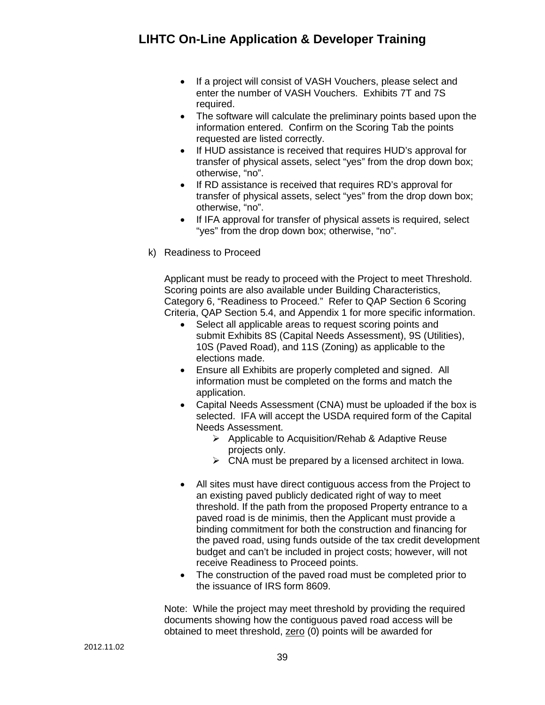- If a project will consist of VASH Vouchers, please select and enter the number of VASH Vouchers. Exhibits 7T and 7S required.
- The software will calculate the preliminary points based upon the information entered. Confirm on the Scoring Tab the points requested are listed correctly.
- If HUD assistance is received that requires HUD's approval for transfer of physical assets, select "yes" from the drop down box; otherwise, "no".
- If RD assistance is received that requires RD's approval for transfer of physical assets, select "yes" from the drop down box; otherwise, "no".
- If IFA approval for transfer of physical assets is required, select "yes" from the drop down box; otherwise, "no".
- k) Readiness to Proceed

Applicant must be ready to proceed with the Project to meet Threshold. Scoring points are also available under Building Characteristics, Category 6, "Readiness to Proceed." Refer to QAP Section 6 Scoring Criteria, QAP Section 5.4, and Appendix 1 for more specific information.

- Select all applicable areas to request scoring points and submit Exhibits 8S (Capital Needs Assessment), 9S (Utilities), 10S (Paved Road), and 11S (Zoning) as applicable to the elections made.
- Ensure all Exhibits are properly completed and signed. All information must be completed on the forms and match the application.
- Capital Needs Assessment (CNA) must be uploaded if the box is selected. IFA will accept the USDA required form of the Capital Needs Assessment.
	- $\triangleright$  Applicable to Acquisition/Rehab & Adaptive Reuse projects only.
	- $\triangleright$  CNA must be prepared by a licensed architect in Iowa.
- All sites must have direct contiguous access from the Project to an existing paved publicly dedicated right of way to meet threshold. If the path from the proposed Property entrance to a paved road is de minimis, then the Applicant must provide a binding commitment for both the construction and financing for the paved road, using funds outside of the tax credit development budget and can't be included in project costs; however, will not receive Readiness to Proceed points.
- The construction of the paved road must be completed prior to the issuance of IRS form 8609.

Note: While the project may meet threshold by providing the required documents showing how the contiguous paved road access will be obtained to meet threshold, zero (0) points will be awarded for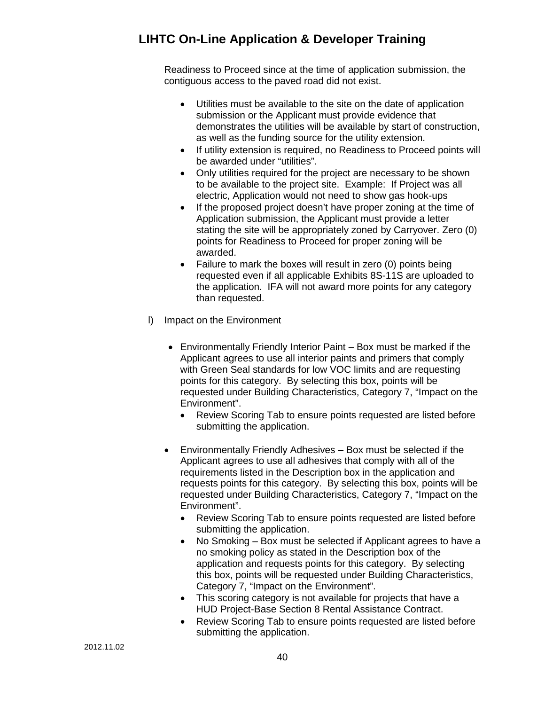Readiness to Proceed since at the time of application submission, the contiguous access to the paved road did not exist.

- Utilities must be available to the site on the date of application submission or the Applicant must provide evidence that demonstrates the utilities will be available by start of construction, as well as the funding source for the utility extension.
- If utility extension is required, no Readiness to Proceed points will be awarded under "utilities".
- Only utilities required for the project are necessary to be shown to be available to the project site. Example: If Project was all electric, Application would not need to show gas hook-ups
- If the proposed project doesn't have proper zoning at the time of Application submission, the Applicant must provide a letter stating the site will be appropriately zoned by Carryover. Zero (0) points for Readiness to Proceed for proper zoning will be awarded.
- Failure to mark the boxes will result in zero (0) points being requested even if all applicable Exhibits 8S-11S are uploaded to the application. IFA will not award more points for any category than requested.
- l) Impact on the Environment
	- Environmentally Friendly Interior Paint Box must be marked if the Applicant agrees to use all interior paints and primers that comply with Green Seal standards for low VOC limits and are requesting points for this category. By selecting this box, points will be requested under Building Characteristics, Category 7, "Impact on the Environment".
		- Review Scoring Tab to ensure points requested are listed before submitting the application.
	- Environmentally Friendly Adhesives Box must be selected if the Applicant agrees to use all adhesives that comply with all of the requirements listed in the Description box in the application and requests points for this category. By selecting this box, points will be requested under Building Characteristics, Category 7, "Impact on the Environment".
		- Review Scoring Tab to ensure points requested are listed before submitting the application.
		- No Smoking Box must be selected if Applicant agrees to have a no smoking policy as stated in the Description box of the application and requests points for this category. By selecting this box, points will be requested under Building Characteristics, Category 7, "Impact on the Environment".
		- This scoring category is not available for projects that have a HUD Project-Base Section 8 Rental Assistance Contract.
		- Review Scoring Tab to ensure points requested are listed before submitting the application.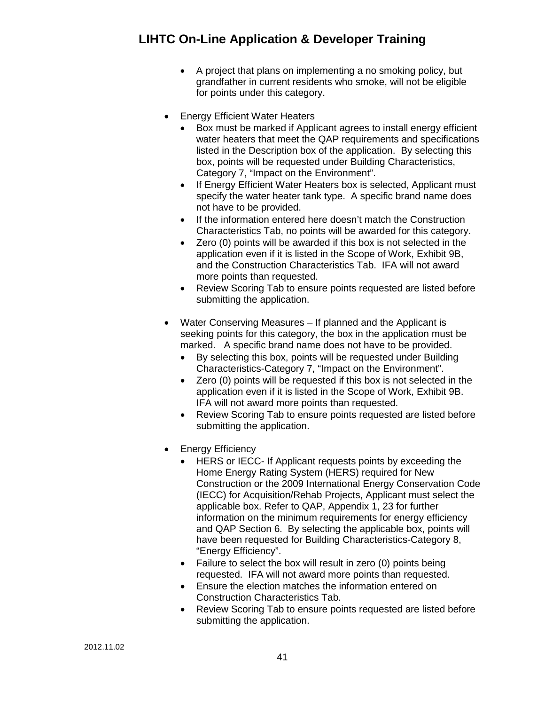- A project that plans on implementing a no smoking policy, but grandfather in current residents who smoke, will not be eligible for points under this category.
- **Energy Efficient Water Heaters** 
	- Box must be marked if Applicant agrees to install energy efficient water heaters that meet the QAP requirements and specifications listed in the Description box of the application. By selecting this box, points will be requested under Building Characteristics, Category 7, "Impact on the Environment".
	- If Energy Efficient Water Heaters box is selected, Applicant must specify the water heater tank type. A specific brand name does not have to be provided.
	- If the information entered here doesn't match the Construction Characteristics Tab, no points will be awarded for this category.
	- Zero (0) points will be awarded if this box is not selected in the application even if it is listed in the Scope of Work, Exhibit 9B, and the Construction Characteristics Tab. IFA will not award more points than requested.
	- Review Scoring Tab to ensure points requested are listed before submitting the application.
- Water Conserving Measures If planned and the Applicant is seeking points for this category, the box in the application must be marked. A specific brand name does not have to be provided.
	- By selecting this box, points will be requested under Building Characteristics-Category 7, "Impact on the Environment".
	- Zero (0) points will be requested if this box is not selected in the application even if it is listed in the Scope of Work, Exhibit 9B. IFA will not award more points than requested.
	- Review Scoring Tab to ensure points requested are listed before submitting the application.
- Energy Efficiency
	- HERS or IECC- If Applicant requests points by exceeding the Home Energy Rating System (HERS) required for New Construction or the 2009 International Energy Conservation Code (IECC) for Acquisition/Rehab Projects, Applicant must select the applicable box. Refer to QAP, Appendix 1, 23 for further information on the minimum requirements for energy efficiency and QAP Section 6. By selecting the applicable box, points will have been requested for Building Characteristics-Category 8, "Energy Efficiency".
	- Failure to select the box will result in zero (0) points being requested. IFA will not award more points than requested.
	- Ensure the election matches the information entered on Construction Characteristics Tab.
	- Review Scoring Tab to ensure points requested are listed before submitting the application.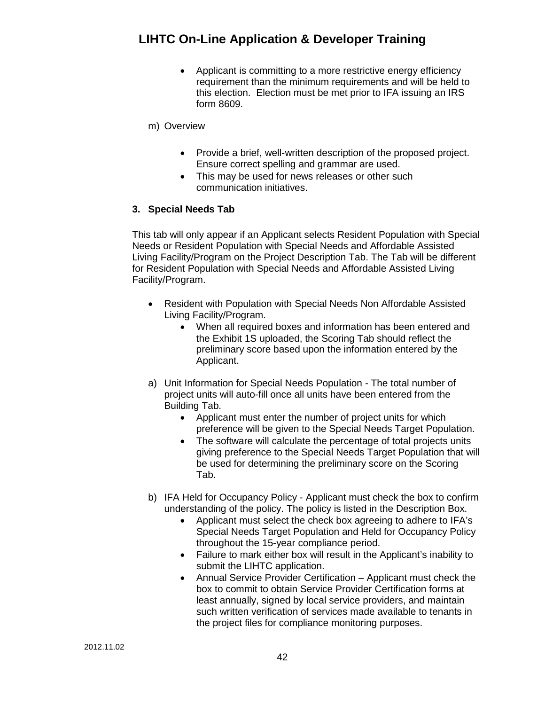- Applicant is committing to a more restrictive energy efficiency requirement than the minimum requirements and will be held to this election. Election must be met prior to IFA issuing an IRS form 8609.
- m) Overview
	- Provide a brief, well-written description of the proposed project. Ensure correct spelling and grammar are used.
	- This may be used for news releases or other such communication initiatives.

### **3. Special Needs Tab**

This tab will only appear if an Applicant selects Resident Population with Special Needs or Resident Population with Special Needs and Affordable Assisted Living Facility/Program on the Project Description Tab. The Tab will be different for Resident Population with Special Needs and Affordable Assisted Living Facility/Program.

- Resident with Population with Special Needs Non Affordable Assisted Living Facility/Program.
	- When all required boxes and information has been entered and the Exhibit 1S uploaded, the Scoring Tab should reflect the preliminary score based upon the information entered by the Applicant.
- a) Unit Information for Special Needs Population The total number of project units will auto-fill once all units have been entered from the Building Tab.
	- Applicant must enter the number of project units for which preference will be given to the Special Needs Target Population.
	- The software will calculate the percentage of total projects units giving preference to the Special Needs Target Population that will be used for determining the preliminary score on the Scoring Tab.
- b) IFA Held for Occupancy Policy Applicant must check the box to confirm understanding of the policy. The policy is listed in the Description Box.
	- Applicant must select the check box agreeing to adhere to IFA's Special Needs Target Population and Held for Occupancy Policy throughout the 15-year compliance period.
	- Failure to mark either box will result in the Applicant's inability to submit the LIHTC application.
	- Annual Service Provider Certification Applicant must check the box to commit to obtain Service Provider Certification forms at least annually, signed by local service providers, and maintain such written verification of services made available to tenants in the project files for compliance monitoring purposes.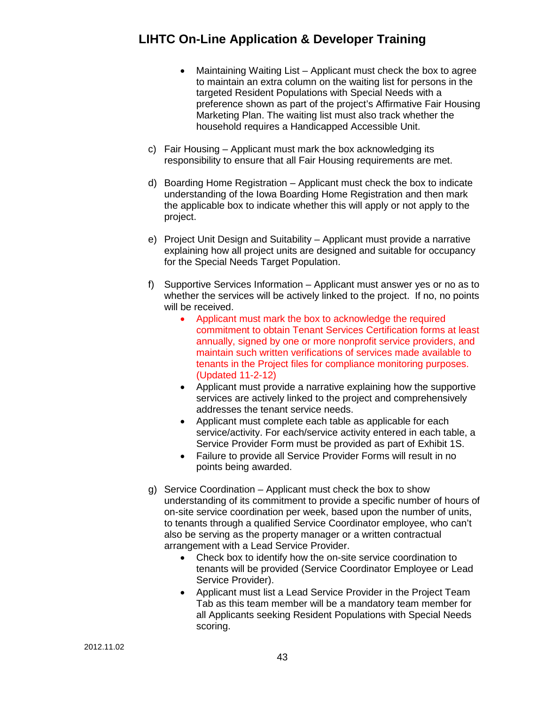- Maintaining Waiting List Applicant must check the box to agree to maintain an extra column on the waiting list for persons in the targeted Resident Populations with Special Needs with a preference shown as part of the project's Affirmative Fair Housing Marketing Plan. The waiting list must also track whether the household requires a Handicapped Accessible Unit.
- c) Fair Housing Applicant must mark the box acknowledging its responsibility to ensure that all Fair Housing requirements are met.
- d) Boarding Home Registration Applicant must check the box to indicate understanding of the Iowa Boarding Home Registration and then mark the applicable box to indicate whether this will apply or not apply to the project.
- e) Project Unit Design and Suitability Applicant must provide a narrative explaining how all project units are designed and suitable for occupancy for the Special Needs Target Population.
- f) Supportive Services Information Applicant must answer yes or no as to whether the services will be actively linked to the project. If no, no points will be received.
	- Applicant must mark the box to acknowledge the required commitment to obtain Tenant Services Certification forms at least annually, signed by one or more nonprofit service providers, and maintain such written verifications of services made available to tenants in the Project files for compliance monitoring purposes. (Updated 11-2-12)
	- Applicant must provide a narrative explaining how the supportive services are actively linked to the project and comprehensively addresses the tenant service needs.
	- Applicant must complete each table as applicable for each service/activity. For each/service activity entered in each table, a Service Provider Form must be provided as part of Exhibit 1S.
	- Failure to provide all Service Provider Forms will result in no points being awarded.
- g) Service Coordination Applicant must check the box to show understanding of its commitment to provide a specific number of hours of on-site service coordination per week, based upon the number of units, to tenants through a qualified Service Coordinator employee, who can't also be serving as the property manager or a written contractual arrangement with a Lead Service Provider.
	- Check box to identify how the on-site service coordination to tenants will be provided (Service Coordinator Employee or Lead Service Provider).
	- Applicant must list a Lead Service Provider in the Project Team Tab as this team member will be a mandatory team member for all Applicants seeking Resident Populations with Special Needs scoring.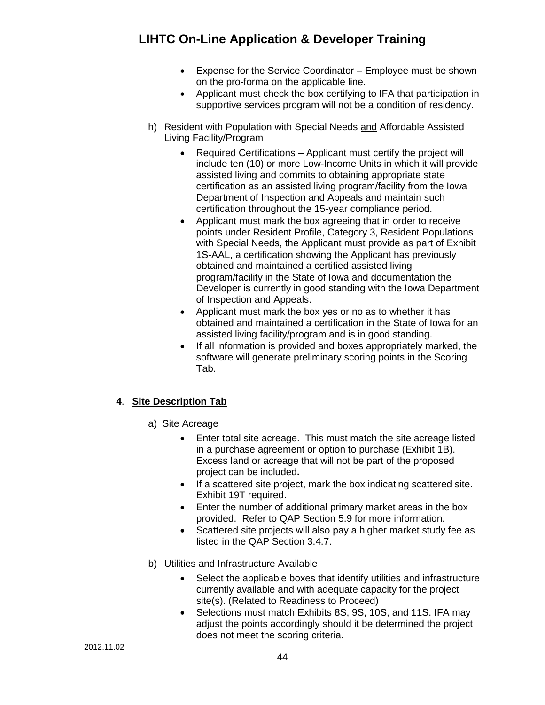- Expense for the Service Coordinator Employee must be shown on the pro-forma on the applicable line.
- Applicant must check the box certifying to IFA that participation in supportive services program will not be a condition of residency.
- h) Resident with Population with Special Needs and Affordable Assisted Living Facility/Program
	- Required Certifications Applicant must certify the project will include ten (10) or more Low-Income Units in which it will provide assisted living and commits to obtaining appropriate state certification as an assisted living program/facility from the Iowa Department of Inspection and Appeals and maintain such certification throughout the 15-year compliance period.
	- Applicant must mark the box agreeing that in order to receive points under Resident Profile, Category 3, Resident Populations with Special Needs, the Applicant must provide as part of Exhibit 1S-AAL, a certification showing the Applicant has previously obtained and maintained a certified assisted living program/facility in the State of Iowa and documentation the Developer is currently in good standing with the Iowa Department of Inspection and Appeals.
	- Applicant must mark the box yes or no as to whether it has obtained and maintained a certification in the State of Iowa for an assisted living facility/program and is in good standing.
	- If all information is provided and boxes appropriately marked, the software will generate preliminary scoring points in the Scoring Tab.

### **4**. **Site Description Tab**

- a) Site Acreage
	- Enter total site acreage. This must match the site acreage listed in a purchase agreement or option to purchase (Exhibit 1B). Excess land or acreage that will not be part of the proposed project can be included**.**
	- If a scattered site project, mark the box indicating scattered site. Exhibit 19T required.
	- Enter the number of additional primary market areas in the box provided. Refer to QAP Section 5.9 for more information.
	- Scattered site projects will also pay a higher market study fee as listed in the QAP Section 3.4.7.
- b) Utilities and Infrastructure Available
	- Select the applicable boxes that identify utilities and infrastructure currently available and with adequate capacity for the project site(s). (Related to Readiness to Proceed)
	- Selections must match Exhibits 8S, 9S, 10S, and 11S. IFA may adjust the points accordingly should it be determined the project does not meet the scoring criteria.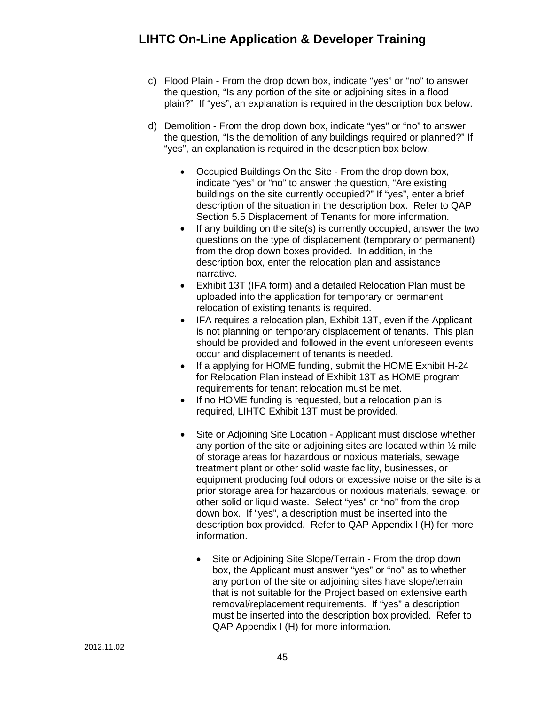- c) Flood Plain From the drop down box, indicate "yes" or "no" to answer the question, "Is any portion of the site or adjoining sites in a flood plain?" If "yes", an explanation is required in the description box below.
- d) Demolition From the drop down box, indicate "yes" or "no" to answer the question, "Is the demolition of any buildings required or planned?" If "yes", an explanation is required in the description box below.
	- Occupied Buildings On the Site From the drop down box, indicate "yes" or "no" to answer the question, "Are existing buildings on the site currently occupied?" If "yes", enter a brief description of the situation in the description box. Refer to QAP Section 5.5 Displacement of Tenants for more information.
	- If any building on the site(s) is currently occupied, answer the two questions on the type of displacement (temporary or permanent) from the drop down boxes provided. In addition, in the description box, enter the relocation plan and assistance narrative.
	- Exhibit 13T (IFA form) and a detailed Relocation Plan must be uploaded into the application for temporary or permanent relocation of existing tenants is required.
	- IFA requires a relocation plan, Exhibit 13T, even if the Applicant is not planning on temporary displacement of tenants. This plan should be provided and followed in the event unforeseen events occur and displacement of tenants is needed.
	- If a applying for HOME funding, submit the HOME Exhibit H-24 for Relocation Plan instead of Exhibit 13T as HOME program requirements for tenant relocation must be met.
	- If no HOME funding is requested, but a relocation plan is required, LIHTC Exhibit 13T must be provided.
	- Site or Adjoining Site Location Applicant must disclose whether any portion of the site or adjoining sites are located within ½ mile of storage areas for hazardous or noxious materials, sewage treatment plant or other solid waste facility, businesses, or equipment producing foul odors or excessive noise or the site is a prior storage area for hazardous or noxious materials, sewage, or other solid or liquid waste. Select "yes" or "no" from the drop down box. If "yes", a description must be inserted into the description box provided. Refer to QAP Appendix I (H) for more information.
		- Site or Adjoining Site Slope/Terrain From the drop down box, the Applicant must answer "yes" or "no" as to whether any portion of the site or adjoining sites have slope/terrain that is not suitable for the Project based on extensive earth removal/replacement requirements. If "yes" a description must be inserted into the description box provided. Refer to QAP Appendix I (H) for more information.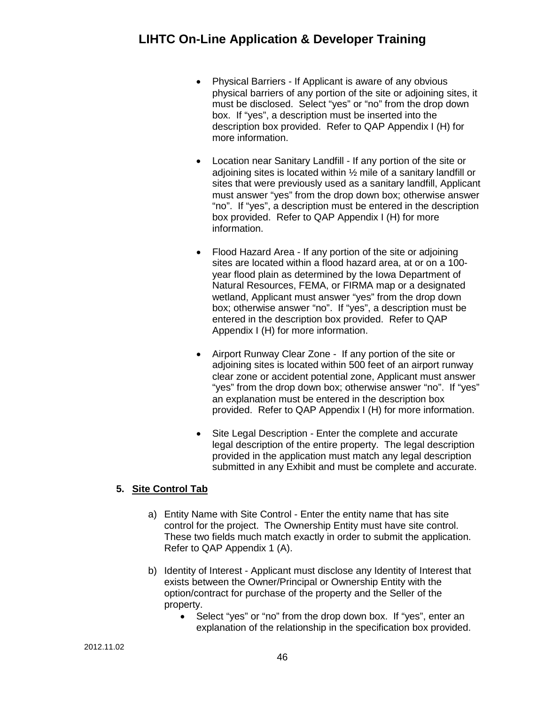- Physical Barriers If Applicant is aware of any obvious physical barriers of any portion of the site or adjoining sites, it must be disclosed. Select "yes" or "no" from the drop down box. If "yes", a description must be inserted into the description box provided. Refer to QAP Appendix I (H) for more information.
- Location near Sanitary Landfill If any portion of the site or adjoining sites is located within ½ mile of a sanitary landfill or sites that were previously used as a sanitary landfill, Applicant must answer "yes" from the drop down box; otherwise answer "no". If "yes", a description must be entered in the description box provided. Refer to QAP Appendix I (H) for more information.
- Flood Hazard Area If any portion of the site or adjoining sites are located within a flood hazard area, at or on a 100 year flood plain as determined by the Iowa Department of Natural Resources, FEMA, or FIRMA map or a designated wetland, Applicant must answer "yes" from the drop down box; otherwise answer "no". If "yes", a description must be entered in the description box provided. Refer to QAP Appendix I (H) for more information.
- Airport Runway Clear Zone If any portion of the site or adjoining sites is located within 500 feet of an airport runway clear zone or accident potential zone, Applicant must answer "yes" from the drop down box; otherwise answer "no". If "yes" an explanation must be entered in the description box provided. Refer to QAP Appendix I (H) for more information.
- Site Legal Description Enter the complete and accurate legal description of the entire property. The legal description provided in the application must match any legal description submitted in any Exhibit and must be complete and accurate.

## **5. Site Control Tab**

- a) Entity Name with Site Control Enter the entity name that has site control for the project. The Ownership Entity must have site control. These two fields much match exactly in order to submit the application. Refer to QAP Appendix 1 (A).
- b) Identity of Interest Applicant must disclose any Identity of Interest that exists between the Owner/Principal or Ownership Entity with the option/contract for purchase of the property and the Seller of the property.
	- Select "yes" or "no" from the drop down box. If "yes", enter an explanation of the relationship in the specification box provided.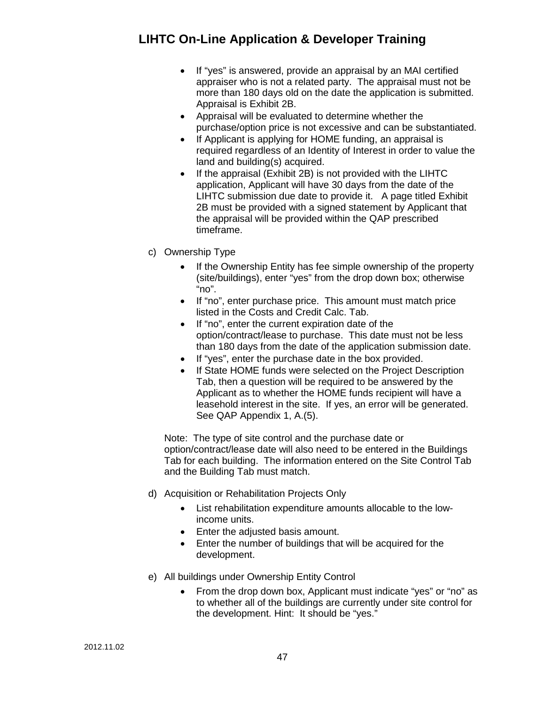- If "yes" is answered, provide an appraisal by an MAI certified appraiser who is not a related party. The appraisal must not be more than 180 days old on the date the application is submitted. Appraisal is Exhibit 2B.
- Appraisal will be evaluated to determine whether the purchase/option price is not excessive and can be substantiated.
- If Applicant is applying for HOME funding, an appraisal is required regardless of an Identity of Interest in order to value the land and building(s) acquired.
- If the appraisal (Exhibit 2B) is not provided with the LIHTC application, Applicant will have 30 days from the date of the LIHTC submission due date to provide it. A page titled Exhibit 2B must be provided with a signed statement by Applicant that the appraisal will be provided within the QAP prescribed timeframe.
- c) Ownership Type
	- If the Ownership Entity has fee simple ownership of the property (site/buildings), enter "yes" from the drop down box; otherwise "no".
	- If "no", enter purchase price. This amount must match price listed in the Costs and Credit Calc. Tab.
	- If "no", enter the current expiration date of the option/contract/lease to purchase. This date must not be less than 180 days from the date of the application submission date.
	- If "yes", enter the purchase date in the box provided.
	- If State HOME funds were selected on the Project Description Tab, then a question will be required to be answered by the Applicant as to whether the HOME funds recipient will have a leasehold interest in the site. If yes, an error will be generated. See QAP Appendix 1, A.(5).

Note: The type of site control and the purchase date or option/contract/lease date will also need to be entered in the Buildings Tab for each building. The information entered on the Site Control Tab and the Building Tab must match.

- d) Acquisition or Rehabilitation Projects Only
	- List rehabilitation expenditure amounts allocable to the lowincome units.
	- Enter the adjusted basis amount.
	- Enter the number of buildings that will be acquired for the development.
- e) All buildings under Ownership Entity Control
	- From the drop down box, Applicant must indicate "yes" or "no" as to whether all of the buildings are currently under site control for the development. Hint: It should be "yes."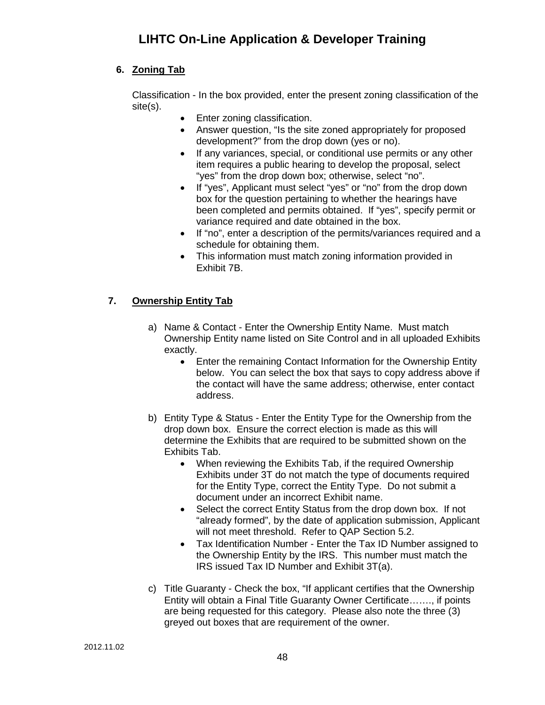### **6. Zoning Tab**

Classification - In the box provided, enter the present zoning classification of the site(s).

- Enter zoning classification.
- Answer question, "Is the site zoned appropriately for proposed development?" from the drop down (yes or no).
- If any variances, special, or conditional use permits or any other item requires a public hearing to develop the proposal, select "yes" from the drop down box; otherwise, select "no".
- If "yes", Applicant must select "yes" or "no" from the drop down box for the question pertaining to whether the hearings have been completed and permits obtained. If "yes", specify permit or variance required and date obtained in the box.
- If "no", enter a description of the permits/variances required and a schedule for obtaining them.
- This information must match zoning information provided in Exhibit 7B.

### **7. Ownership Entity Tab**

- a) Name & Contact Enter the Ownership Entity Name. Must match Ownership Entity name listed on Site Control and in all uploaded Exhibits exactly.
	- Enter the remaining Contact Information for the Ownership Entity below. You can select the box that says to copy address above if the contact will have the same address; otherwise, enter contact address.
- b) Entity Type & Status Enter the Entity Type for the Ownership from the drop down box. Ensure the correct election is made as this will determine the Exhibits that are required to be submitted shown on the Exhibits Tab.
	- When reviewing the Exhibits Tab, if the required Ownership Exhibits under 3T do not match the type of documents required for the Entity Type, correct the Entity Type. Do not submit a document under an incorrect Exhibit name.
	- Select the correct Entity Status from the drop down box. If not "already formed", by the date of application submission, Applicant will not meet threshold. Refer to QAP Section 5.2.
	- Tax Identification Number Enter the Tax ID Number assigned to the Ownership Entity by the IRS. This number must match the IRS issued Tax ID Number and Exhibit 3T(a).
- c) Title Guaranty Check the box, "If applicant certifies that the Ownership Entity will obtain a Final Title Guaranty Owner Certificate……., if points are being requested for this category. Please also note the three (3) greyed out boxes that are requirement of the owner.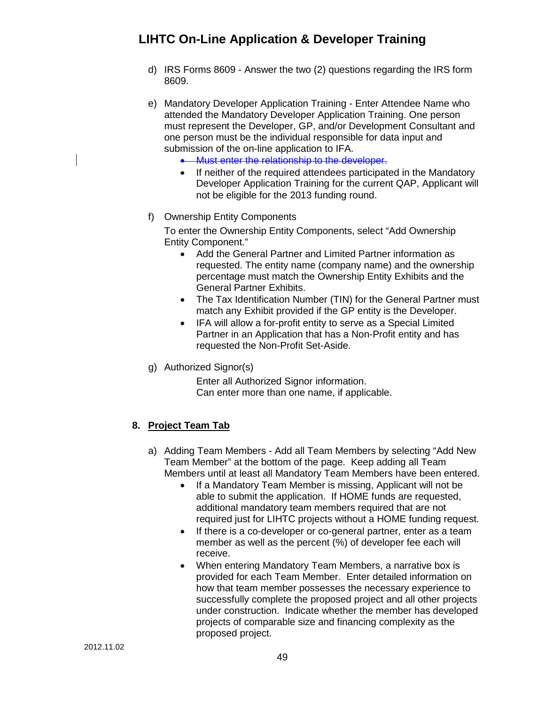- d) IRS Forms 8609 Answer the two (2) questions regarding the IRS form 8609.
- e) Mandatory Developer Application Training Enter Attendee Name who attended the Mandatory Developer Application Training. One person must represent the Developer, GP, and/or Development Consultant and one person must be the individual responsible for data input and submission of the on-line application to IFA.
	- Must enter the relationship to the developer.
	- If neither of the required attendees participated in the Mandatory Developer Application Training for the current QAP, Applicant will not be eligible for the 2013 funding round.
- f) Ownership Entity Components

To enter the Ownership Entity Components, select "Add Ownership Entity Component."

- Add the General Partner and Limited Partner information as requested. The entity name (company name) and the ownership percentage must match the Ownership Entity Exhibits and the General Partner Exhibits.
- The Tax Identification Number (TIN) for the General Partner must match any Exhibit provided if the GP entity is the Developer.
- IFA will allow a for-profit entity to serve as a Special Limited Partner in an Application that has a Non-Profit entity and has requested the Non-Profit Set-Aside.
- g) Authorized Signor(s)

Enter all Authorized Signor information. Can enter more than one name, if applicable.

### **8. Project Team Tab**

- a) Adding Team Members Add all Team Members by selecting "Add New Team Member" at the bottom of the page. Keep adding all Team Members until at least all Mandatory Team Members have been entered.
	- If a Mandatory Team Member is missing, Applicant will not be able to submit the application. If HOME funds are requested, additional mandatory team members required that are not required just for LIHTC projects without a HOME funding request.
	- If there is a co-developer or co-general partner, enter as a team member as well as the percent (%) of developer fee each will receive.
	- When entering Mandatory Team Members, a narrative box is provided for each Team Member. Enter detailed information on how that team member possesses the necessary experience to successfully complete the proposed project and all other projects under construction. Indicate whether the member has developed projects of comparable size and financing complexity as the proposed project.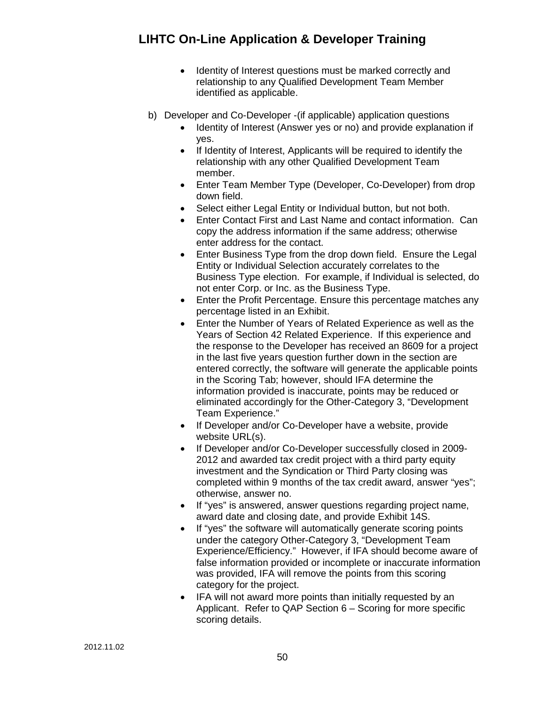- Identity of Interest questions must be marked correctly and relationship to any Qualified Development Team Member identified as applicable.
- b) Developer and Co-Developer -(if applicable) application questions
	- Identity of Interest (Answer yes or no) and provide explanation if yes.
	- If Identity of Interest, Applicants will be required to identify the relationship with any other Qualified Development Team member.
	- Enter Team Member Type (Developer, Co-Developer) from drop down field.
	- Select either Legal Entity or Individual button, but not both.
	- Enter Contact First and Last Name and contact information. Can copy the address information if the same address; otherwise enter address for the contact.
	- Enter Business Type from the drop down field. Ensure the Legal Entity or Individual Selection accurately correlates to the Business Type election. For example, if Individual is selected, do not enter Corp. or Inc. as the Business Type.
	- Enter the Profit Percentage. Ensure this percentage matches any percentage listed in an Exhibit.
	- Enter the Number of Years of Related Experience as well as the Years of Section 42 Related Experience. If this experience and the response to the Developer has received an 8609 for a project in the last five years question further down in the section are entered correctly, the software will generate the applicable points in the Scoring Tab; however, should IFA determine the information provided is inaccurate, points may be reduced or eliminated accordingly for the Other-Category 3, "Development Team Experience."
	- If Developer and/or Co-Developer have a website, provide website URL(s).
	- If Developer and/or Co-Developer successfully closed in 2009- 2012 and awarded tax credit project with a third party equity investment and the Syndication or Third Party closing was completed within 9 months of the tax credit award, answer "yes"; otherwise, answer no.
	- If "yes" is answered, answer questions regarding project name, award date and closing date, and provide Exhibit 14S.
	- If "yes" the software will automatically generate scoring points under the category Other-Category 3, "Development Team Experience/Efficiency." However, if IFA should become aware of false information provided or incomplete or inaccurate information was provided, IFA will remove the points from this scoring category for the project.
	- IFA will not award more points than initially requested by an Applicant. Refer to QAP Section 6 – Scoring for more specific scoring details.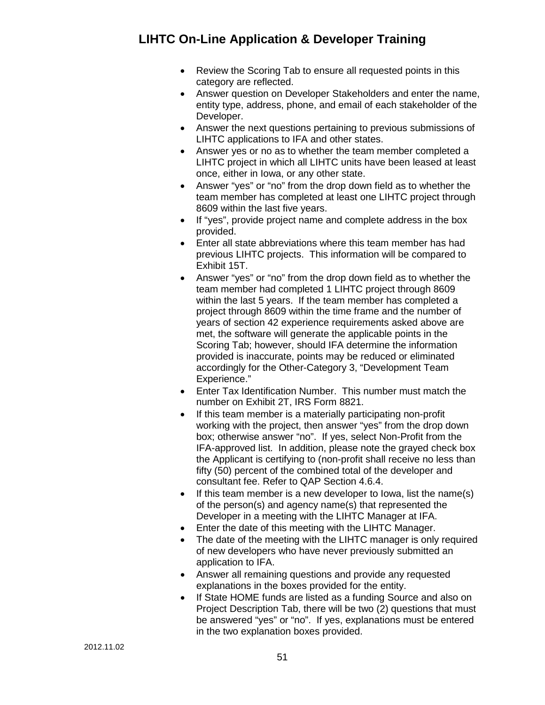- Review the Scoring Tab to ensure all requested points in this category are reflected.
- Answer question on Developer Stakeholders and enter the name, entity type, address, phone, and email of each stakeholder of the Developer.
- Answer the next questions pertaining to previous submissions of LIHTC applications to IFA and other states.
- Answer yes or no as to whether the team member completed a LIHTC project in which all LIHTC units have been leased at least once, either in Iowa, or any other state.
- Answer "yes" or "no" from the drop down field as to whether the team member has completed at least one LIHTC project through 8609 within the last five years.
- If "yes", provide project name and complete address in the box provided.
- Enter all state abbreviations where this team member has had previous LIHTC projects. This information will be compared to Exhibit 15T.
- Answer "yes" or "no" from the drop down field as to whether the team member had completed 1 LIHTC project through 8609 within the last 5 years. If the team member has completed a project through 8609 within the time frame and the number of years of section 42 experience requirements asked above are met, the software will generate the applicable points in the Scoring Tab; however, should IFA determine the information provided is inaccurate, points may be reduced or eliminated accordingly for the Other-Category 3, "Development Team Experience."
- Enter Tax Identification Number. This number must match the number on Exhibit 2T, IRS Form 8821.
- If this team member is a materially participating non-profit working with the project, then answer "yes" from the drop down box; otherwise answer "no". If yes, select Non-Profit from the IFA-approved list. In addition, please note the grayed check box the Applicant is certifying to (non-profit shall receive no less than fifty (50) percent of the combined total of the developer and consultant fee. Refer to QAP Section 4.6.4.
- If this team member is a new developer to Iowa, list the name(s) of the person(s) and agency name(s) that represented the Developer in a meeting with the LIHTC Manager at IFA.
- Enter the date of this meeting with the LIHTC Manager.
- The date of the meeting with the LIHTC manager is only required of new developers who have never previously submitted an application to IFA.
- Answer all remaining questions and provide any requested explanations in the boxes provided for the entity.
- If State HOME funds are listed as a funding Source and also on Project Description Tab, there will be two (2) questions that must be answered "yes" or "no". If yes, explanations must be entered in the two explanation boxes provided.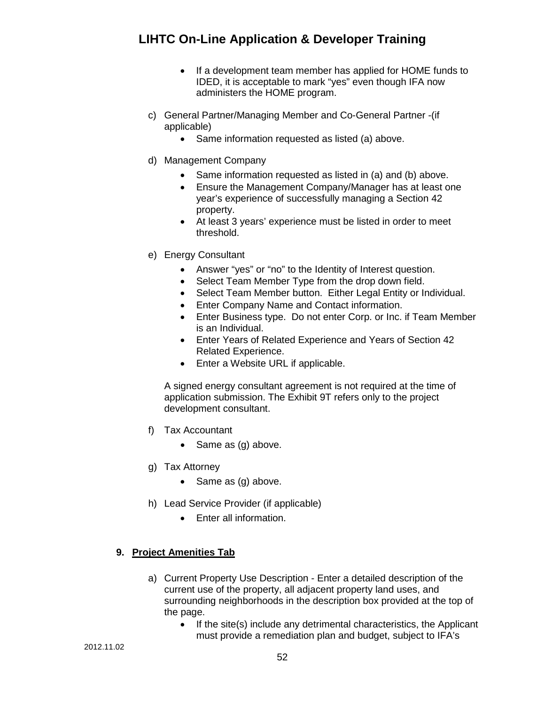- If a development team member has applied for HOME funds to IDED, it is acceptable to mark "yes" even though IFA now administers the HOME program.
- c) General Partner/Managing Member and Co-General Partner -(if applicable)
	- Same information requested as listed (a) above.
- d) Management Company
	- Same information requested as listed in (a) and (b) above.
	- Ensure the Management Company/Manager has at least one year's experience of successfully managing a Section 42 property.
	- At least 3 years' experience must be listed in order to meet threshold.
- e) Energy Consultant
	- Answer "yes" or "no" to the Identity of Interest question.
	- Select Team Member Type from the drop down field.
	- Select Team Member button. Either Legal Entity or Individual.
	- Enter Company Name and Contact information.
	- Enter Business type. Do not enter Corp. or Inc. if Team Member is an Individual.
	- Enter Years of Related Experience and Years of Section 42 Related Experience.
	- Enter a Website URL if applicable.

A signed energy consultant agreement is not required at the time of application submission. The Exhibit 9T refers only to the project development consultant.

- f) Tax Accountant
	- Same as (g) above.
- g) Tax Attorney
	- Same as (g) above.
- h) Lead Service Provider (if applicable)
	- Enter all information.

#### **9. Project Amenities Tab**

- a) Current Property Use Description Enter a detailed description of the current use of the property, all adjacent property land uses, and surrounding neighborhoods in the description box provided at the top of the page.
	- If the site(s) include any detrimental characteristics, the Applicant must provide a remediation plan and budget, subject to IFA's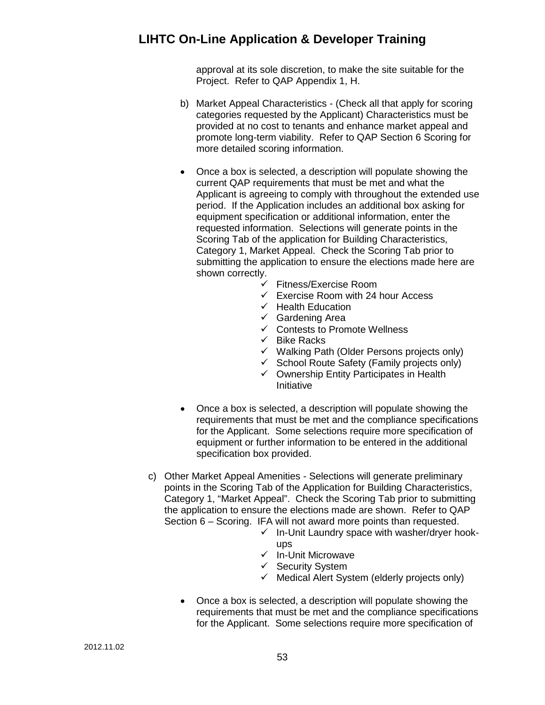approval at its sole discretion, to make the site suitable for the Project. Refer to QAP Appendix 1, H.

- b) Market Appeal Characteristics (Check all that apply for scoring categories requested by the Applicant) Characteristics must be provided at no cost to tenants and enhance market appeal and promote long-term viability. Refer to QAP Section 6 Scoring for more detailed scoring information.
- Once a box is selected, a description will populate showing the current QAP requirements that must be met and what the Applicant is agreeing to comply with throughout the extended use period. If the Application includes an additional box asking for equipment specification or additional information, enter the requested information. Selections will generate points in the Scoring Tab of the application for Building Characteristics, Category 1, Market Appeal. Check the Scoring Tab prior to submitting the application to ensure the elections made here are shown correctly.
	- $\checkmark$  Fitness/Exercise Room
	- $\checkmark$  Exercise Room with 24 hour Access
	- $\checkmark$  Health Education
	- $\checkmark$  Gardening Area
	- $\checkmark$  Contests to Promote Wellness
	- $\checkmark$  Bike Racks
	- $\checkmark$  Walking Path (Older Persons projects only)
	- $\checkmark$  School Route Safety (Family projects only)
	- $\checkmark$  Ownership Entity Participates in Health Initiative
- Once a box is selected, a description will populate showing the requirements that must be met and the compliance specifications for the Applicant. Some selections require more specification of equipment or further information to be entered in the additional specification box provided.
- c) Other Market Appeal Amenities Selections will generate preliminary points in the Scoring Tab of the Application for Building Characteristics, Category 1, "Market Appeal". Check the Scoring Tab prior to submitting the application to ensure the elections made are shown. Refer to QAP Section 6 – Scoring. IFA will not award more points than requested.
	- $\checkmark$  In-Unit Laundry space with washer/dryer hookups
	- $\checkmark$  In-Unit Microwave
	- $\checkmark$  Security System
	- $\checkmark$  Medical Alert System (elderly projects only)
	- Once a box is selected, a description will populate showing the requirements that must be met and the compliance specifications for the Applicant. Some selections require more specification of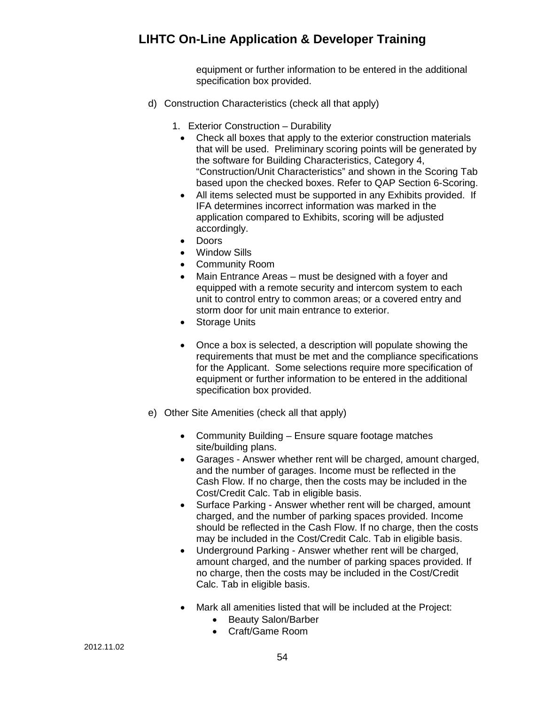equipment or further information to be entered in the additional specification box provided.

- d) Construction Characteristics (check all that apply)
	- 1. Exterior Construction Durability
		- Check all boxes that apply to the exterior construction materials that will be used. Preliminary scoring points will be generated by the software for Building Characteristics, Category 4, "Construction/Unit Characteristics" and shown in the Scoring Tab based upon the checked boxes. Refer to QAP Section 6-Scoring.
		- All items selected must be supported in any Exhibits provided. If IFA determines incorrect information was marked in the application compared to Exhibits, scoring will be adjusted accordingly.
		- Doors
		- Window Sills
		- Community Room
		- Main Entrance Areas must be designed with a foyer and equipped with a remote security and intercom system to each unit to control entry to common areas; or a covered entry and storm door for unit main entrance to exterior.
		- Storage Units
		- Once a box is selected, a description will populate showing the requirements that must be met and the compliance specifications for the Applicant. Some selections require more specification of equipment or further information to be entered in the additional specification box provided.
- e) Other Site Amenities (check all that apply)
	- Community Building Ensure square footage matches site/building plans.
	- Garages Answer whether rent will be charged, amount charged, and the number of garages. Income must be reflected in the Cash Flow. If no charge, then the costs may be included in the Cost/Credit Calc. Tab in eligible basis.
	- Surface Parking Answer whether rent will be charged, amount charged, and the number of parking spaces provided. Income should be reflected in the Cash Flow. If no charge, then the costs may be included in the Cost/Credit Calc. Tab in eligible basis.
	- Underground Parking Answer whether rent will be charged, amount charged, and the number of parking spaces provided. If no charge, then the costs may be included in the Cost/Credit Calc. Tab in eligible basis.
	- Mark all amenities listed that will be included at the Project:
		- Beauty Salon/Barber
		- Craft/Game Room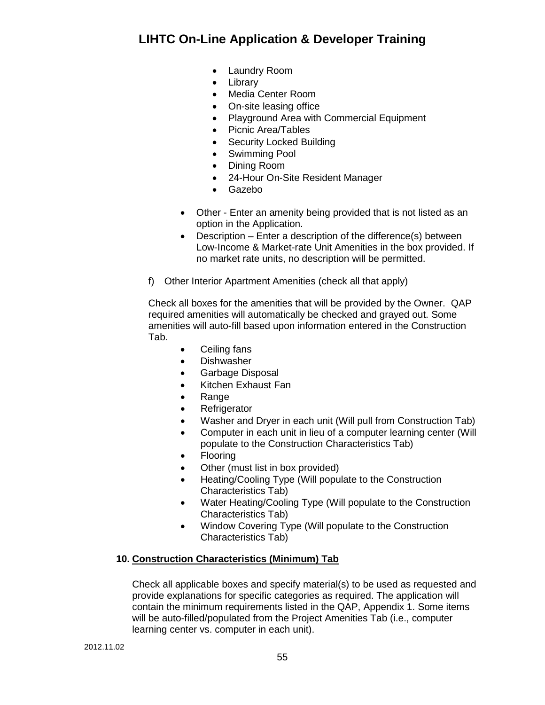- Laundry Room
- Library
- Media Center Room
- On-site leasing office
- Playground Area with Commercial Equipment
- Picnic Area/Tables
- Security Locked Building
- Swimming Pool
- Dining Room
- 24-Hour On-Site Resident Manager
- Gazebo
- Other Enter an amenity being provided that is not listed as an option in the Application.
- Description Enter a description of the difference(s) between Low-Income & Market-rate Unit Amenities in the box provided. If no market rate units, no description will be permitted.
- f) Other Interior Apartment Amenities (check all that apply)

Check all boxes for the amenities that will be provided by the Owner. QAP required amenities will automatically be checked and grayed out. Some amenities will auto-fill based upon information entered in the Construction Tab.

- Ceiling fans
- Dishwasher
- Garbage Disposal
- Kitchen Exhaust Fan
- Range
- Refrigerator
- Washer and Dryer in each unit (Will pull from Construction Tab)
- Computer in each unit in lieu of a computer learning center (Will populate to the Construction Characteristics Tab)
- Flooring
- Other (must list in box provided)
- Heating/Cooling Type (Will populate to the Construction Characteristics Tab)
- Water Heating/Cooling Type (Will populate to the Construction Characteristics Tab)
- Window Covering Type (Will populate to the Construction Characteristics Tab)

#### **10. Construction Characteristics (Minimum) Tab**

Check all applicable boxes and specify material(s) to be used as requested and provide explanations for specific categories as required. The application will contain the minimum requirements listed in the QAP, Appendix 1. Some items will be auto-filled/populated from the Project Amenities Tab (i.e., computer learning center vs. computer in each unit).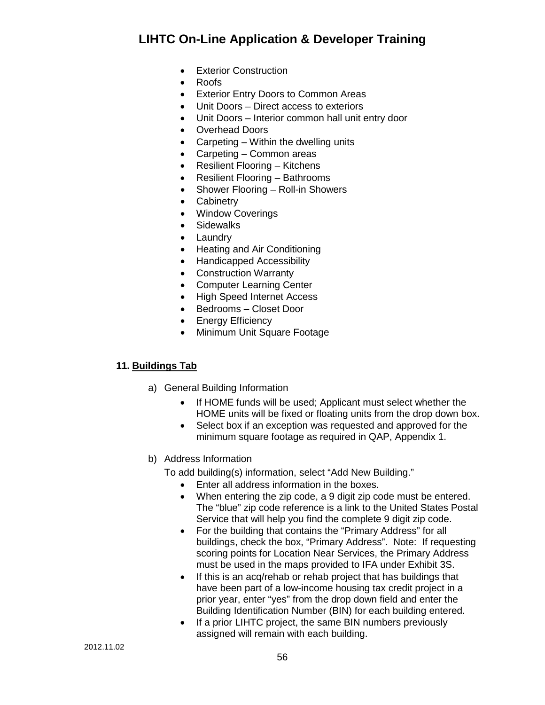- Exterior Construction
- Roofs
- Exterior Entry Doors to Common Areas
- Unit Doors Direct access to exteriors
- Unit Doors Interior common hall unit entry door
- Overhead Doors
- Carpeting Within the dwelling units
- Carpeting Common areas
- Resilient Flooring Kitchens
- Resilient Flooring Bathrooms
- Shower Flooring Roll-in Showers
- Cabinetry
- Window Coverings
- Sidewalks
- Laundry
- Heating and Air Conditioning
- Handicapped Accessibility
- Construction Warranty
- Computer Learning Center
- High Speed Internet Access
- Bedrooms Closet Door
- Energy Efficiency
- Minimum Unit Square Footage

#### **11. Buildings Tab**

- a) General Building Information
	- If HOME funds will be used; Applicant must select whether the HOME units will be fixed or floating units from the drop down box.
	- Select box if an exception was requested and approved for the minimum square footage as required in QAP, Appendix 1.
- b) Address Information

To add building(s) information, select "Add New Building."

- Enter all address information in the boxes.
- When entering the zip code, a 9 digit zip code must be entered. The "blue" zip code reference is a link to the United States Postal Service that will help you find the complete 9 digit zip code.
- For the building that contains the "Primary Address" for all buildings, check the box, "Primary Address". Note: If requesting scoring points for Location Near Services, the Primary Address must be used in the maps provided to IFA under Exhibit 3S.
- If this is an acq/rehab or rehab project that has buildings that have been part of a low-income housing tax credit project in a prior year, enter "yes" from the drop down field and enter the Building Identification Number (BIN) for each building entered.
- If a prior LIHTC project, the same BIN numbers previously assigned will remain with each building.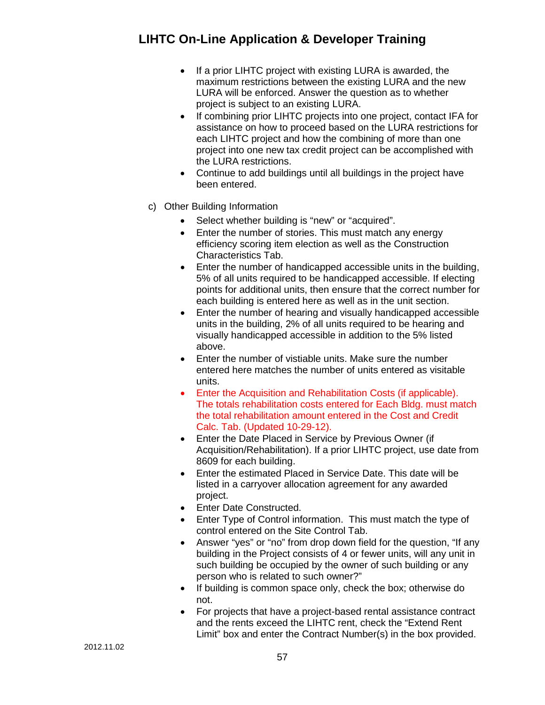- If a prior LIHTC project with existing LURA is awarded, the maximum restrictions between the existing LURA and the new LURA will be enforced. Answer the question as to whether project is subject to an existing LURA.
- If combining prior LIHTC projects into one project, contact IFA for assistance on how to proceed based on the LURA restrictions for each LIHTC project and how the combining of more than one project into one new tax credit project can be accomplished with the LURA restrictions.
- Continue to add buildings until all buildings in the project have been entered.
- c) Other Building Information
	- Select whether building is "new" or "acquired".
	- Enter the number of stories. This must match any energy efficiency scoring item election as well as the Construction Characteristics Tab.
	- Enter the number of handicapped accessible units in the building, 5% of all units required to be handicapped accessible. If electing points for additional units, then ensure that the correct number for each building is entered here as well as in the unit section.
	- Enter the number of hearing and visually handicapped accessible units in the building, 2% of all units required to be hearing and visually handicapped accessible in addition to the 5% listed above.
	- Enter the number of vistiable units. Make sure the number entered here matches the number of units entered as visitable units.
	- Enter the Acquisition and Rehabilitation Costs (if applicable). The totals rehabilitation costs entered for Each Bldg. must match the total rehabilitation amount entered in the Cost and Credit Calc. Tab. (Updated 10-29-12).
	- Enter the Date Placed in Service by Previous Owner (if Acquisition/Rehabilitation). If a prior LIHTC project, use date from 8609 for each building.
	- Enter the estimated Placed in Service Date. This date will be listed in a carryover allocation agreement for any awarded project.
	- Enter Date Constructed.
	- Enter Type of Control information. This must match the type of control entered on the Site Control Tab.
	- Answer "yes" or "no" from drop down field for the question, "If any building in the Project consists of 4 or fewer units, will any unit in such building be occupied by the owner of such building or any person who is related to such owner?"
	- If building is common space only, check the box; otherwise do not.
	- For projects that have a project-based rental assistance contract and the rents exceed the LIHTC rent, check the "Extend Rent Limit" box and enter the Contract Number(s) in the box provided.

2012.11.02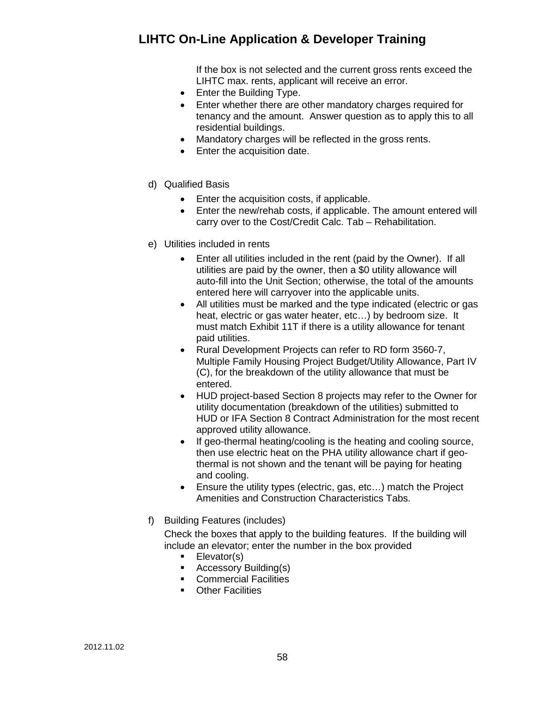If the box is not selected and the current gross rents exceed the LIHTC max. rents, applicant will receive an error.

- Enter the Building Type.
- Enter whether there are other mandatory charges required for tenancy and the amount. Answer question as to apply this to all residential buildings.
- Mandatory charges will be reflected in the gross rents.
- Enter the acquisition date.
- d) Qualified Basis
	- Enter the acquisition costs, if applicable.
	- Enter the new/rehab costs, if applicable. The amount entered will carry over to the Cost/Credit Calc. Tab – Rehabilitation.
- e) Utilities included in rents
	- Enter all utilities included in the rent (paid by the Owner). If all utilities are paid by the owner, then a \$0 utility allowance will auto-fill into the Unit Section; otherwise, the total of the amounts entered here will carryover into the applicable units.
	- All utilities must be marked and the type indicated (electric or gas heat, electric or gas water heater, etc…) by bedroom size. It must match Exhibit 11T if there is a utility allowance for tenant paid utilities.
	- Rural Development Projects can refer to RD form 3560-7, Multiple Family Housing Project Budget/Utility Allowance, Part IV (C), for the breakdown of the utility allowance that must be entered.
	- HUD project-based Section 8 projects may refer to the Owner for utility documentation (breakdown of the utilities) submitted to HUD or IFA Section 8 Contract Administration for the most recent approved utility allowance.
	- If geo-thermal heating/cooling is the heating and cooling source, then use electric heat on the PHA utility allowance chart if geothermal is not shown and the tenant will be paying for heating and cooling.
	- Ensure the utility types (electric, gas, etc...) match the Project Amenities and Construction Characteristics Tabs.
- f) Building Features (includes)

Check the boxes that apply to the building features. If the building will include an elevator; enter the number in the box provided

- **Elevator(s)**
- **Accessory Building(s)**
- **Commercial Facilities**
- **Other Facilities**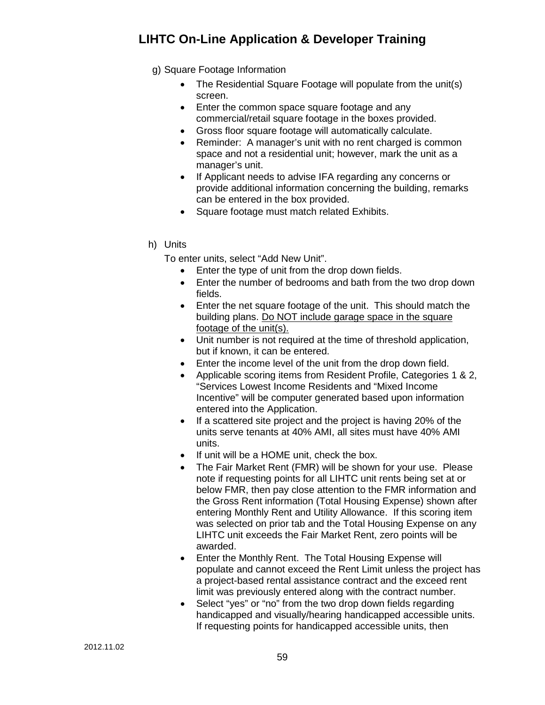- g) Square Footage Information
	- The Residential Square Footage will populate from the unit(s) screen.
	- Enter the common space square footage and any commercial/retail square footage in the boxes provided.
	- Gross floor square footage will automatically calculate.
	- Reminder: A manager's unit with no rent charged is common space and not a residential unit; however, mark the unit as a manager's unit.
	- If Applicant needs to advise IFA regarding any concerns or provide additional information concerning the building, remarks can be entered in the box provided.
	- Square footage must match related Exhibits.
- h) Units

To enter units, select "Add New Unit".

- Enter the type of unit from the drop down fields.
- Enter the number of bedrooms and bath from the two drop down fields.
- Enter the net square footage of the unit. This should match the building plans. Do NOT include garage space in the square footage of the unit(s).
- Unit number is not required at the time of threshold application, but if known, it can be entered.
- Enter the income level of the unit from the drop down field.
- Applicable scoring items from Resident Profile, Categories 1 & 2, "Services Lowest Income Residents and "Mixed Income Incentive" will be computer generated based upon information entered into the Application.
- If a scattered site project and the project is having 20% of the units serve tenants at 40% AMI, all sites must have 40% AMI units.
- If unit will be a HOME unit, check the box.
- The Fair Market Rent (FMR) will be shown for your use. Please note if requesting points for all LIHTC unit rents being set at or below FMR, then pay close attention to the FMR information and the Gross Rent information (Total Housing Expense) shown after entering Monthly Rent and Utility Allowance. If this scoring item was selected on prior tab and the Total Housing Expense on any LIHTC unit exceeds the Fair Market Rent, zero points will be awarded.
- Enter the Monthly Rent. The Total Housing Expense will populate and cannot exceed the Rent Limit unless the project has a project-based rental assistance contract and the exceed rent limit was previously entered along with the contract number.
- Select "yes" or "no" from the two drop down fields regarding handicapped and visually/hearing handicapped accessible units. If requesting points for handicapped accessible units, then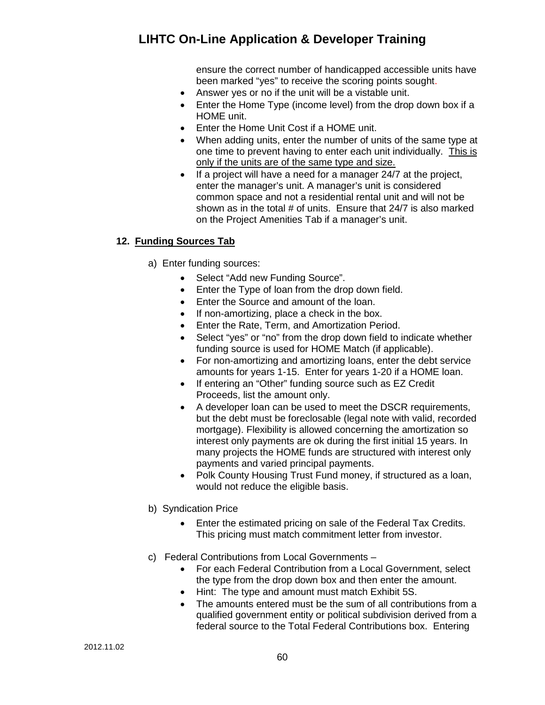ensure the correct number of handicapped accessible units have been marked "yes" to receive the scoring points sought.

- Answer yes or no if the unit will be a vistable unit.
- Enter the Home Type (income level) from the drop down box if a HOME unit.
- Enter the Home Unit Cost if a HOME unit.
- When adding units, enter the number of units of the same type at one time to prevent having to enter each unit individually. This is only if the units are of the same type and size.
- If a project will have a need for a manager 24/7 at the project, enter the manager's unit. A manager's unit is considered common space and not a residential rental unit and will not be shown as in the total # of units. Ensure that 24/7 is also marked on the Project Amenities Tab if a manager's unit.

### **12. Funding Sources Tab**

- a) Enter funding sources:
	- Select "Add new Funding Source".
	- Enter the Type of loan from the drop down field.
	- Enter the Source and amount of the loan.
	- If non-amortizing, place a check in the box.
	- Enter the Rate, Term, and Amortization Period.
	- Select "yes" or "no" from the drop down field to indicate whether funding source is used for HOME Match (if applicable).
	- For non-amortizing and amortizing loans, enter the debt service amounts for years 1-15. Enter for years 1-20 if a HOME loan.
	- If entering an "Other" funding source such as EZ Credit Proceeds, list the amount only.
	- A developer loan can be used to meet the DSCR requirements, but the debt must be foreclosable (legal note with valid, recorded mortgage). Flexibility is allowed concerning the amortization so interest only payments are ok during the first initial 15 years. In many projects the HOME funds are structured with interest only payments and varied principal payments.
	- Polk County Housing Trust Fund money, if structured as a loan, would not reduce the eligible basis.
- b) Syndication Price
	- Enter the estimated pricing on sale of the Federal Tax Credits. This pricing must match commitment letter from investor.
- c) Federal Contributions from Local Governments
	- For each Federal Contribution from a Local Government, select the type from the drop down box and then enter the amount.
	- Hint: The type and amount must match Exhibit 5S.
	- The amounts entered must be the sum of all contributions from a qualified government entity or political subdivision derived from a federal source to the Total Federal Contributions box. Entering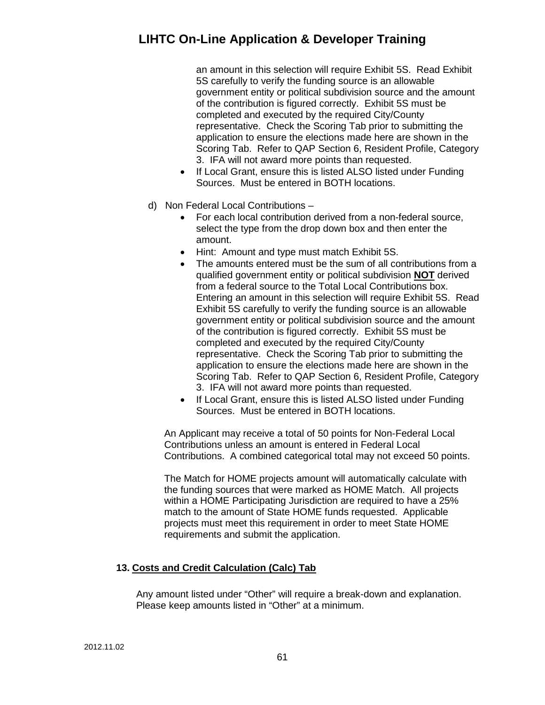an amount in this selection will require Exhibit 5S. Read Exhibit 5S carefully to verify the funding source is an allowable government entity or political subdivision source and the amount of the contribution is figured correctly. Exhibit 5S must be completed and executed by the required City/County representative. Check the Scoring Tab prior to submitting the application to ensure the elections made here are shown in the Scoring Tab. Refer to QAP Section 6, Resident Profile, Category 3. IFA will not award more points than requested.

- If Local Grant, ensure this is listed ALSO listed under Funding Sources. Must be entered in BOTH locations.
- d) Non Federal Local Contributions
	- For each local contribution derived from a non-federal source, select the type from the drop down box and then enter the amount.
	- Hint: Amount and type must match Exhibit 5S.
	- The amounts entered must be the sum of all contributions from a qualified government entity or political subdivision **NOT** derived from a federal source to the Total Local Contributions box. Entering an amount in this selection will require Exhibit 5S. Read Exhibit 5S carefully to verify the funding source is an allowable government entity or political subdivision source and the amount of the contribution is figured correctly. Exhibit 5S must be completed and executed by the required City/County representative. Check the Scoring Tab prior to submitting the application to ensure the elections made here are shown in the Scoring Tab. Refer to QAP Section 6, Resident Profile, Category 3. IFA will not award more points than requested.
	- If Local Grant, ensure this is listed ALSO listed under Funding Sources. Must be entered in BOTH locations.

An Applicant may receive a total of 50 points for Non-Federal Local Contributions unless an amount is entered in Federal Local Contributions. A combined categorical total may not exceed 50 points.

The Match for HOME projects amount will automatically calculate with the funding sources that were marked as HOME Match. All projects within a HOME Participating Jurisdiction are required to have a 25% match to the amount of State HOME funds requested. Applicable projects must meet this requirement in order to meet State HOME requirements and submit the application.

### **13. Costs and Credit Calculation (Calc) Tab**

Any amount listed under "Other" will require a break-down and explanation. Please keep amounts listed in "Other" at a minimum.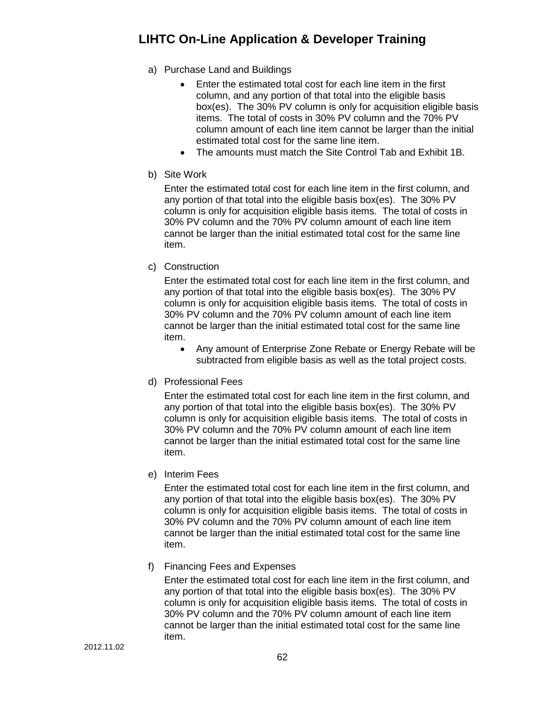- a) Purchase Land and Buildings
	- Enter the estimated total cost for each line item in the first column, and any portion of that total into the eligible basis box(es). The 30% PV column is only for acquisition eligible basis items. The total of costs in 30% PV column and the 70% PV column amount of each line item cannot be larger than the initial estimated total cost for the same line item.
	- The amounts must match the Site Control Tab and Exhibit 1B.
- b) Site Work

Enter the estimated total cost for each line item in the first column, and any portion of that total into the eligible basis box(es). The 30% PV column is only for acquisition eligible basis items. The total of costs in 30% PV column and the 70% PV column amount of each line item cannot be larger than the initial estimated total cost for the same line item.

c) Construction

Enter the estimated total cost for each line item in the first column, and any portion of that total into the eligible basis box(es). The 30% PV column is only for acquisition eligible basis items. The total of costs in 30% PV column and the 70% PV column amount of each line item cannot be larger than the initial estimated total cost for the same line item.

- Any amount of Enterprise Zone Rebate or Energy Rebate will be subtracted from eligible basis as well as the total project costs.
- d) Professional Fees

Enter the estimated total cost for each line item in the first column, and any portion of that total into the eligible basis box(es). The 30% PV column is only for acquisition eligible basis items. The total of costs in 30% PV column and the 70% PV column amount of each line item cannot be larger than the initial estimated total cost for the same line item.

e) Interim Fees

Enter the estimated total cost for each line item in the first column, and any portion of that total into the eligible basis box(es). The 30% PV column is only for acquisition eligible basis items. The total of costs in 30% PV column and the 70% PV column amount of each line item cannot be larger than the initial estimated total cost for the same line item.

f) Financing Fees and Expenses

Enter the estimated total cost for each line item in the first column, and any portion of that total into the eligible basis box(es). The 30% PV column is only for acquisition eligible basis items. The total of costs in 30% PV column and the 70% PV column amount of each line item cannot be larger than the initial estimated total cost for the same line item.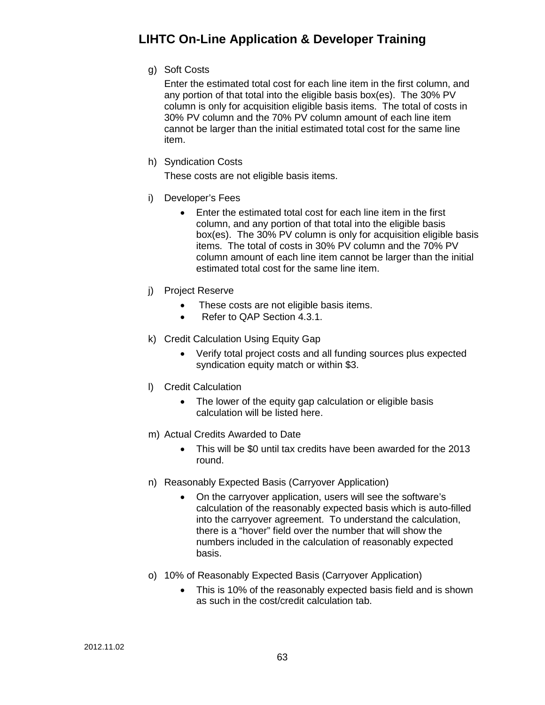g) Soft Costs

Enter the estimated total cost for each line item in the first column, and any portion of that total into the eligible basis box(es). The 30% PV column is only for acquisition eligible basis items. The total of costs in 30% PV column and the 70% PV column amount of each line item cannot be larger than the initial estimated total cost for the same line item.

h) Syndication Costs

These costs are not eligible basis items.

- i) Developer's Fees
	- Enter the estimated total cost for each line item in the first column, and any portion of that total into the eligible basis box(es). The 30% PV column is only for acquisition eligible basis items. The total of costs in 30% PV column and the 70% PV column amount of each line item cannot be larger than the initial estimated total cost for the same line item.
- j) Project Reserve
	- These costs are not eligible basis items.
	- Refer to QAP Section 4.3.1.
- k) Credit Calculation Using Equity Gap
	- Verify total project costs and all funding sources plus expected syndication equity match or within \$3.
- l) Credit Calculation
	- The lower of the equity gap calculation or eligible basis calculation will be listed here.
- m) Actual Credits Awarded to Date
	- This will be \$0 until tax credits have been awarded for the 2013 round.
- n) Reasonably Expected Basis (Carryover Application)
	- On the carryover application, users will see the software's calculation of the reasonably expected basis which is auto-filled into the carryover agreement. To understand the calculation, there is a "hover" field over the number that will show the numbers included in the calculation of reasonably expected basis.
- o) 10% of Reasonably Expected Basis (Carryover Application)
	- This is 10% of the reasonably expected basis field and is shown as such in the cost/credit calculation tab.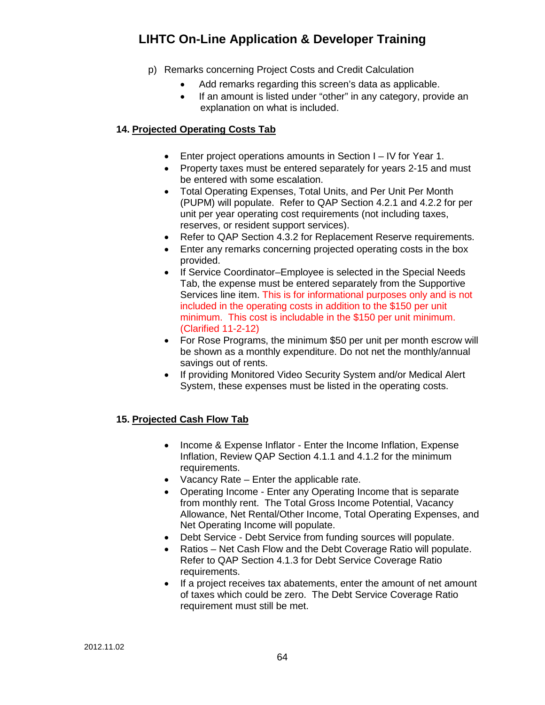- p) Remarks concerning Project Costs and Credit Calculation
	- Add remarks regarding this screen's data as applicable.
	- If an amount is listed under "other" in any category, provide an explanation on what is included.

### **14. Projected Operating Costs Tab**

- Enter project operations amounts in Section I IV for Year 1.
- Property taxes must be entered separately for years 2-15 and must be entered with some escalation.
- Total Operating Expenses, Total Units, and Per Unit Per Month (PUPM) will populate. Refer to QAP Section 4.2.1 and 4.2.2 for per unit per year operating cost requirements (not including taxes, reserves, or resident support services).
- Refer to QAP Section 4.3.2 for Replacement Reserve requirements.
- Enter any remarks concerning projected operating costs in the box provided.
- If Service Coordinator–Employee is selected in the Special Needs Tab, the expense must be entered separately from the Supportive Services line item. This is for informational purposes only and is not included in the operating costs in addition to the \$150 per unit minimum. This cost is includable in the \$150 per unit minimum. (Clarified 11-2-12)
- For Rose Programs, the minimum \$50 per unit per month escrow will be shown as a monthly expenditure. Do not net the monthly/annual savings out of rents.
- If providing Monitored Video Security System and/or Medical Alert System, these expenses must be listed in the operating costs.

### **15. Projected Cash Flow Tab**

- Income & Expense Inflator Enter the Income Inflation, Expense Inflation, Review QAP Section 4.1.1 and 4.1.2 for the minimum requirements.
- Vacancy Rate Enter the applicable rate.
- Operating Income Enter any Operating Income that is separate from monthly rent. The Total Gross Income Potential, Vacancy Allowance, Net Rental/Other Income, Total Operating Expenses, and Net Operating Income will populate.
- Debt Service Debt Service from funding sources will populate.
- Ratios Net Cash Flow and the Debt Coverage Ratio will populate. Refer to QAP Section 4.1.3 for Debt Service Coverage Ratio requirements.
- If a project receives tax abatements, enter the amount of net amount of taxes which could be zero. The Debt Service Coverage Ratio requirement must still be met.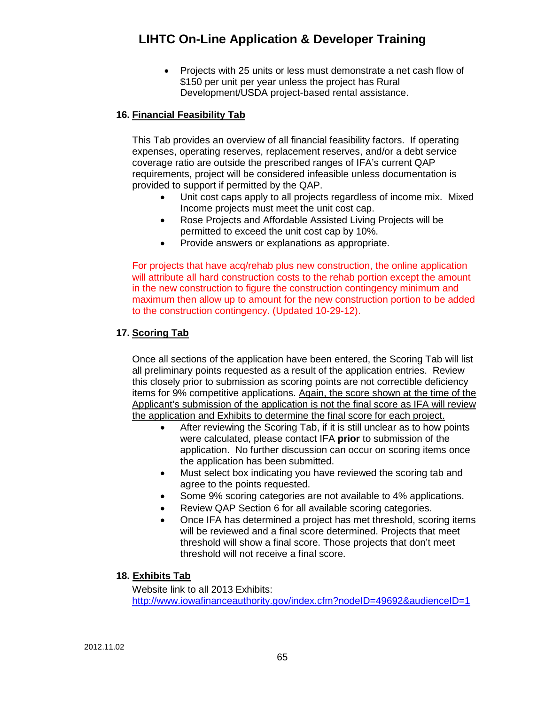• Projects with 25 units or less must demonstrate a net cash flow of \$150 per unit per year unless the project has Rural Development/USDA project-based rental assistance.

### **16. Financial Feasibility Tab**

This Tab provides an overview of all financial feasibility factors. If operating expenses, operating reserves, replacement reserves, and/or a debt service coverage ratio are outside the prescribed ranges of IFA's current QAP requirements, project will be considered infeasible unless documentation is provided to support if permitted by the QAP.

- Unit cost caps apply to all projects regardless of income mix. Mixed Income projects must meet the unit cost cap.
- Rose Projects and Affordable Assisted Living Projects will be permitted to exceed the unit cost cap by 10%.
- Provide answers or explanations as appropriate.

For projects that have acq/rehab plus new construction, the online application will attribute all hard construction costs to the rehab portion except the amount in the new construction to figure the construction contingency minimum and maximum then allow up to amount for the new construction portion to be added to the construction contingency. (Updated 10-29-12).

### **17. Scoring Tab**

Once all sections of the application have been entered, the Scoring Tab will list all preliminary points requested as a result of the application entries. Review this closely prior to submission as scoring points are not correctible deficiency items for 9% competitive applications. Again, the score shown at the time of the Applicant's submission of the application is not the final score as IFA will review the application and Exhibits to determine the final score for each project.

- After reviewing the Scoring Tab, if it is still unclear as to how points were calculated, please contact IFA **prior** to submission of the application. No further discussion can occur on scoring items once the application has been submitted.
- Must select box indicating you have reviewed the scoring tab and agree to the points requested.
- Some 9% scoring categories are not available to 4% applications.
- Review QAP Section 6 for all available scoring categories.
- Once IFA has determined a project has met threshold, scoring items will be reviewed and a final score determined. Projects that meet threshold will show a final score. Those projects that don't meet threshold will not receive a final score.

#### **18. Exhibits Tab**

Website link to all 2013 Exhibits: <http://www.iowafinanceauthority.gov/index.cfm?nodeID=49692&audienceID=1>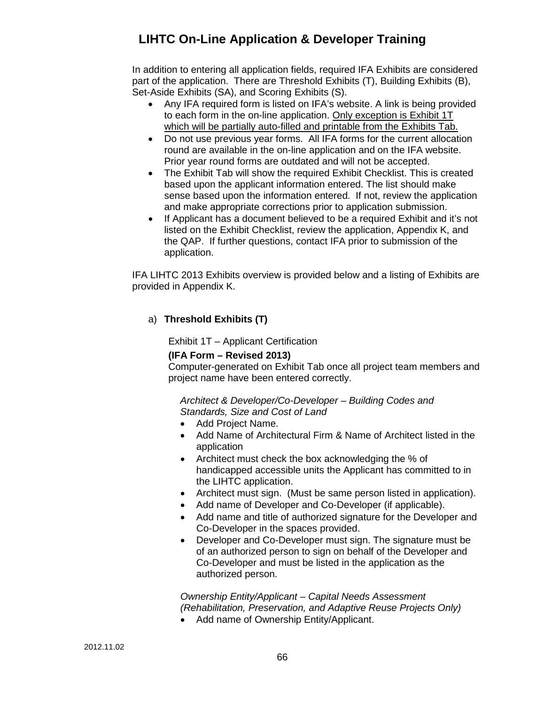In addition to entering all application fields, required IFA Exhibits are considered part of the application. There are Threshold Exhibits (T), Building Exhibits (B), Set-Aside Exhibits (SA), and Scoring Exhibits (S).

- Any IFA required form is listed on IFA's website. A link is being provided to each form in the on-line application. Only exception is Exhibit 1T which will be partially auto-filled and printable from the Exhibits Tab.
- Do not use previous year forms. All IFA forms for the current allocation round are available in the on-line application and on the IFA website. Prior year round forms are outdated and will not be accepted.
- The Exhibit Tab will show the required Exhibit Checklist. This is created based upon the applicant information entered. The list should make sense based upon the information entered. If not, review the application and make appropriate corrections prior to application submission.
- If Applicant has a document believed to be a required Exhibit and it's not listed on the Exhibit Checklist, review the application, Appendix K, and the QAP. If further questions, contact IFA prior to submission of the application.

IFA LIHTC 2013 Exhibits overview is provided below and a listing of Exhibits are provided in Appendix K.

### a) **Threshold Exhibits (T)**

Exhibit 1T – Applicant Certification

#### **(IFA Form – Revised 2013)**

Computer-generated on Exhibit Tab once all project team members and project name have been entered correctly.

#### *Architect & Developer/Co-Developer – Building Codes and Standards, Size and Cost of Land*

- Add Project Name.
- Add Name of Architectural Firm & Name of Architect listed in the application
- Architect must check the box acknowledging the % of handicapped accessible units the Applicant has committed to in the LIHTC application.
- Architect must sign. (Must be same person listed in application).
- Add name of Developer and Co-Developer (if applicable).
- Add name and title of authorized signature for the Developer and Co-Developer in the spaces provided.
- Developer and Co-Developer must sign. The signature must be of an authorized person to sign on behalf of the Developer and Co-Developer and must be listed in the application as the authorized person.

## *Ownership Entity/Applicant – Capital Needs Assessment (Rehabilitation, Preservation, and Adaptive Reuse Projects Only)*

• Add name of Ownership Entity/Applicant.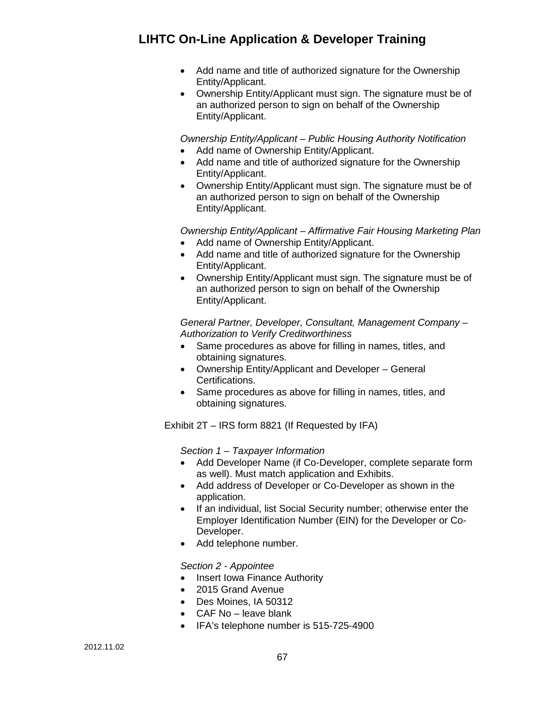- Add name and title of authorized signature for the Ownership Entity/Applicant.
- Ownership Entity/Applicant must sign. The signature must be of an authorized person to sign on behalf of the Ownership Entity/Applicant.

*Ownership Entity/Applicant – Public Housing Authority Notification*

- Add name of Ownership Entity/Applicant.
- Add name and title of authorized signature for the Ownership Entity/Applicant.
- Ownership Entity/Applicant must sign. The signature must be of an authorized person to sign on behalf of the Ownership Entity/Applicant.

*Ownership Entity/Applicant – Affirmative Fair Housing Marketing Plan*

- Add name of Ownership Entity/Applicant.
- Add name and title of authorized signature for the Ownership Entity/Applicant.
- Ownership Entity/Applicant must sign. The signature must be of an authorized person to sign on behalf of the Ownership Entity/Applicant.

*General Partner, Developer, Consultant, Management Company – Authorization to Verify Creditworthiness*

- Same procedures as above for filling in names, titles, and obtaining signatures.
- Ownership Entity/Applicant and Developer General Certifications.
- Same procedures as above for filling in names, titles, and obtaining signatures.

Exhibit 2T – IRS form 8821 (If Requested by IFA)

*Section 1 – Taxpayer Information*

- Add Developer Name (if Co-Developer, complete separate form as well). Must match application and Exhibits.
- Add address of Developer or Co-Developer as shown in the application.
- If an individual, list Social Security number; otherwise enter the Employer Identification Number (EIN) for the Developer or Co-Developer.
- Add telephone number.

### *Section 2 - Appointee*

- Insert Iowa Finance Authority
- 2015 Grand Avenue
- Des Moines, IA 50312
- CAF No leave blank
- IFA's telephone number is 515-725-4900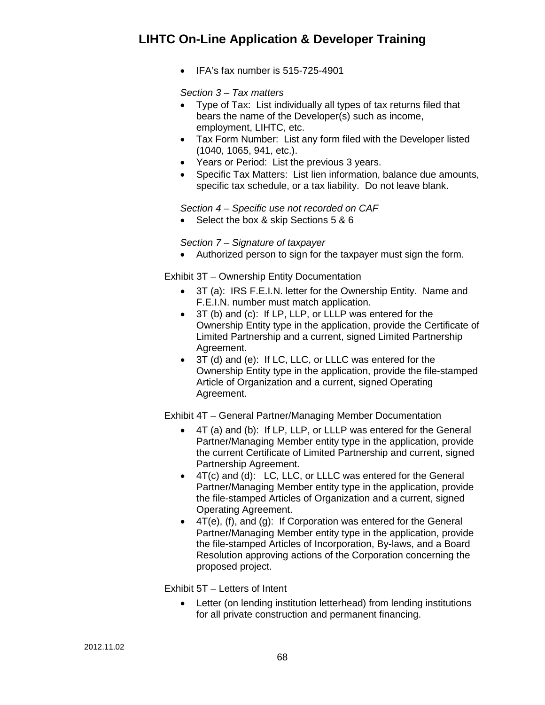• IFA's fax number is 515-725-4901

### *Section 3 – Tax matters*

- Type of Tax: List individually all types of tax returns filed that bears the name of the Developer(s) such as income, employment, LIHTC, etc.
- Tax Form Number: List any form filed with the Developer listed (1040, 1065, 941, etc.).
- Years or Period: List the previous 3 years.
- Specific Tax Matters: List lien information, balance due amounts, specific tax schedule, or a tax liability. Do not leave blank.

*Section 4 – Specific use not recorded on CAF*

• Select the box & skip Sections 5 & 6

### *Section 7 – Signature of taxpayer*

• Authorized person to sign for the taxpayer must sign the form.

Exhibit 3T – Ownership Entity Documentation

- 3T (a): IRS F.E.I.N. letter for the Ownership Entity. Name and F.E.I.N. number must match application.
- 3T (b) and (c): If LP, LLP, or LLLP was entered for the Ownership Entity type in the application, provide the Certificate of Limited Partnership and a current, signed Limited Partnership Agreement.
- 3T (d) and (e): If LC, LLC, or LLLC was entered for the Ownership Entity type in the application, provide the file-stamped Article of Organization and a current, signed Operating Agreement.

Exhibit 4T – General Partner/Managing Member Documentation

- 4T (a) and (b): If LP, LLP, or LLLP was entered for the General Partner/Managing Member entity type in the application, provide the current Certificate of Limited Partnership and current, signed Partnership Agreement.
- 4T(c) and (d): LC, LLC, or LLLC was entered for the General Partner/Managing Member entity type in the application, provide the file-stamped Articles of Organization and a current, signed Operating Agreement.
- 4T(e), (f), and (g): If Corporation was entered for the General Partner/Managing Member entity type in the application, provide the file-stamped Articles of Incorporation, By-laws, and a Board Resolution approving actions of the Corporation concerning the proposed project.

Exhibit 5T – Letters of Intent

Letter (on lending institution letterhead) from lending institutions for all private construction and permanent financing.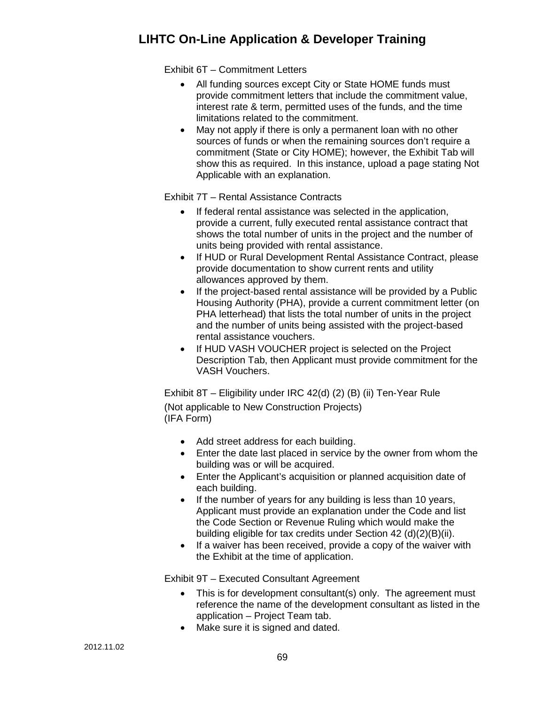Exhibit 6T – Commitment Letters

- All funding sources except City or State HOME funds must provide commitment letters that include the commitment value, interest rate & term, permitted uses of the funds, and the time limitations related to the commitment.
- May not apply if there is only a permanent loan with no other sources of funds or when the remaining sources don't require a commitment (State or City HOME); however, the Exhibit Tab will show this as required. In this instance, upload a page stating Not Applicable with an explanation.

Exhibit 7T – Rental Assistance Contracts

- If federal rental assistance was selected in the application, provide a current, fully executed rental assistance contract that shows the total number of units in the project and the number of units being provided with rental assistance.
- If HUD or Rural Development Rental Assistance Contract, please provide documentation to show current rents and utility allowances approved by them.
- If the project-based rental assistance will be provided by a Public Housing Authority (PHA), provide a current commitment letter (on PHA letterhead) that lists the total number of units in the project and the number of units being assisted with the project-based rental assistance vouchers.
- If HUD VASH VOUCHER project is selected on the Project Description Tab, then Applicant must provide commitment for the VASH Vouchers.

Exhibit 8T – Eligibility under IRC 42(d) (2) (B) (ii) Ten-Year Rule (Not applicable to New Construction Projects) (IFA Form)

- Add street address for each building.
- Enter the date last placed in service by the owner from whom the building was or will be acquired.
- Enter the Applicant's acquisition or planned acquisition date of each building.
- If the number of years for any building is less than 10 years, Applicant must provide an explanation under the Code and list the Code Section or Revenue Ruling which would make the building eligible for tax credits under Section 42 (d)(2)(B)(ii).
- If a waiver has been received, provide a copy of the waiver with the Exhibit at the time of application.

Exhibit 9T – Executed Consultant Agreement

- This is for development consultant(s) only. The agreement must reference the name of the development consultant as listed in the application – Project Team tab.
- Make sure it is signed and dated.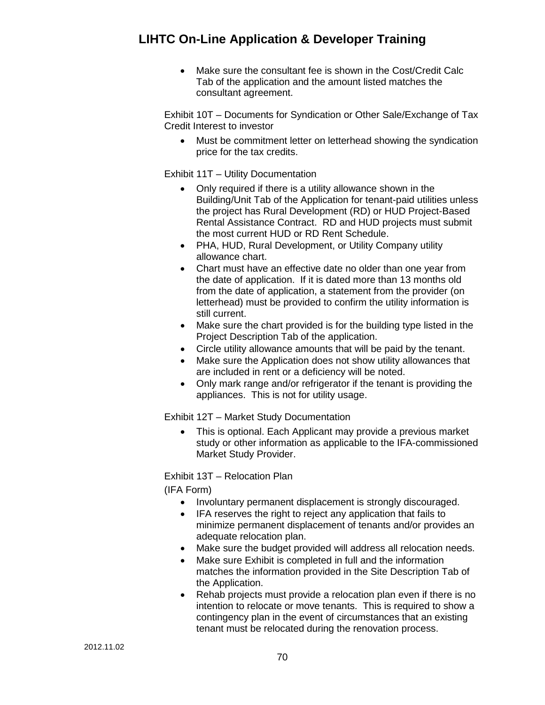• Make sure the consultant fee is shown in the Cost/Credit Calc Tab of the application and the amount listed matches the consultant agreement.

Exhibit 10T – Documents for Syndication or Other Sale/Exchange of Tax Credit Interest to investor

• Must be commitment letter on letterhead showing the syndication price for the tax credits.

Exhibit 11T – Utility Documentation

- Only required if there is a utility allowance shown in the Building/Unit Tab of the Application for tenant-paid utilities unless the project has Rural Development (RD) or HUD Project-Based Rental Assistance Contract. RD and HUD projects must submit the most current HUD or RD Rent Schedule.
- PHA, HUD, Rural Development, or Utility Company utility allowance chart.
- Chart must have an effective date no older than one year from the date of application. If it is dated more than 13 months old from the date of application, a statement from the provider (on letterhead) must be provided to confirm the utility information is still current.
- Make sure the chart provided is for the building type listed in the Project Description Tab of the application.
- Circle utility allowance amounts that will be paid by the tenant.
- Make sure the Application does not show utility allowances that are included in rent or a deficiency will be noted.
- Only mark range and/or refrigerator if the tenant is providing the appliances. This is not for utility usage.

Exhibit 12T – Market Study Documentation

• This is optional. Each Applicant may provide a previous market study or other information as applicable to the IFA-commissioned Market Study Provider.

Exhibit 13T – Relocation Plan

(IFA Form)

- Involuntary permanent displacement is strongly discouraged.
- IFA reserves the right to reject any application that fails to minimize permanent displacement of tenants and/or provides an adequate relocation plan.
- Make sure the budget provided will address all relocation needs.
- Make sure Exhibit is completed in full and the information matches the information provided in the Site Description Tab of the Application.
- Rehab projects must provide a relocation plan even if there is no intention to relocate or move tenants. This is required to show a contingency plan in the event of circumstances that an existing tenant must be relocated during the renovation process.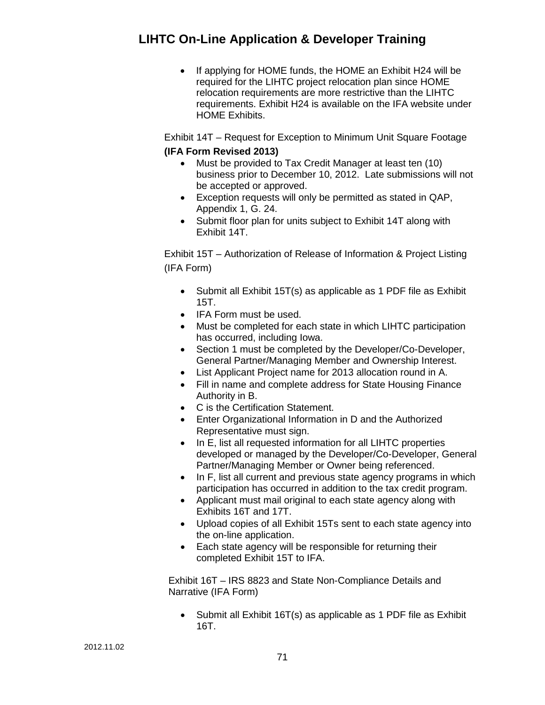• If applying for HOME funds, the HOME an Exhibit H24 will be required for the LIHTC project relocation plan since HOME relocation requirements are more restrictive than the LIHTC requirements. Exhibit H24 is available on the IFA website under HOME Exhibits.

Exhibit 14T – Request for Exception to Minimum Unit Square Footage **(IFA Form Revised 2013)**

- Must be provided to Tax Credit Manager at least ten (10) business prior to December 10, 2012. Late submissions will not be accepted or approved.
- Exception requests will only be permitted as stated in QAP, Appendix 1, G. 24.
- Submit floor plan for units subject to Exhibit 14T along with Exhibit 14T.

Exhibit 15T – Authorization of Release of Information & Project Listing (IFA Form)

- Submit all Exhibit 15T(s) as applicable as 1 PDF file as Exhibit 15T.
- IFA Form must be used.
- Must be completed for each state in which LIHTC participation has occurred, including Iowa.
- Section 1 must be completed by the Developer/Co-Developer, General Partner/Managing Member and Ownership Interest.
- List Applicant Project name for 2013 allocation round in A.
- Fill in name and complete address for State Housing Finance Authority in B.
- C is the Certification Statement.
- Enter Organizational Information in D and the Authorized Representative must sign.
- In E, list all requested information for all LIHTC properties developed or managed by the Developer/Co-Developer, General Partner/Managing Member or Owner being referenced.
- In F, list all current and previous state agency programs in which participation has occurred in addition to the tax credit program.
- Applicant must mail original to each state agency along with Exhibits 16T and 17T.
- Upload copies of all Exhibit 15Ts sent to each state agency into the on-line application.
- Each state agency will be responsible for returning their completed Exhibit 15T to IFA.

Exhibit 16T – IRS 8823 and State Non-Compliance Details and Narrative (IFA Form)

• Submit all Exhibit 16T(s) as applicable as 1 PDF file as Exhibit 16T.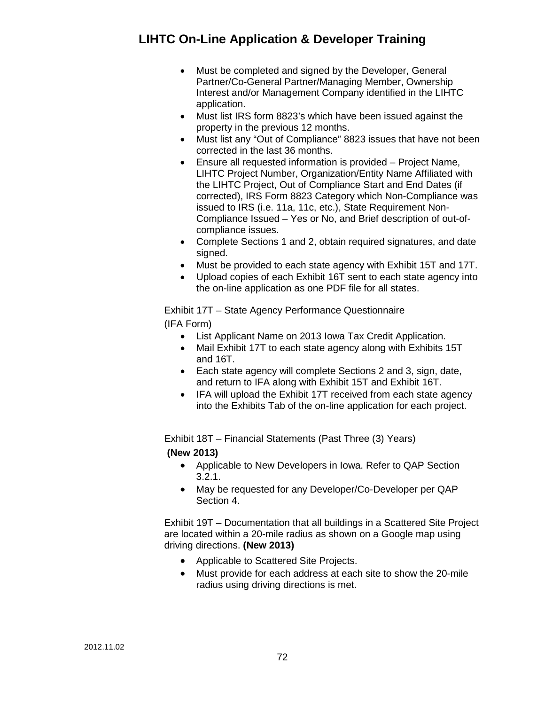- Must be completed and signed by the Developer, General Partner/Co-General Partner/Managing Member, Ownership Interest and/or Management Company identified in the LIHTC application.
- Must list IRS form 8823's which have been issued against the property in the previous 12 months.
- Must list any "Out of Compliance" 8823 issues that have not been corrected in the last 36 months.
- Ensure all requested information is provided Project Name, LIHTC Project Number, Organization/Entity Name Affiliated with the LIHTC Project, Out of Compliance Start and End Dates (if corrected), IRS Form 8823 Category which Non-Compliance was issued to IRS (i.e. 11a, 11c, etc.), State Requirement Non-Compliance Issued – Yes or No, and Brief description of out-ofcompliance issues.
- Complete Sections 1 and 2, obtain required signatures, and date signed.
- Must be provided to each state agency with Exhibit 15T and 17T.
- Upload copies of each Exhibit 16T sent to each state agency into the on-line application as one PDF file for all states.

Exhibit 17T – State Agency Performance Questionnaire (IFA Form)

- List Applicant Name on 2013 Iowa Tax Credit Application.
- Mail Exhibit 17T to each state agency along with Exhibits 15T and 16T.
- Each state agency will complete Sections 2 and 3, sign, date, and return to IFA along with Exhibit 15T and Exhibit 16T.
- IFA will upload the Exhibit 17T received from each state agency into the Exhibits Tab of the on-line application for each project.

Exhibit 18T – Financial Statements (Past Three (3) Years)

**(New 2013)**

- Applicable to New Developers in Iowa. Refer to QAP Section 3.2.1.
- May be requested for any Developer/Co-Developer per QAP Section 4.

Exhibit 19T – Documentation that all buildings in a Scattered Site Project are located within a 20-mile radius as shown on a Google map using driving directions. **(New 2013)**

- Applicable to Scattered Site Projects.
- Must provide for each address at each site to show the 20-mile radius using driving directions is met.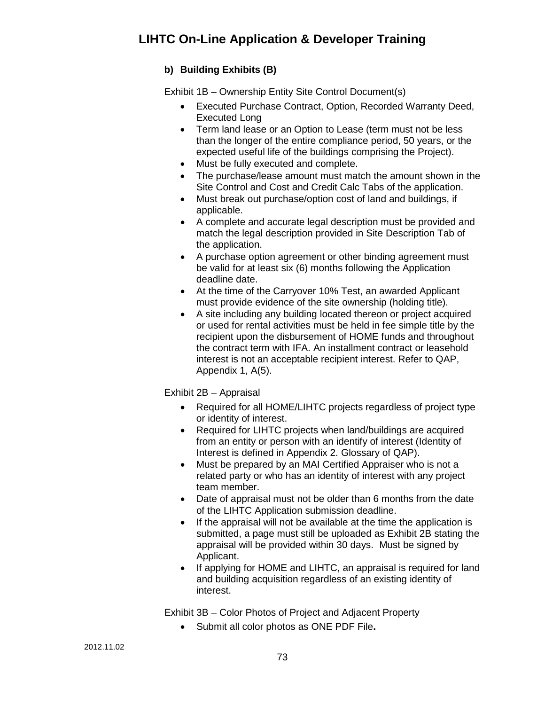## **b) Building Exhibits (B)**

Exhibit 1B – Ownership Entity Site Control Document(s)

- Executed Purchase Contract, Option, Recorded Warranty Deed, Executed Long
- Term land lease or an Option to Lease (term must not be less than the longer of the entire compliance period, 50 years, or the expected useful life of the buildings comprising the Project).
- Must be fully executed and complete.
- The purchase/lease amount must match the amount shown in the Site Control and Cost and Credit Calc Tabs of the application.
- Must break out purchase/option cost of land and buildings, if applicable.
- A complete and accurate legal description must be provided and match the legal description provided in Site Description Tab of the application.
- A purchase option agreement or other binding agreement must be valid for at least six (6) months following the Application deadline date.
- At the time of the Carryover 10% Test, an awarded Applicant must provide evidence of the site ownership (holding title).
- A site including any building located thereon or project acquired or used for rental activities must be held in fee simple title by the recipient upon the disbursement of HOME funds and throughout the contract term with IFA. An installment contract or leasehold interest is not an acceptable recipient interest. Refer to QAP, Appendix 1, A(5).

Exhibit 2B – Appraisal

- Required for all HOME/LIHTC projects regardless of project type or identity of interest.
- Required for LIHTC projects when land/buildings are acquired from an entity or person with an identify of interest (Identity of Interest is defined in Appendix 2. Glossary of QAP).
- Must be prepared by an MAI Certified Appraiser who is not a related party or who has an identity of interest with any project team member.
- Date of appraisal must not be older than 6 months from the date of the LIHTC Application submission deadline.
- If the appraisal will not be available at the time the application is submitted, a page must still be uploaded as Exhibit 2B stating the appraisal will be provided within 30 days. Must be signed by Applicant.
- If applying for HOME and LIHTC, an appraisal is required for land and building acquisition regardless of an existing identity of interest.

Exhibit 3B – Color Photos of Project and Adjacent Property

• Submit all color photos as ONE PDF File**.**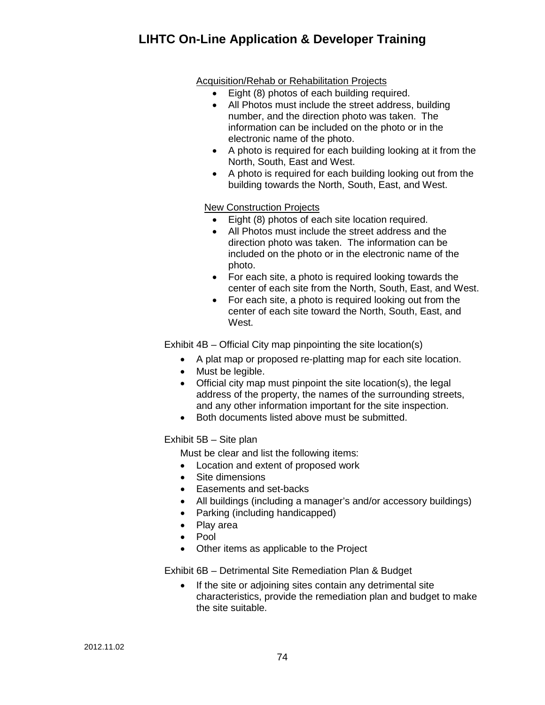#### Acquisition/Rehab or Rehabilitation Projects

- Eight (8) photos of each building required.
- All Photos must include the street address, building number, and the direction photo was taken. The information can be included on the photo or in the electronic name of the photo.
- A photo is required for each building looking at it from the North, South, East and West.
- A photo is required for each building looking out from the building towards the North, South, East, and West.

#### New Construction Projects

- Eight (8) photos of each site location required.
- All Photos must include the street address and the direction photo was taken. The information can be included on the photo or in the electronic name of the photo.
- For each site, a photo is required looking towards the center of each site from the North, South, East, and West.
- For each site, a photo is required looking out from the center of each site toward the North, South, East, and West.

Exhibit 4B – Official City map pinpointing the site location(s)

- A plat map or proposed re-platting map for each site location.
- Must be legible.
- Official city map must pinpoint the site location(s), the legal address of the property, the names of the surrounding streets, and any other information important for the site inspection.
- Both documents listed above must be submitted.

### Exhibit 5B – Site plan

Must be clear and list the following items:

- Location and extent of proposed work
- Site dimensions
- Easements and set-backs
- All buildings (including a manager's and/or accessory buildings)
- Parking (including handicapped)
- Play area
- Pool
- Other items as applicable to the Project

Exhibit 6B – Detrimental Site Remediation Plan & Budget

If the site or adjoining sites contain any detrimental site characteristics, provide the remediation plan and budget to make the site suitable.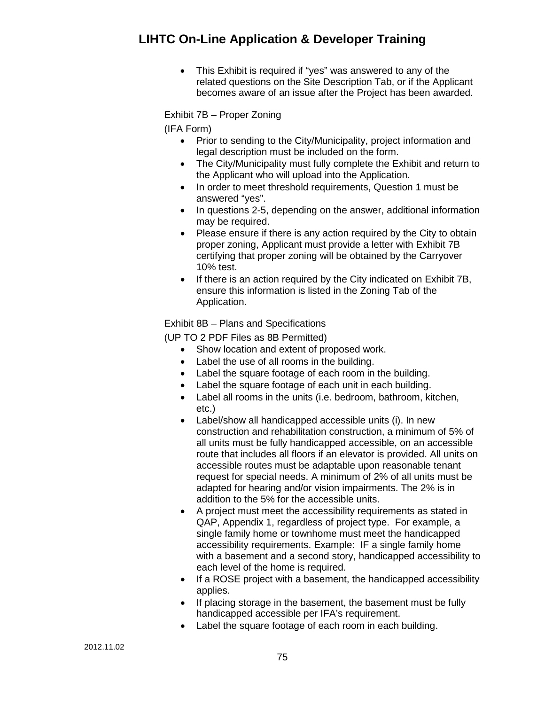• This Exhibit is required if "yes" was answered to any of the related questions on the Site Description Tab, or if the Applicant becomes aware of an issue after the Project has been awarded.

Exhibit 7B – Proper Zoning

(IFA Form)

- Prior to sending to the City/Municipality, project information and legal description must be included on the form.
- The City/Municipality must fully complete the Exhibit and return to the Applicant who will upload into the Application.
- In order to meet threshold requirements, Question 1 must be answered "yes".
- In questions 2-5, depending on the answer, additional information may be required.
- Please ensure if there is any action required by the City to obtain proper zoning, Applicant must provide a letter with Exhibit 7B certifying that proper zoning will be obtained by the Carryover 10% test.
- If there is an action required by the City indicated on Exhibit 7B, ensure this information is listed in the Zoning Tab of the Application.

Exhibit 8B – Plans and Specifications

(UP TO 2 PDF Files as 8B Permitted)

- Show location and extent of proposed work.
- Label the use of all rooms in the building.
- Label the square footage of each room in the building.
- Label the square footage of each unit in each building.
- Label all rooms in the units (i.e. bedroom, bathroom, kitchen, etc.)
- Label/show all handicapped accessible units (i). In new construction and rehabilitation construction, a minimum of 5% of all units must be fully handicapped accessible, on an accessible route that includes all floors if an elevator is provided. All units on accessible routes must be adaptable upon reasonable tenant request for special needs. A minimum of 2% of all units must be adapted for hearing and/or vision impairments. The 2% is in addition to the 5% for the accessible units.
- A project must meet the accessibility requirements as stated in QAP, Appendix 1, regardless of project type. For example, a single family home or townhome must meet the handicapped accessibility requirements. Example: IF a single family home with a basement and a second story, handicapped accessibility to each level of the home is required.
- If a ROSE project with a basement, the handicapped accessibility applies.
- If placing storage in the basement, the basement must be fully handicapped accessible per IFA's requirement.
- Label the square footage of each room in each building.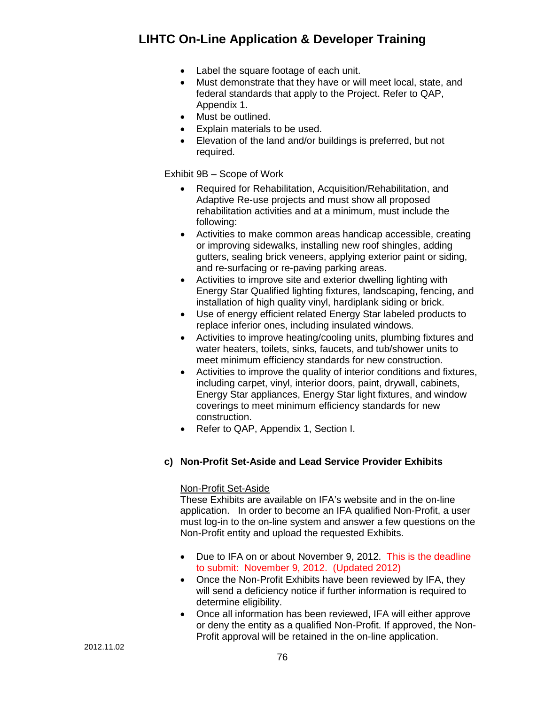- Label the square footage of each unit.
- Must demonstrate that they have or will meet local, state, and federal standards that apply to the Project. Refer to QAP, Appendix 1.
- Must be outlined.
- Explain materials to be used.
- Elevation of the land and/or buildings is preferred, but not required.

Exhibit 9B – Scope of Work

- Required for Rehabilitation, Acquisition/Rehabilitation, and Adaptive Re-use projects and must show all proposed rehabilitation activities and at a minimum, must include the following:
- Activities to make common areas handicap accessible, creating or improving sidewalks, installing new roof shingles, adding gutters, sealing brick veneers, applying exterior paint or siding, and re-surfacing or re-paving parking areas.
- Activities to improve site and exterior dwelling lighting with Energy Star Qualified lighting fixtures, landscaping, fencing, and installation of high quality vinyl, hardiplank siding or brick.
- Use of energy efficient related Energy Star labeled products to replace inferior ones, including insulated windows.
- Activities to improve heating/cooling units, plumbing fixtures and water heaters, toilets, sinks, faucets, and tub/shower units to meet minimum efficiency standards for new construction.
- Activities to improve the quality of interior conditions and fixtures, including carpet, vinyl, interior doors, paint, drywall, cabinets, Energy Star appliances, Energy Star light fixtures, and window coverings to meet minimum efficiency standards for new construction.
- Refer to QAP, Appendix 1, Section I.

#### **c) Non-Profit Set-Aside and Lead Service Provider Exhibits**

#### Non-Profit Set-Aside

These Exhibits are available on IFA's website and in the on-line application. In order to become an IFA qualified Non-Profit, a user must log-in to the on-line system and answer a few questions on the Non-Profit entity and upload the requested Exhibits.

- Due to IFA on or about November 9, 2012. This is the deadline to submit: November 9, 2012. (Updated 2012)
- Once the Non-Profit Exhibits have been reviewed by IFA, they will send a deficiency notice if further information is required to determine eligibility.
- Once all information has been reviewed, IFA will either approve or deny the entity as a qualified Non-Profit. If approved, the Non-Profit approval will be retained in the on-line application.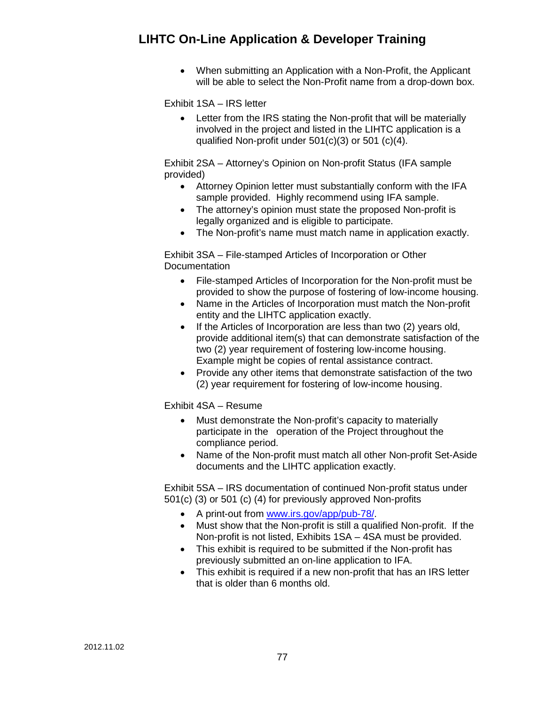• When submitting an Application with a Non-Profit, the Applicant will be able to select the Non-Profit name from a drop-down box.

Exhibit 1SA – IRS letter

• Letter from the IRS stating the Non-profit that will be materially involved in the project and listed in the LIHTC application is a qualified Non-profit under 501(c)(3) or 501 (c)(4).

Exhibit 2SA – Attorney's Opinion on Non-profit Status (IFA sample provided)

- Attorney Opinion letter must substantially conform with the IFA sample provided. Highly recommend using IFA sample.
- The attorney's opinion must state the proposed Non-profit is legally organized and is eligible to participate.
- The Non-profit's name must match name in application exactly.

Exhibit 3SA – File-stamped Articles of Incorporation or Other Documentation

- File-stamped Articles of Incorporation for the Non-profit must be provided to show the purpose of fostering of low-income housing.
- Name in the Articles of Incorporation must match the Non-profit entity and the LIHTC application exactly.
- If the Articles of Incorporation are less than two (2) years old, provide additional item(s) that can demonstrate satisfaction of the two (2) year requirement of fostering low-income housing. Example might be copies of rental assistance contract.
- Provide any other items that demonstrate satisfaction of the two (2) year requirement for fostering of low-income housing.

Exhibit 4SA – Resume

- Must demonstrate the Non-profit's capacity to materially participate in the operation of the Project throughout the compliance period.
- Name of the Non-profit must match all other Non-profit Set-Aside documents and the LIHTC application exactly.

Exhibit 5SA – IRS documentation of continued Non-profit status under 501(c) (3) or 501 (c) (4) for previously approved Non-profits

- A print-out from [www.irs.gov/app/pub-78/.](http://www.irs.gov/app/pub-78/)
- Must show that the Non-profit is still a qualified Non-profit. If the Non-profit is not listed, Exhibits 1SA – 4SA must be provided.
- This exhibit is required to be submitted if the Non-profit has previously submitted an on-line application to IFA.
- This exhibit is required if a new non-profit that has an IRS letter that is older than 6 months old.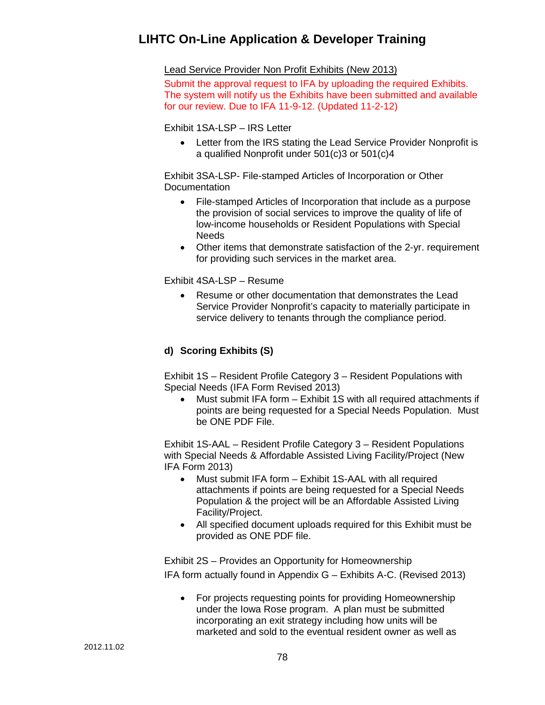Lead Service Provider Non Profit Exhibits (New 2013)

Submit the approval request to IFA by uploading the required Exhibits. The system will notify us the Exhibits have been submitted and available for our review. Due to IFA 11-9-12. (Updated 11-2-12)

Exhibit 1SA-LSP – IRS Letter

• Letter from the IRS stating the Lead Service Provider Nonprofit is a qualified Nonprofit under 501(c)3 or 501(c)4

Exhibit 3SA-LSP- File-stamped Articles of Incorporation or Other **Documentation** 

- File-stamped Articles of Incorporation that include as a purpose the provision of social services to improve the quality of life of low-income households or Resident Populations with Special **Needs**
- Other items that demonstrate satisfaction of the 2-yr. requirement for providing such services in the market area.

Exhibit 4SA-LSP – Resume

• Resume or other documentation that demonstrates the Lead Service Provider Nonprofit's capacity to materially participate in service delivery to tenants through the compliance period.

### **d) Scoring Exhibits (S)**

Exhibit 1S – Resident Profile Category 3 – Resident Populations with Special Needs (IFA Form Revised 2013)

• Must submit IFA form – Exhibit 1S with all required attachments if points are being requested for a Special Needs Population. Must be ONE PDF File.

Exhibit 1S-AAL – Resident Profile Category 3 – Resident Populations with Special Needs & Affordable Assisted Living Facility/Project (New IFA Form 2013)

- Must submit IFA form Exhibit 1S-AAL with all required attachments if points are being requested for a Special Needs Population & the project will be an Affordable Assisted Living Facility/Project.
- All specified document uploads required for this Exhibit must be provided as ONE PDF file.

Exhibit 2S – Provides an Opportunity for Homeownership IFA form actually found in Appendix G – Exhibits A-C. (Revised 2013)

• For projects requesting points for providing Homeownership under the Iowa Rose program. A plan must be submitted incorporating an exit strategy including how units will be marketed and sold to the eventual resident owner as well as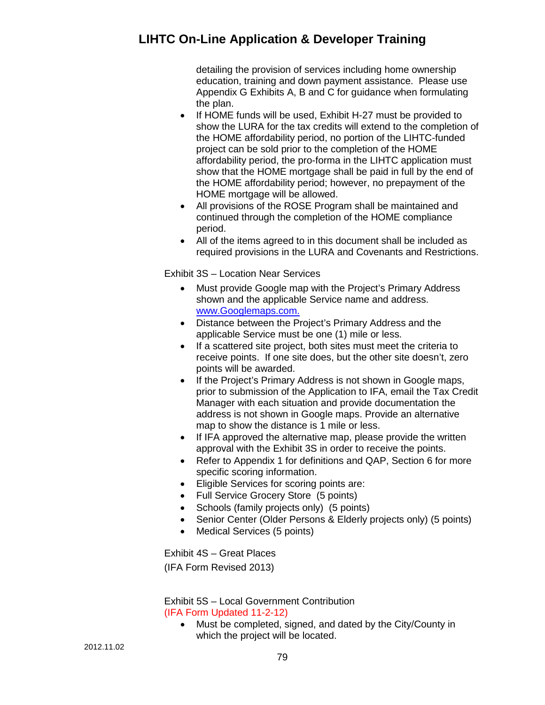detailing the provision of services including home ownership education, training and down payment assistance. Please use Appendix G Exhibits A, B and C for guidance when formulating the plan.

- If HOME funds will be used, Exhibit H-27 must be provided to show the LURA for the tax credits will extend to the completion of the HOME affordability period, no portion of the LIHTC-funded project can be sold prior to the completion of the HOME affordability period, the pro-forma in the LIHTC application must show that the HOME mortgage shall be paid in full by the end of the HOME affordability period; however, no prepayment of the HOME mortgage will be allowed.
- All provisions of the ROSE Program shall be maintained and continued through the completion of the HOME compliance period.
- All of the items agreed to in this document shall be included as required provisions in the LURA and Covenants and Restrictions.

Exhibit 3S – Location Near Services

- Must provide Google map with the Project's Primary Address shown and the applicable Service name and address. [www.Googlemaps.com.](http://www.maps.yahoo.com/)
- Distance between the Project's Primary Address and the applicable Service must be one (1) mile or less.
- If a scattered site project, both sites must meet the criteria to receive points. If one site does, but the other site doesn't, zero points will be awarded.
- If the Project's Primary Address is not shown in Google maps, prior to submission of the Application to IFA, email the Tax Credit Manager with each situation and provide documentation the address is not shown in Google maps. Provide an alternative map to show the distance is 1 mile or less.
- If IFA approved the alternative map, please provide the written approval with the Exhibit 3S in order to receive the points.
- Refer to Appendix 1 for definitions and QAP, Section 6 for more specific scoring information.
- Eligible Services for scoring points are:
- Full Service Grocery Store (5 points)
- Schools (family projects only) (5 points)
- Senior Center (Older Persons & Elderly projects only) (5 points)
- Medical Services (5 points)

Exhibit 4S – Great Places (IFA Form Revised 2013)

Exhibit 5S – Local Government Contribution (IFA Form Updated 11-2-12)

• Must be completed, signed, and dated by the City/County in which the project will be located.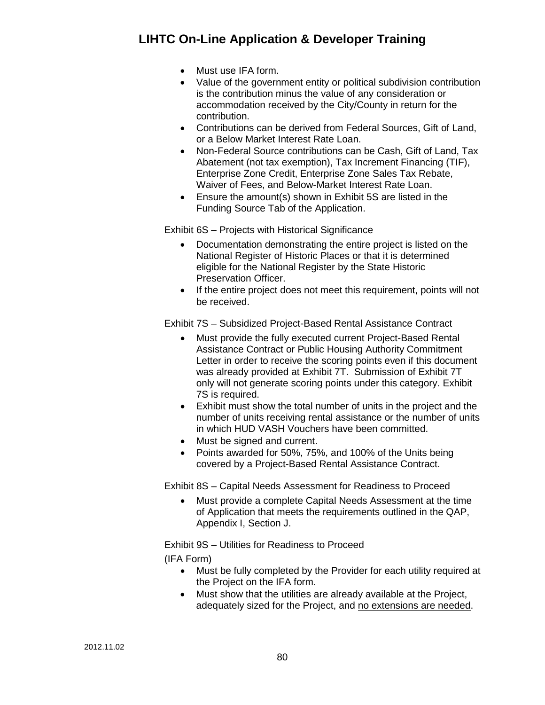- Must use IFA form.
- Value of the government entity or political subdivision contribution is the contribution minus the value of any consideration or accommodation received by the City/County in return for the contribution.
- Contributions can be derived from Federal Sources, Gift of Land, or a Below Market Interest Rate Loan.
- Non-Federal Source contributions can be Cash, Gift of Land, Tax Abatement (not tax exemption), Tax Increment Financing (TIF), Enterprise Zone Credit, Enterprise Zone Sales Tax Rebate, Waiver of Fees, and Below-Market Interest Rate Loan.
- Ensure the amount(s) shown in Exhibit 5S are listed in the Funding Source Tab of the Application.

Exhibit 6S – Projects with Historical Significance

- Documentation demonstrating the entire project is listed on the National Register of Historic Places or that it is determined eligible for the National Register by the State Historic Preservation Officer.
- If the entire project does not meet this requirement, points will not be received.

Exhibit 7S – Subsidized Project-Based Rental Assistance Contract

- Must provide the fully executed current Project-Based Rental Assistance Contract or Public Housing Authority Commitment Letter in order to receive the scoring points even if this document was already provided at Exhibit 7T. Submission of Exhibit 7T only will not generate scoring points under this category. Exhibit 7S is required.
- Exhibit must show the total number of units in the project and the number of units receiving rental assistance or the number of units in which HUD VASH Vouchers have been committed.
- Must be signed and current.
- Points awarded for 50%, 75%, and 100% of the Units being covered by a Project-Based Rental Assistance Contract.

Exhibit 8S – Capital Needs Assessment for Readiness to Proceed

• Must provide a complete Capital Needs Assessment at the time of Application that meets the requirements outlined in the QAP, Appendix I, Section J.

Exhibit 9S – Utilities for Readiness to Proceed

(IFA Form)

- Must be fully completed by the Provider for each utility required at the Project on the IFA form.
- Must show that the utilities are already available at the Project, adequately sized for the Project, and no extensions are needed.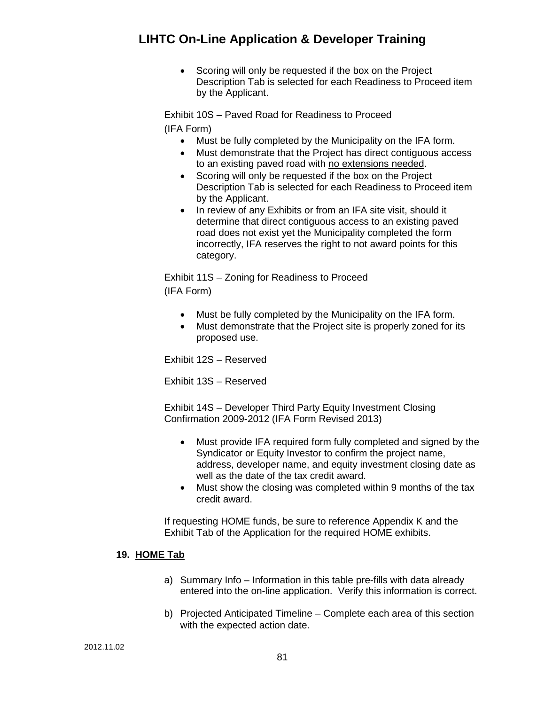• Scoring will only be requested if the box on the Project Description Tab is selected for each Readiness to Proceed item by the Applicant.

Exhibit 10S – Paved Road for Readiness to Proceed (IFA Form)

- Must be fully completed by the Municipality on the IFA form.
- Must demonstrate that the Project has direct contiguous access to an existing paved road with no extensions needed.
- Scoring will only be requested if the box on the Project Description Tab is selected for each Readiness to Proceed item by the Applicant.
- In review of any Exhibits or from an IFA site visit, should it determine that direct contiguous access to an existing paved road does not exist yet the Municipality completed the form incorrectly, IFA reserves the right to not award points for this category.

Exhibit 11S – Zoning for Readiness to Proceed (IFA Form)

- Must be fully completed by the Municipality on the IFA form.
- Must demonstrate that the Project site is properly zoned for its proposed use.

Exhibit 12S – Reserved

Exhibit 13S – Reserved

Exhibit 14S – Developer Third Party Equity Investment Closing Confirmation 2009-2012 (IFA Form Revised 2013)

- Must provide IFA required form fully completed and signed by the Syndicator or Equity Investor to confirm the project name, address, developer name, and equity investment closing date as well as the date of the tax credit award.
- Must show the closing was completed within 9 months of the tax credit award.

If requesting HOME funds, be sure to reference Appendix K and the Exhibit Tab of the Application for the required HOME exhibits.

#### **19. HOME Tab**

- a) Summary Info Information in this table pre-fills with data already entered into the on-line application. Verify this information is correct.
- b) Projected Anticipated Timeline Complete each area of this section with the expected action date.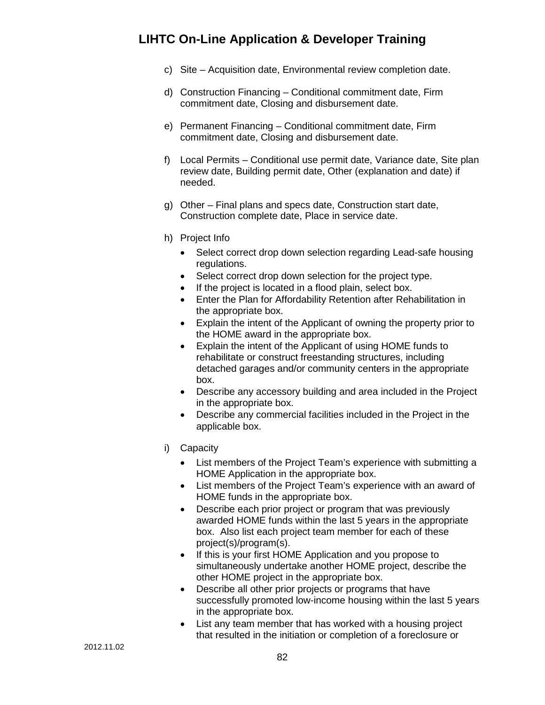- c) Site Acquisition date, Environmental review completion date.
- d) Construction Financing Conditional commitment date, Firm commitment date, Closing and disbursement date.
- e) Permanent Financing Conditional commitment date, Firm commitment date, Closing and disbursement date.
- f) Local Permits Conditional use permit date, Variance date, Site plan review date, Building permit date, Other (explanation and date) if needed.
- g) Other Final plans and specs date, Construction start date, Construction complete date, Place in service date.
- h) Project Info
	- Select correct drop down selection regarding Lead-safe housing regulations.
	- Select correct drop down selection for the project type.
	- If the project is located in a flood plain, select box.
	- Enter the Plan for Affordability Retention after Rehabilitation in the appropriate box.
	- Explain the intent of the Applicant of owning the property prior to the HOME award in the appropriate box.
	- Explain the intent of the Applicant of using HOME funds to rehabilitate or construct freestanding structures, including detached garages and/or community centers in the appropriate box.
	- Describe any accessory building and area included in the Project in the appropriate box.
	- Describe any commercial facilities included in the Project in the applicable box.
- i) Capacity
	- List members of the Project Team's experience with submitting a HOME Application in the appropriate box.
	- List members of the Project Team's experience with an award of HOME funds in the appropriate box.
	- Describe each prior project or program that was previously awarded HOME funds within the last 5 years in the appropriate box. Also list each project team member for each of these project(s)/program(s).
	- If this is your first HOME Application and you propose to simultaneously undertake another HOME project, describe the other HOME project in the appropriate box.
	- Describe all other prior projects or programs that have successfully promoted low-income housing within the last 5 years in the appropriate box.
	- List any team member that has worked with a housing project that resulted in the initiation or completion of a foreclosure or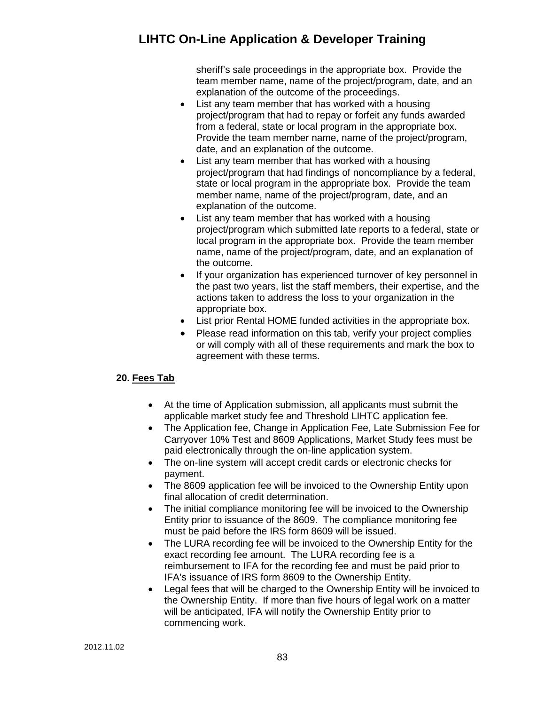sheriff's sale proceedings in the appropriate box. Provide the team member name, name of the project/program, date, and an explanation of the outcome of the proceedings.

- List any team member that has worked with a housing project/program that had to repay or forfeit any funds awarded from a federal, state or local program in the appropriate box. Provide the team member name, name of the project/program, date, and an explanation of the outcome.
- List any team member that has worked with a housing project/program that had findings of noncompliance by a federal, state or local program in the appropriate box. Provide the team member name, name of the project/program, date, and an explanation of the outcome.
- List any team member that has worked with a housing project/program which submitted late reports to a federal, state or local program in the appropriate box. Provide the team member name, name of the project/program, date, and an explanation of the outcome.
- If your organization has experienced turnover of key personnel in the past two years, list the staff members, their expertise, and the actions taken to address the loss to your organization in the appropriate box.
- List prior Rental HOME funded activities in the appropriate box.
- Please read information on this tab, verify your project complies or will comply with all of these requirements and mark the box to agreement with these terms.

### **20. Fees Tab**

- At the time of Application submission, all applicants must submit the applicable market study fee and Threshold LIHTC application fee.
- The Application fee, Change in Application Fee, Late Submission Fee for Carryover 10% Test and 8609 Applications, Market Study fees must be paid electronically through the on-line application system.
- The on-line system will accept credit cards or electronic checks for payment.
- The 8609 application fee will be invoiced to the Ownership Entity upon final allocation of credit determination.
- The initial compliance monitoring fee will be invoiced to the Ownership Entity prior to issuance of the 8609. The compliance monitoring fee must be paid before the IRS form 8609 will be issued.
- The LURA recording fee will be invoiced to the Ownership Entity for the exact recording fee amount. The LURA recording fee is a reimbursement to IFA for the recording fee and must be paid prior to IFA's issuance of IRS form 8609 to the Ownership Entity.
- Legal fees that will be charged to the Ownership Entity will be invoiced to the Ownership Entity. If more than five hours of legal work on a matter will be anticipated, IFA will notify the Ownership Entity prior to commencing work.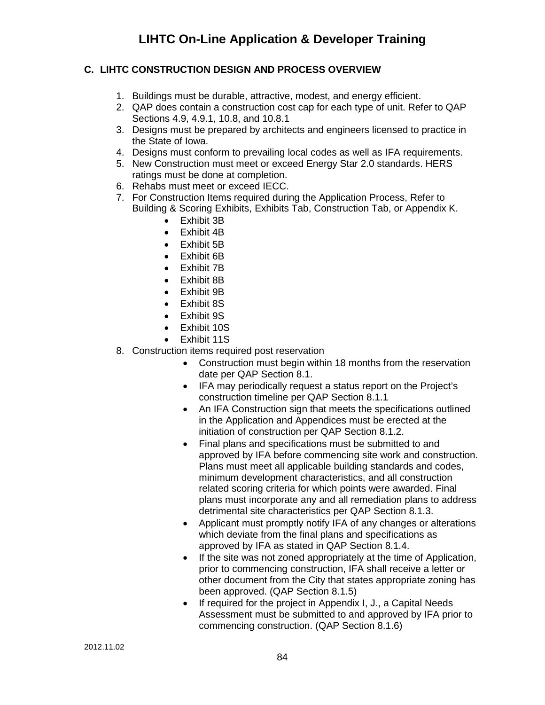## **C. LIHTC CONSTRUCTION DESIGN AND PROCESS OVERVIEW**

- 1. Buildings must be durable, attractive, modest, and energy efficient.
- 2. QAP does contain a construction cost cap for each type of unit. Refer to QAP Sections 4.9, 4.9.1, 10.8, and 10.8.1
- 3. Designs must be prepared by architects and engineers licensed to practice in the State of Iowa.
- 4. Designs must conform to prevailing local codes as well as IFA requirements.
- 5. New Construction must meet or exceed Energy Star 2.0 standards. HERS ratings must be done at completion.
- 6. Rehabs must meet or exceed IECC.
- 7. For Construction Items required during the Application Process, Refer to Building & Scoring Exhibits, Exhibits Tab, Construction Tab, or Appendix K.
	- Exhibit 3B
	- Exhibit 4B
	- Exhibit 5B
	- Exhibit 6B
	- Exhibit 7B
	- Exhibit 8B
	- Exhibit 9B
	- Exhibit 8S
	- Exhibit 9S
	- Exhibit 10S
	- Exhibit 11S
- 8. Construction items required post reservation
	- Construction must begin within 18 months from the reservation date per QAP Section 8.1.
	- IFA may periodically request a status report on the Project's construction timeline per QAP Section 8.1.1
	- An IFA Construction sign that meets the specifications outlined in the Application and Appendices must be erected at the initiation of construction per QAP Section 8.1.2.
	- Final plans and specifications must be submitted to and approved by IFA before commencing site work and construction. Plans must meet all applicable building standards and codes, minimum development characteristics, and all construction related scoring criteria for which points were awarded. Final plans must incorporate any and all remediation plans to address detrimental site characteristics per QAP Section 8.1.3.
	- Applicant must promptly notify IFA of any changes or alterations which deviate from the final plans and specifications as approved by IFA as stated in QAP Section 8.1.4.
	- If the site was not zoned appropriately at the time of Application, prior to commencing construction, IFA shall receive a letter or other document from the City that states appropriate zoning has been approved. (QAP Section 8.1.5)
	- If required for the project in Appendix I, J., a Capital Needs Assessment must be submitted to and approved by IFA prior to commencing construction. (QAP Section 8.1.6)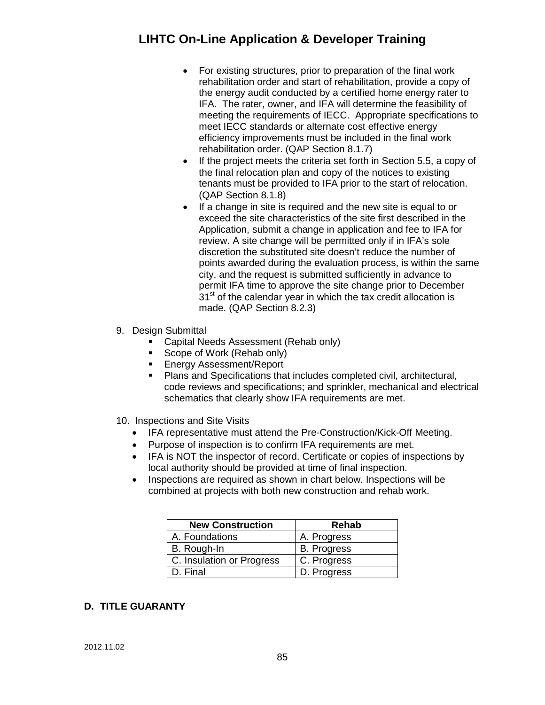- For existing structures, prior to preparation of the final work rehabilitation order and start of rehabilitation, provide a copy of the energy audit conducted by a certified home energy rater to IFA. The rater, owner, and IFA will determine the feasibility of meeting the requirements of IECC. Appropriate specifications to meet IECC standards or alternate cost effective energy efficiency improvements must be included in the final work rehabilitation order. (QAP Section 8.1.7)
- If the project meets the criteria set forth in Section 5.5, a copy of the final relocation plan and copy of the notices to existing tenants must be provided to IFA prior to the start of relocation. (QAP Section 8.1.8)
- If a change in site is required and the new site is equal to or exceed the site characteristics of the site first described in the Application, submit a change in application and fee to IFA for review. A site change will be permitted only if in IFA's sole discretion the substituted site doesn't reduce the number of points awarded during the evaluation process, is within the same city, and the request is submitted sufficiently in advance to permit IFA time to approve the site change prior to December  $31<sup>st</sup>$  of the calendar year in which the tax credit allocation is made. (QAP Section 8.2.3)
- 9. Design Submittal
	- **Capital Needs Assessment (Rehab only)**
	- Scope of Work (Rehab only)
	- **Energy Assessment/Report**
	- **Plans and Specifications that includes completed civil, architectural,** code reviews and specifications; and sprinkler, mechanical and electrical schematics that clearly show IFA requirements are met.
- 10. Inspections and Site Visits
	- IFA representative must attend the Pre-Construction/Kick-Off Meeting.
	- Purpose of inspection is to confirm IFA requirements are met.
	- IFA is NOT the inspector of record. Certificate or copies of inspections by local authority should be provided at time of final inspection.
	- Inspections are required as shown in chart below. Inspections will be combined at projects with both new construction and rehab work.

| <b>New Construction</b>   | <b>Rehab</b>       |
|---------------------------|--------------------|
| A. Foundations            | A. Progress        |
| B. Rough-In               | <b>B.</b> Progress |
| C. Insulation or Progress | C. Progress        |
| D. Final                  | D. Progress        |

### **D. TITLE GUARANTY**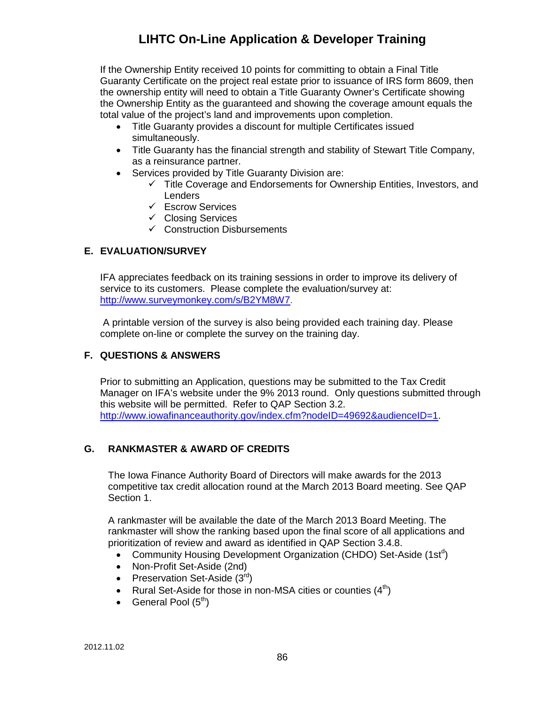If the Ownership Entity received 10 points for committing to obtain a Final Title Guaranty Certificate on the project real estate prior to issuance of IRS form 8609, then the ownership entity will need to obtain a Title Guaranty Owner's Certificate showing the Ownership Entity as the guaranteed and showing the coverage amount equals the total value of the project's land and improvements upon completion.

- Title Guaranty provides a discount for multiple Certificates issued simultaneously.
- Title Guaranty has the financial strength and stability of Stewart Title Company, as a reinsurance partner.
- Services provided by Title Guaranty Division are:
	- $\checkmark$  Title Coverage and Endorsements for Ownership Entities, Investors, and **Lenders**
	- $\checkmark$  Escrow Services
	- $\checkmark$  Closing Services
	- $\checkmark$  Construction Disbursements

### **E. EVALUATION/SURVEY**

IFA appreciates feedback on its training sessions in order to improve its delivery of service to its customers. Please complete the evaluation/survey at: [http://www.surveymonkey.com/s/B2YM8W7.](http://www.surveymonkey.com/s/B2YM8W7)

A printable version of the survey is also being provided each training day. Please complete on-line or complete the survey on the training day.

#### **F. QUESTIONS & ANSWERS**

Prior to submitting an Application, questions may be submitted to the Tax Credit Manager on IFA's website under the 9% 2013 round. Only questions submitted through this website will be permitted. Refer to QAP Section 3.2. [http://www.iowafinanceauthority.gov/index.cfm?nodeID=49692&audienceID=1.](http://www.iowafinanceauthority.gov/index.cfm?nodeID=49692&audienceID=1)

### **G. RANKMASTER & AWARD OF CREDITS**

The Iowa Finance Authority Board of Directors will make awards for the 2013 competitive tax credit allocation round at the March 2013 Board meeting. See QAP Section 1.

A rankmaster will be available the date of the March 2013 Board Meeting. The rankmaster will show the ranking based upon the final score of all applications and prioritization of review and award as identified in QAP Section 3.4.8.

- Community Housing Development Organization (CHDO) Set-Aside (1st<sup>d</sup>)
- Non-Profit Set-Aside (2nd)
- Preservation Set-Aside  $(3^{\text{rd}})$
- Rural Set-Aside for those in non-MSA cities or counties  $(4<sup>th</sup>)$
- General Pool  $(5<sup>th</sup>)$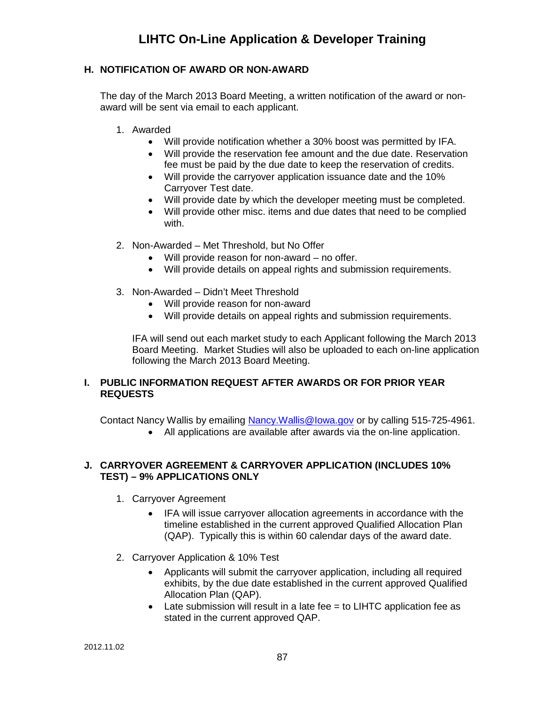#### **H. NOTIFICATION OF AWARD OR NON-AWARD**

The day of the March 2013 Board Meeting, a written notification of the award or nonaward will be sent via email to each applicant.

- 1. Awarded
	- Will provide notification whether a 30% boost was permitted by IFA.
	- Will provide the reservation fee amount and the due date. Reservation fee must be paid by the due date to keep the reservation of credits.
	- Will provide the carryover application issuance date and the 10% Carryover Test date.
	- Will provide date by which the developer meeting must be completed.
	- Will provide other misc. items and due dates that need to be complied with.
- 2. Non-Awarded Met Threshold, but No Offer
	- Will provide reason for non-award no offer.
	- Will provide details on appeal rights and submission requirements.
- 3. Non-Awarded Didn't Meet Threshold
	- Will provide reason for non-award
	- Will provide details on appeal rights and submission requirements.

IFA will send out each market study to each Applicant following the March 2013 Board Meeting. Market Studies will also be uploaded to each on-line application following the March 2013 Board Meeting.

#### **I. PUBLIC INFORMATION REQUEST AFTER AWARDS OR FOR PRIOR YEAR REQUESTS**

Contact Nancy Wallis by emailing [Nancy.Wallis@Iowa.gov](mailto:Nancy.Wallis@Iowa.gov) or by calling 515-725-4961.

• All applications are available after awards via the on-line application.

#### **J. CARRYOVER AGREEMENT & CARRYOVER APPLICATION (INCLUDES 10% TEST) – 9% APPLICATIONS ONLY**

- 1. Carryover Agreement
	- IFA will issue carryover allocation agreements in accordance with the timeline established in the current approved Qualified Allocation Plan (QAP). Typically this is within 60 calendar days of the award date.
- 2. Carryover Application & 10% Test
	- Applicants will submit the carryover application, including all required exhibits, by the due date established in the current approved Qualified Allocation Plan (QAP).
	- Late submission will result in a late fee = to LIHTC application fee as stated in the current approved QAP.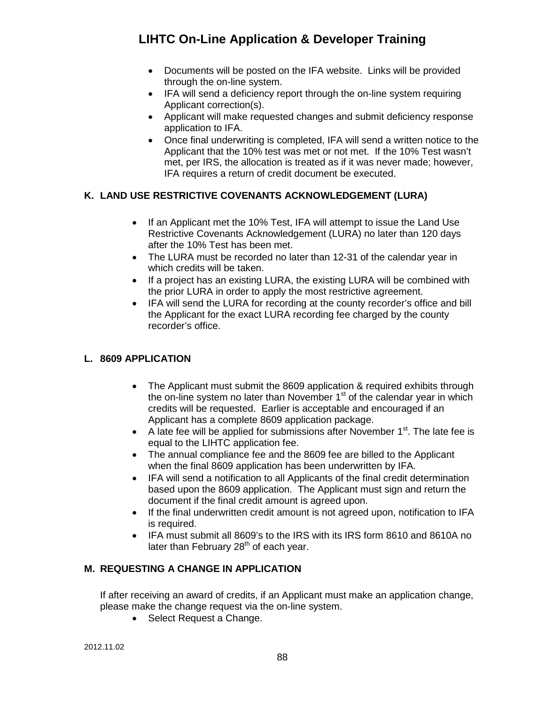- Documents will be posted on the IFA website. Links will be provided through the on-line system.
- IFA will send a deficiency report through the on-line system requiring Applicant correction(s).
- Applicant will make requested changes and submit deficiency response application to IFA.
- Once final underwriting is completed, IFA will send a written notice to the Applicant that the 10% test was met or not met. If the 10% Test wasn't met, per IRS, the allocation is treated as if it was never made; however, IFA requires a return of credit document be executed.

### **K. LAND USE RESTRICTIVE COVENANTS ACKNOWLEDGEMENT (LURA)**

- If an Applicant met the 10% Test, IFA will attempt to issue the Land Use Restrictive Covenants Acknowledgement (LURA) no later than 120 days after the 10% Test has been met.
- The LURA must be recorded no later than 12-31 of the calendar year in which credits will be taken.
- If a project has an existing LURA, the existing LURA will be combined with the prior LURA in order to apply the most restrictive agreement.
- IFA will send the LURA for recording at the county recorder's office and bill the Applicant for the exact LURA recording fee charged by the county recorder's office.

### **L. 8609 APPLICATION**

- The Applicant must submit the 8609 application & required exhibits through the on-line system no later than November  $1<sup>st</sup>$  of the calendar year in which credits will be requested. Earlier is acceptable and encouraged if an Applicant has a complete 8609 application package.
- A late fee will be applied for submissions after November  $1<sup>st</sup>$ . The late fee is equal to the LIHTC application fee.
- The annual compliance fee and the 8609 fee are billed to the Applicant when the final 8609 application has been underwritten by IFA.
- IFA will send a notification to all Applicants of the final credit determination based upon the 8609 application. The Applicant must sign and return the document if the final credit amount is agreed upon.
- If the final underwritten credit amount is not agreed upon, notification to IFA is required.
- IFA must submit all 8609's to the IRS with its IRS form 8610 and 8610A no later than February  $28<sup>th</sup>$  of each year.

### **M. REQUESTING A CHANGE IN APPLICATION**

If after receiving an award of credits, if an Applicant must make an application change, please make the change request via the on-line system.

• Select Request a Change.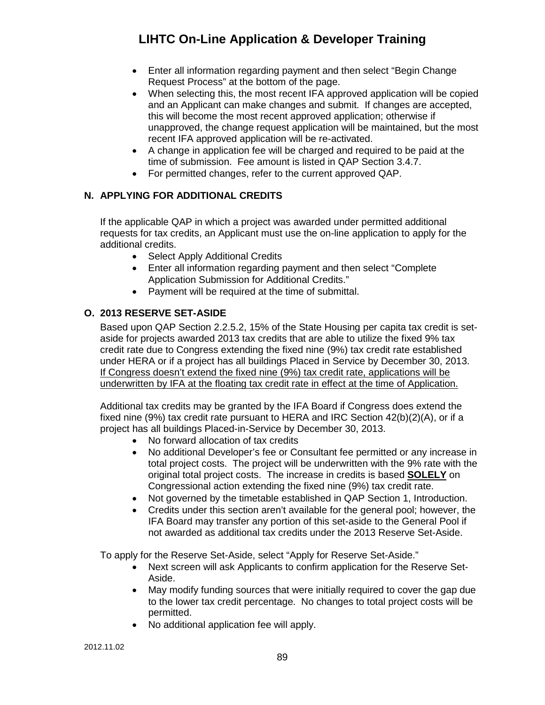- Enter all information regarding payment and then select "Begin Change Request Process" at the bottom of the page.
- When selecting this, the most recent IFA approved application will be copied and an Applicant can make changes and submit. If changes are accepted, this will become the most recent approved application; otherwise if unapproved, the change request application will be maintained, but the most recent IFA approved application will be re-activated.
- A change in application fee will be charged and required to be paid at the time of submission. Fee amount is listed in QAP Section 3.4.7.
- For permitted changes, refer to the current approved QAP.

### **N. APPLYING FOR ADDITIONAL CREDITS**

If the applicable QAP in which a project was awarded under permitted additional requests for tax credits, an Applicant must use the on-line application to apply for the additional credits.

- Select Apply Additional Credits
- Enter all information regarding payment and then select "Complete Application Submission for Additional Credits."
- Payment will be required at the time of submittal.

### **O. 2013 RESERVE SET-ASIDE**

Based upon QAP Section 2.2.5.2, 15% of the State Housing per capita tax credit is setaside for projects awarded 2013 tax credits that are able to utilize the fixed 9% tax credit rate due to Congress extending the fixed nine (9%) tax credit rate established under HERA or if a project has all buildings Placed in Service by December 30, 2013. If Congress doesn't extend the fixed nine (9%) tax credit rate, applications will be underwritten by IFA at the floating tax credit rate in effect at the time of Application.

Additional tax credits may be granted by the IFA Board if Congress does extend the fixed nine (9%) tax credit rate pursuant to HERA and IRC Section  $42(b)(2)(A)$ , or if a project has all buildings Placed-in-Service by December 30, 2013.

- No forward allocation of tax credits
- No additional Developer's fee or Consultant fee permitted or any increase in total project costs. The project will be underwritten with the 9% rate with the original total project costs. The increase in credits is based **SOLELY** on Congressional action extending the fixed nine (9%) tax credit rate.
- Not governed by the timetable established in QAP Section 1, Introduction.
- Credits under this section aren't available for the general pool; however, the IFA Board may transfer any portion of this set-aside to the General Pool if not awarded as additional tax credits under the 2013 Reserve Set-Aside.

To apply for the Reserve Set-Aside, select "Apply for Reserve Set-Aside."

- Next screen will ask Applicants to confirm application for the Reserve Set-Aside.
- May modify funding sources that were initially required to cover the gap due to the lower tax credit percentage. No changes to total project costs will be permitted.
- No additional application fee will apply.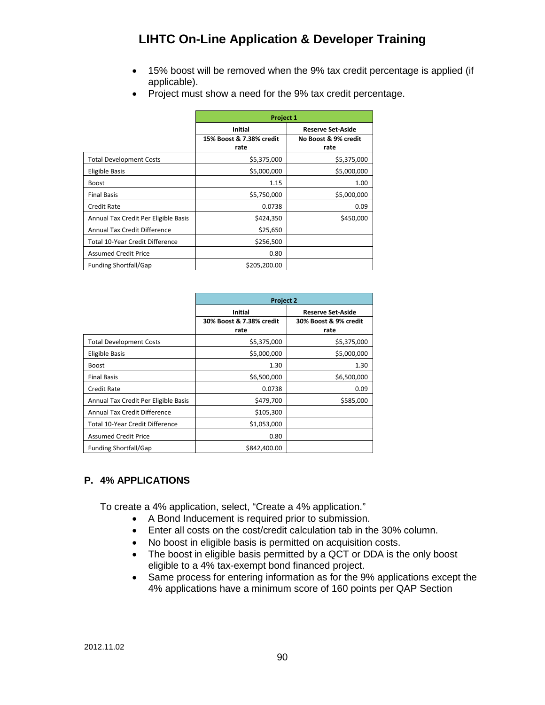- 15% boost will be removed when the 9% tax credit percentage is applied (if applicable).
- Project must show a need for the 9% tax credit percentage.

|                                      | Project 1                        |                              |
|--------------------------------------|----------------------------------|------------------------------|
|                                      | <b>Initial</b>                   | <b>Reserve Set-Aside</b>     |
|                                      | 15% Boost & 7.38% credit<br>rate | No Boost & 9% credit<br>rate |
| <b>Total Development Costs</b>       | \$5,375,000                      | \$5,375,000                  |
| Eligible Basis                       | \$5,000,000                      | \$5,000,000                  |
| <b>Boost</b>                         | 1.15                             | 1.00                         |
| <b>Final Basis</b>                   | \$5,750,000                      | \$5,000,000                  |
| <b>Credit Rate</b>                   | 0.0738                           | 0.09                         |
| Annual Tax Credit Per Eligible Basis | \$424,350                        | \$450,000                    |
| <b>Annual Tax Credit Difference</b>  | \$25,650                         |                              |
| Total 10-Year Credit Difference      | \$256,500                        |                              |
| <b>Assumed Credit Price</b>          | 0.80                             |                              |
| <b>Funding Shortfall/Gap</b>         | \$205,200.00                     |                              |

|                                        | <b>Project 2</b>                 |                               |
|----------------------------------------|----------------------------------|-------------------------------|
|                                        | Initial                          | <b>Reserve Set-Aside</b>      |
|                                        | 30% Boost & 7.38% credit<br>rate | 30% Boost & 9% credit<br>rate |
| <b>Total Development Costs</b>         | \$5,375,000                      | \$5,375,000                   |
| Eligible Basis                         | \$5,000,000                      | \$5,000,000                   |
| <b>Boost</b>                           | 1.30                             | 1.30                          |
| <b>Final Basis</b>                     | \$6,500,000                      | \$6,500,000                   |
| <b>Credit Rate</b>                     | 0.0738                           | 0.09                          |
| Annual Tax Credit Per Eligible Basis   | \$479,700                        | \$585,000                     |
| <b>Annual Tax Credit Difference</b>    | \$105,300                        |                               |
| <b>Total 10-Year Credit Difference</b> | \$1,053,000                      |                               |
| <b>Assumed Credit Price</b>            | 0.80                             |                               |
| <b>Funding Shortfall/Gap</b>           | \$842,400.00                     |                               |

### **P. 4% APPLICATIONS**

To create a 4% application, select, "Create a 4% application."

- A Bond Inducement is required prior to submission.
- Enter all costs on the cost/credit calculation tab in the 30% column.
- No boost in eligible basis is permitted on acquisition costs.
- The boost in eligible basis permitted by a QCT or DDA is the only boost eligible to a 4% tax-exempt bond financed project.
- Same process for entering information as for the 9% applications except the 4% applications have a minimum score of 160 points per QAP Section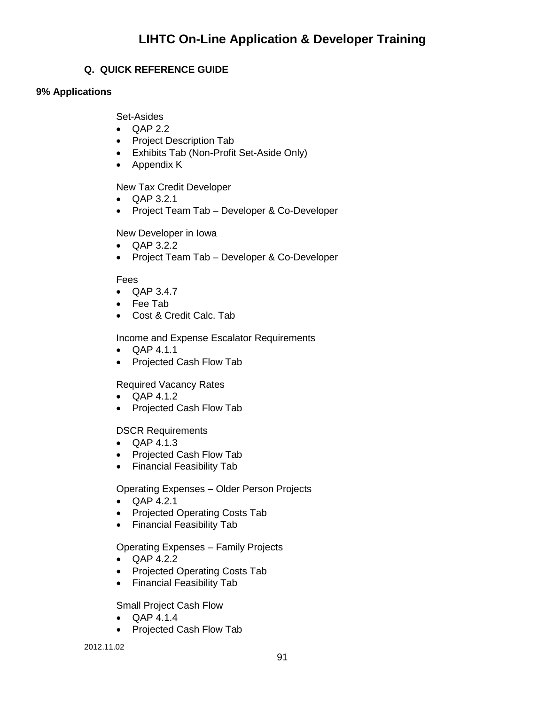### **Q. QUICK REFERENCE GUIDE**

#### **9% Applications**

Set-Asides

- QAP 2.2
- Project Description Tab
- Exhibits Tab (Non-Profit Set-Aside Only)
- Appendix K

New Tax Credit Developer

- QAP 3.2.1
- Project Team Tab Developer & Co-Developer

New Developer in Iowa

- QAP 3.2.2
- Project Team Tab Developer & Co-Developer

### Fees

- QAP 3.4.7
- Fee Tab
- Cost & Credit Calc. Tab

Income and Expense Escalator Requirements

- QAP 4.1.1
- Projected Cash Flow Tab

### Required Vacancy Rates

- QAP 4.1.2
- Projected Cash Flow Tab

DSCR Requirements

- QAP 4.1.3
- Projected Cash Flow Tab
- Financial Feasibility Tab

Operating Expenses – Older Person Projects

- QAP 4.2.1
- Projected Operating Costs Tab
- Financial Feasibility Tab

### Operating Expenses – Family Projects

- QAP 4.2.2
- Projected Operating Costs Tab
- Financial Feasibility Tab

Small Project Cash Flow

- QAP 4.1.4
- Projected Cash Flow Tab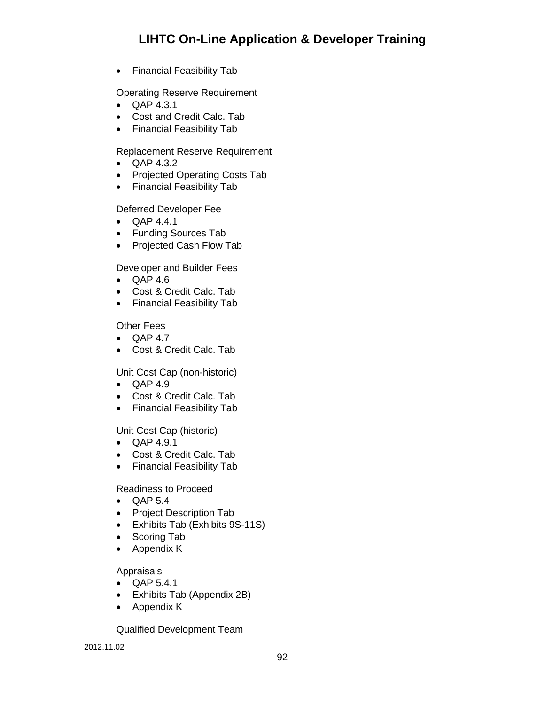• Financial Feasibility Tab

Operating Reserve Requirement

- QAP 4.3.1
- Cost and Credit Calc. Tab
- Financial Feasibility Tab

Replacement Reserve Requirement

- QAP 4.3.2
- Projected Operating Costs Tab
- Financial Feasibility Tab

#### Deferred Developer Fee

- QAP 4.4.1
- Funding Sources Tab
- Projected Cash Flow Tab

Developer and Builder Fees

- QAP 4.6
- Cost & Credit Calc. Tab
- Financial Feasibility Tab

Other Fees

- QAP 4.7
- Cost & Credit Calc. Tab

Unit Cost Cap (non-historic)

- QAP 4.9
- Cost & Credit Calc. Tab
- Financial Feasibility Tab

Unit Cost Cap (historic)

- QAP 4.9.1
- Cost & Credit Calc. Tab
- Financial Feasibility Tab

Readiness to Proceed

- QAP 5.4
- Project Description Tab
- Exhibits Tab (Exhibits 9S-11S)
- Scoring Tab
- Appendix K

#### Appraisals

- QAP 5.4.1
- Exhibits Tab (Appendix 2B)
- Appendix K

Qualified Development Team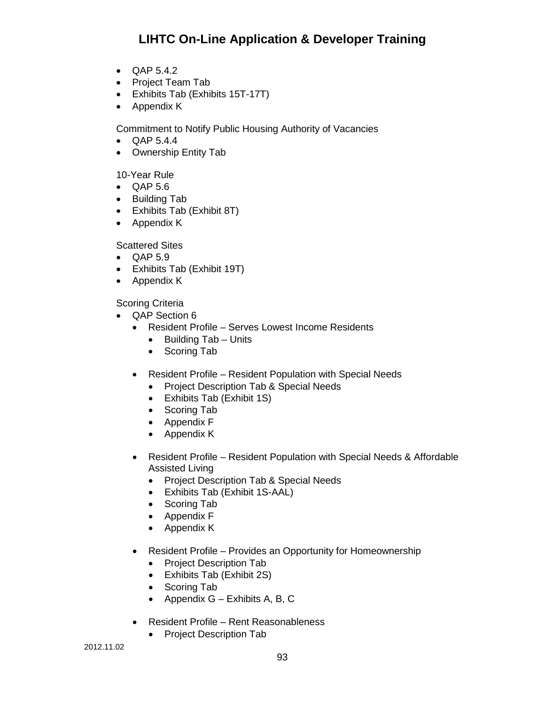- QAP 5.4.2
- Project Team Tab
- Exhibits Tab (Exhibits 15T-17T)
- Appendix K

Commitment to Notify Public Housing Authority of Vacancies

- QAP 5.4.4
- Ownership Entity Tab

#### 10-Year Rule

- QAP 5.6
- Building Tab
- Exhibits Tab (Exhibit 8T)
- Appendix K

Scattered Sites

- QAP 5.9
- Exhibits Tab (Exhibit 19T)
- Appendix K

Scoring Criteria

- QAP Section 6
	- Resident Profile Serves Lowest Income Residents
		- Building Tab Units
		- Scoring Tab
	- Resident Profile Resident Population with Special Needs
		- Project Description Tab & Special Needs
		- Exhibits Tab (Exhibit 1S)
		- Scoring Tab
		- Appendix F
		- Appendix K
	- Resident Profile Resident Population with Special Needs & Affordable Assisted Living
		- Project Description Tab & Special Needs
		- Exhibits Tab (Exhibit 1S-AAL)
		- Scoring Tab
		- Appendix F
		- Appendix K
	- Resident Profile Provides an Opportunity for Homeownership
		- Project Description Tab
		- Exhibits Tab (Exhibit 2S)
		- Scoring Tab
		- Appendix  $G -$  Exhibits A, B, C
	- Resident Profile Rent Reasonableness
		- Project Description Tab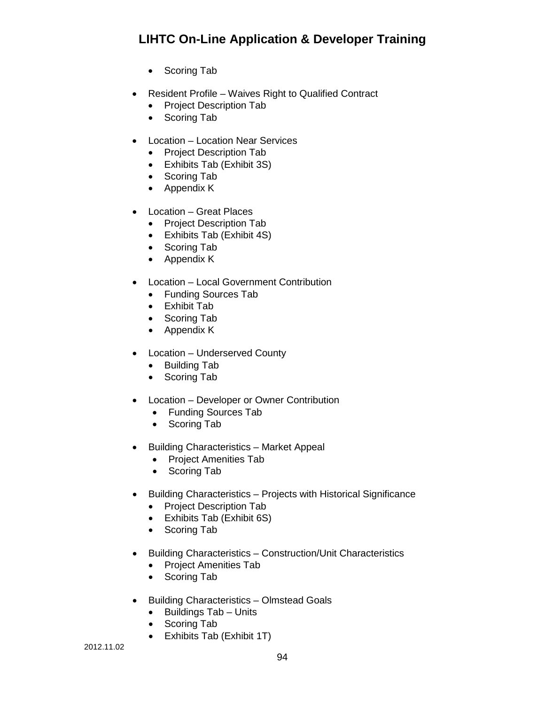- Scoring Tab
- Resident Profile Waives Right to Qualified Contract
	- Project Description Tab
	- Scoring Tab
- Location Location Near Services
	- Project Description Tab
	- Exhibits Tab (Exhibit 3S)
	- Scoring Tab
	- Appendix K
- Location Great Places
	- Project Description Tab
	- Exhibits Tab (Exhibit 4S)
	- Scoring Tab
	- Appendix K
- Location Local Government Contribution
	- Funding Sources Tab
	- Exhibit Tab
	- Scoring Tab
	- Appendix K
- Location Underserved County
	- Building Tab
	- Scoring Tab
- Location Developer or Owner Contribution
	- Funding Sources Tab
	- Scoring Tab
- Building Characteristics Market Appeal
	- Project Amenities Tab
	- Scoring Tab
- Building Characteristics Projects with Historical Significance
	- Project Description Tab
	- Exhibits Tab (Exhibit 6S)
	- Scoring Tab
- Building Characteristics Construction/Unit Characteristics
	- Project Amenities Tab
	- Scoring Tab
- Building Characteristics Olmstead Goals
	- Buildings Tab Units
	- Scoring Tab
	- Exhibits Tab (Exhibit 1T)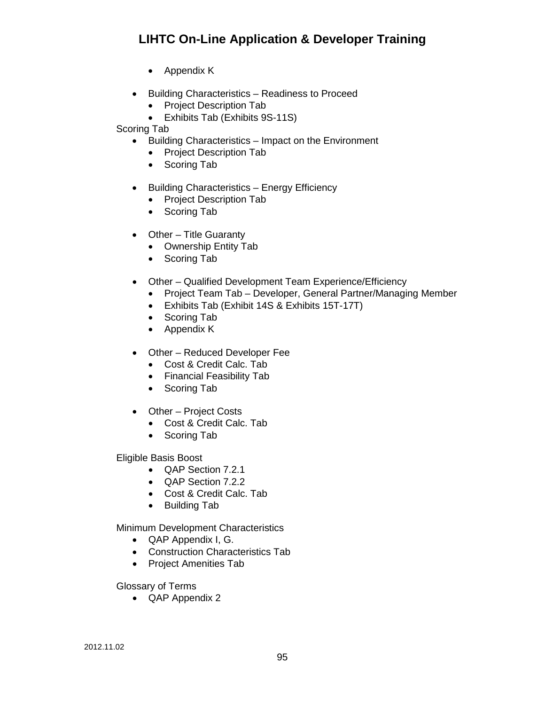- Appendix K
- Building Characteristics Readiness to Proceed
	- Project Description Tab
	- Exhibits Tab (Exhibits 9S-11S)

Scoring Tab

- Building Characteristics Impact on the Environment
	- Project Description Tab
	- Scoring Tab
- Building Characteristics Energy Efficiency
	- Project Description Tab
	- Scoring Tab
- Other Title Guaranty
	- Ownership Entity Tab
	- Scoring Tab
- Other Qualified Development Team Experience/Efficiency
	- Project Team Tab Developer, General Partner/Managing Member
	- Exhibits Tab (Exhibit 14S & Exhibits 15T-17T)
	- Scoring Tab
	- Appendix K
- Other Reduced Developer Fee
	- Cost & Credit Calc. Tab
	- Financial Feasibility Tab
	- Scoring Tab
- Other Project Costs
	- Cost & Credit Calc. Tab
	- Scoring Tab

Eligible Basis Boost

- QAP Section 7.2.1
- QAP Section 7.2.2
- Cost & Credit Calc. Tab
- Building Tab

Minimum Development Characteristics

- QAP Appendix I, G.
- Construction Characteristics Tab
- Project Amenities Tab

Glossary of Terms

• QAP Appendix 2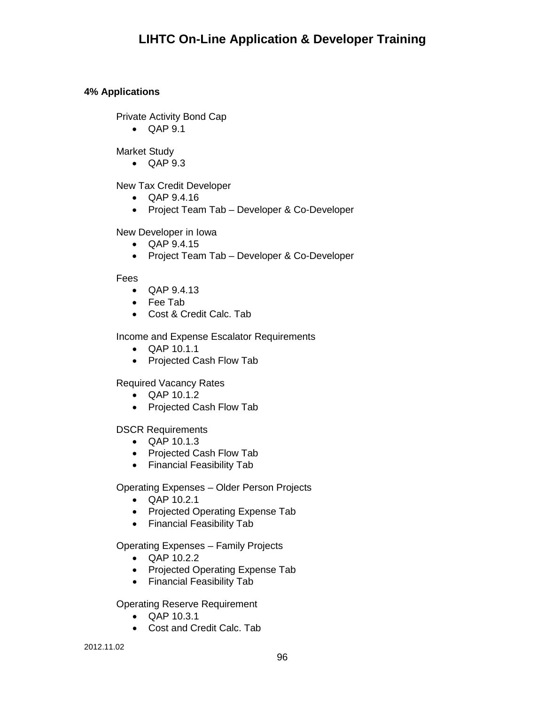## **4% Applications**

Private Activity Bond Cap

• QAP 9.1

Market Study

• QAP 9.3

New Tax Credit Developer

- QAP 9.4.16
- Project Team Tab Developer & Co-Developer

New Developer in Iowa

- QAP 9.4.15
- Project Team Tab Developer & Co-Developer

Fees

- QAP 9.4.13
- Fee Tab
- Cost & Credit Calc. Tab

Income and Expense Escalator Requirements

- QAP 10.1.1
- Projected Cash Flow Tab

Required Vacancy Rates

- QAP 10.1.2
- Projected Cash Flow Tab

DSCR Requirements

- QAP 10.1.3
- Projected Cash Flow Tab
- Financial Feasibility Tab

Operating Expenses – Older Person Projects

- QAP 10.2.1
- Projected Operating Expense Tab
- Financial Feasibility Tab

Operating Expenses – Family Projects

- QAP 10.2.2
- Projected Operating Expense Tab
- Financial Feasibility Tab

Operating Reserve Requirement

- QAP 10.3.1
- Cost and Credit Calc. Tab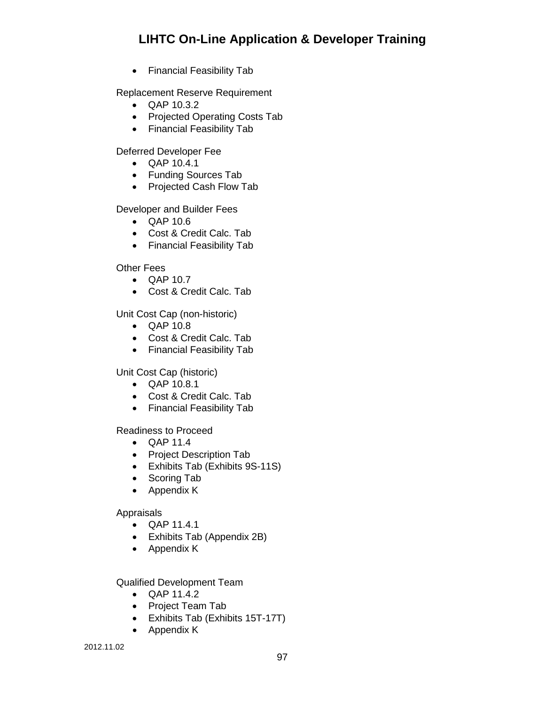• Financial Feasibility Tab

Replacement Reserve Requirement

- QAP 10.3.2
- Projected Operating Costs Tab
- Financial Feasibility Tab

Deferred Developer Fee

- QAP 10.4.1
- Funding Sources Tab
- Projected Cash Flow Tab

Developer and Builder Fees

- QAP 10.6
- Cost & Credit Calc. Tab
- Financial Feasibility Tab

Other Fees

- QAP 10.7
- Cost & Credit Calc. Tab

Unit Cost Cap (non-historic)

- QAP 10.8
- Cost & Credit Calc. Tab
- Financial Feasibility Tab

Unit Cost Cap (historic)

- QAP 10.8.1
- Cost & Credit Calc. Tab
- Financial Feasibility Tab

Readiness to Proceed

- QAP 11.4
- Project Description Tab
- Exhibits Tab (Exhibits 9S-11S)
- Scoring Tab
- Appendix K

Appraisals

- QAP 11.4.1
- Exhibits Tab (Appendix 2B)
- Appendix K

Qualified Development Team

- QAP 11.4.2
- Project Team Tab
- Exhibits Tab (Exhibits 15T-17T)
- Appendix K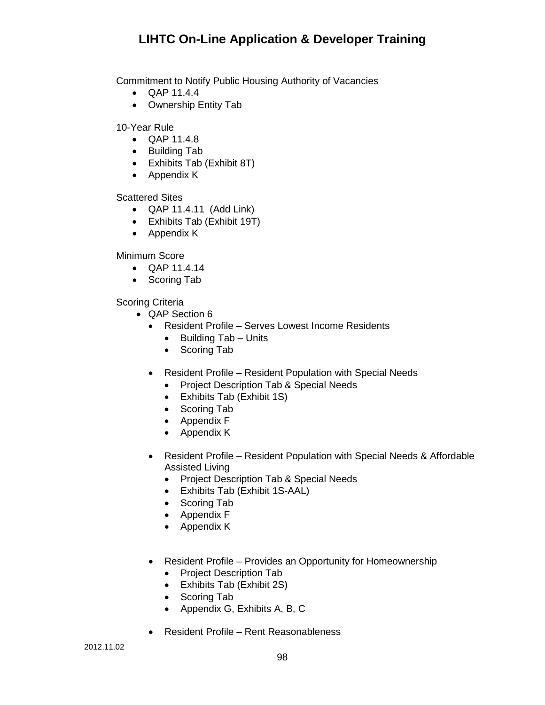Commitment to Notify Public Housing Authority of Vacancies

- QAP 11.4.4
- Ownership Entity Tab

10-Year Rule

- QAP 11.4.8
- Building Tab
- Exhibits Tab (Exhibit 8T)
- Appendix K

Scattered Sites

- QAP 11.4.11 (Add Link)
- Exhibits Tab (Exhibit 19T)
- Appendix K

Minimum Score

- QAP 11.4.14
- Scoring Tab

Scoring Criteria

- QAP Section 6
	- Resident Profile Serves Lowest Income Residents
		- Building Tab Units
		- Scoring Tab
	- Resident Profile Resident Population with Special Needs
		- Project Description Tab & Special Needs
		- Exhibits Tab (Exhibit 1S)
		- Scoring Tab
		- Appendix F
		- Appendix K
	- Resident Profile Resident Population with Special Needs & Affordable Assisted Living
		- Project Description Tab & Special Needs
		- Exhibits Tab (Exhibit 1S-AAL)
		- Scoring Tab
		- Appendix F
		- Appendix K
	- Resident Profile Provides an Opportunity for Homeownership
		- Project Description Tab
		- Exhibits Tab (Exhibit 2S)
		- Scoring Tab
		- Appendix G, Exhibits A, B, C
	- Resident Profile Rent Reasonableness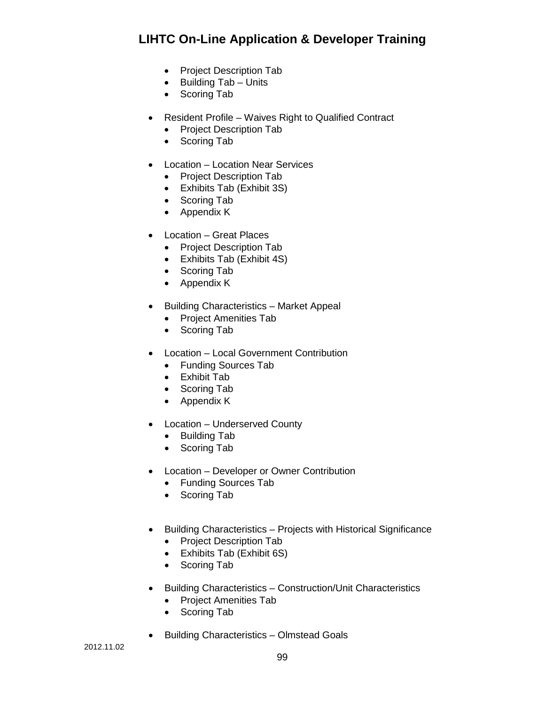- Project Description Tab
- Building Tab Units
- Scoring Tab
- Resident Profile Waives Right to Qualified Contract
	- Project Description Tab
	- Scoring Tab
- Location Location Near Services
	- Project Description Tab
	- Exhibits Tab (Exhibit 3S)
	- Scoring Tab
	- Appendix K
- Location Great Places
	- Project Description Tab
	- Exhibits Tab (Exhibit 4S)
	- Scoring Tab
	- Appendix K
- Building Characteristics Market Appeal
	- Project Amenities Tab
	- Scoring Tab
- Location Local Government Contribution
	- Funding Sources Tab
	- Exhibit Tab
	- Scoring Tab
	- Appendix K
- Location Underserved County
	- Building Tab
	- Scoring Tab
- Location Developer or Owner Contribution
	- Funding Sources Tab
	- Scoring Tab
- Building Characteristics Projects with Historical Significance
	- Project Description Tab
	- Exhibits Tab (Exhibit 6S)
	- Scoring Tab
- Building Characteristics Construction/Unit Characteristics
	- Project Amenities Tab
	- Scoring Tab
- Building Characteristics Olmstead Goals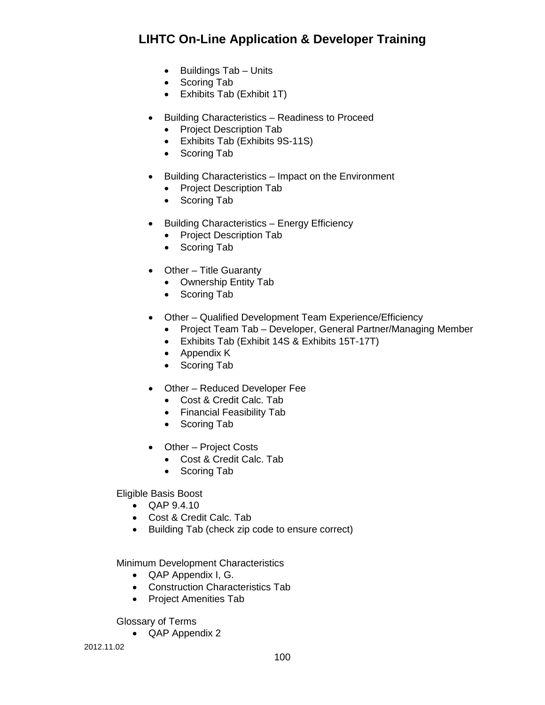- Buildings Tab Units
- Scoring Tab
- Exhibits Tab (Exhibit 1T)
- Building Characteristics Readiness to Proceed
	- Project Description Tab
	- Exhibits Tab (Exhibits 9S-11S)
	- Scoring Tab
- Building Characteristics Impact on the Environment
	- Project Description Tab
	- Scoring Tab
- Building Characteristics Energy Efficiency
	- Project Description Tab
	- Scoring Tab
- Other Title Guaranty
	- Ownership Entity Tab
	- Scoring Tab
- Other Qualified Development Team Experience/Efficiency
	- Project Team Tab Developer, General Partner/Managing Member
	- Exhibits Tab (Exhibit 14S & Exhibits 15T-17T)
	- Appendix K
	- Scoring Tab
- Other Reduced Developer Fee
	- Cost & Credit Calc. Tab
	- Financial Feasibility Tab
	- Scoring Tab
- Other Project Costs
	- Cost & Credit Calc. Tab
	- Scoring Tab

Eligible Basis Boost

- QAP 9.4.10
- Cost & Credit Calc. Tab
- Building Tab (check zip code to ensure correct)

Minimum Development Characteristics

- QAP Appendix I, G.
- Construction Characteristics Tab
- Project Amenities Tab

Glossary of Terms

• QAP Appendix 2